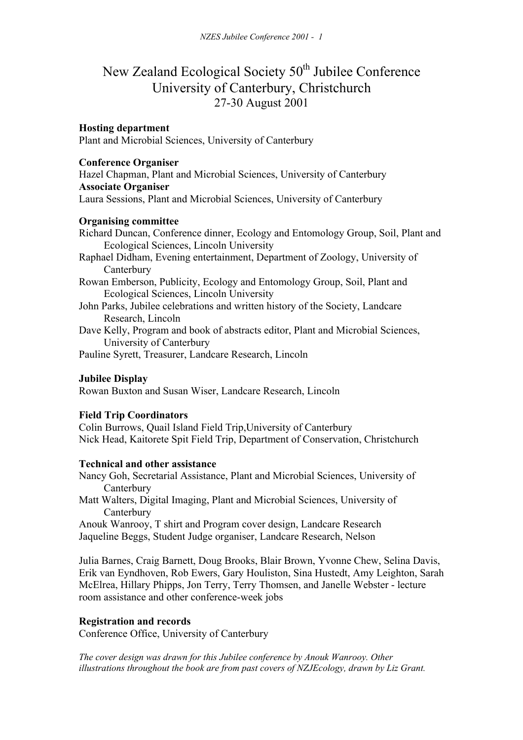# New Zealand Ecological Society  $50<sup>th</sup>$  Jubilee Conference University of Canterbury, Christchurch 27-30 August 2001

# Hosting department

Plant and Microbial Sciences, University of Canterbury

# Conference Organiser

Hazel Chapman, Plant and Microbial Sciences, University of Canterbury Associate Organiser Laura Sessions, Plant and Microbial Sciences, University of Canterbury

# Organising committee

Richard Duncan, Conference dinner, Ecology and Entomology Group, Soil, Plant and Ecological Sciences, Lincoln University

Raphael Didham, Evening entertainment, Department of Zoology, University of **Canterbury** 

Rowan Emberson, Publicity, Ecology and Entomology Group, Soil, Plant and Ecological Sciences, Lincoln University

John Parks, Jubilee celebrations and written history of the Society, Landcare Research, Lincoln

Dave Kelly, Program and book of abstracts editor, Plant and Microbial Sciences, University of Canterbury

Pauline Syrett, Treasurer, Landcare Research, Lincoln

# Jubilee Display

Rowan Buxton and Susan Wiser, Landcare Research, Lincoln

## Field Trip Coordinators

Colin Burrows, Quail Island Field Trip,University of Canterbury Nick Head, Kaitorete Spit Field Trip, Department of Conservation, Christchurch

## Technical and other assistance

Nancy Goh, Secretarial Assistance, Plant and Microbial Sciences, University of **Canterbury** 

Matt Walters, Digital Imaging, Plant and Microbial Sciences, University of **Canterbury** 

Anouk Wanrooy, T shirt and Program cover design, Landcare Research Jaqueline Beggs, Student Judge organiser, Landcare Research, Nelson

Julia Barnes, Craig Barnett, Doug Brooks, Blair Brown, Yvonne Chew, Selina Davis, Erik van Eyndhoven, Rob Ewers, Gary Houliston, Sina Hustedt, Amy Leighton, Sarah McElrea, Hillary Phipps, Jon Terry, Terry Thomsen, and Janelle Webster - lecture room assistance and other conference-week jobs

## Registration and records

Conference Office, University of Canterbury

*The cover design was drawn for this Jubilee conference by Anouk Wanrooy. Other illustrations throughout the book are from past covers of NZJEcology, drawn by Liz Grant.*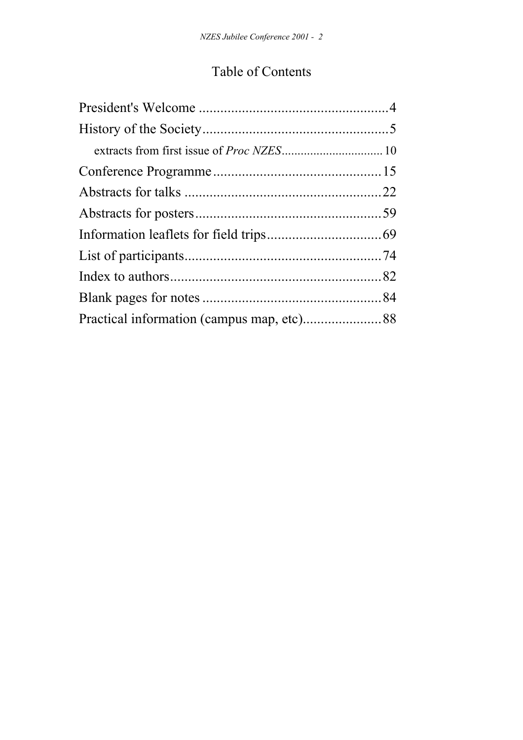# Table of Contents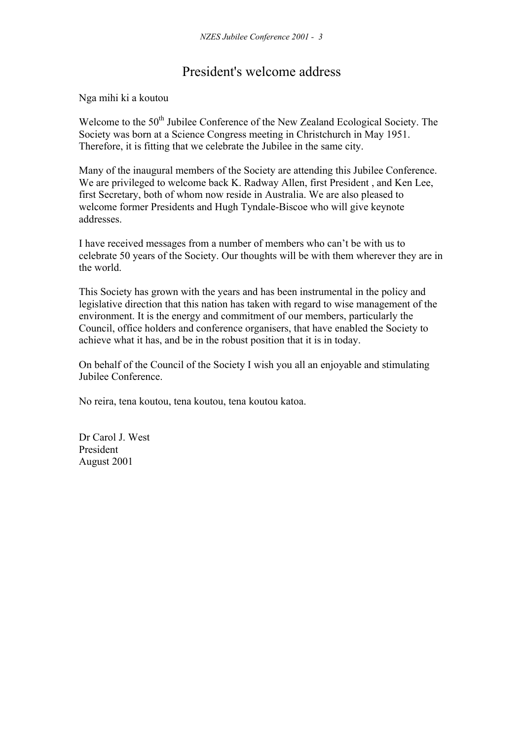# President's welcome address

Nga mihi ki a koutou

Welcome to the 50<sup>th</sup> Jubilee Conference of the New Zealand Ecological Society. The Society was born at a Science Congress meeting in Christchurch in May 1951. Therefore, it is fitting that we celebrate the Jubilee in the same city.

Many of the inaugural members of the Society are attending this Jubilee Conference. We are privileged to welcome back K. Radway Allen, first President , and Ken Lee, first Secretary, both of whom now reside in Australia. We are also pleased to welcome former Presidents and Hugh Tyndale-Biscoe who will give keynote addresses.

I have received messages from a number of members who can't be with us to celebrate 50 years of the Society. Our thoughts will be with them wherever they are in the world.

This Society has grown with the years and has been instrumental in the policy and legislative direction that this nation has taken with regard to wise management of the environment. It is the energy and commitment of our members, particularly the Council, office holders and conference organisers, that have enabled the Society to achieve what it has, and be in the robust position that it is in today.

On behalf of the Council of the Society I wish you all an enjoyable and stimulating Jubilee Conference.

No reira, tena koutou, tena koutou, tena koutou katoa.

Dr Carol J. West President August 2001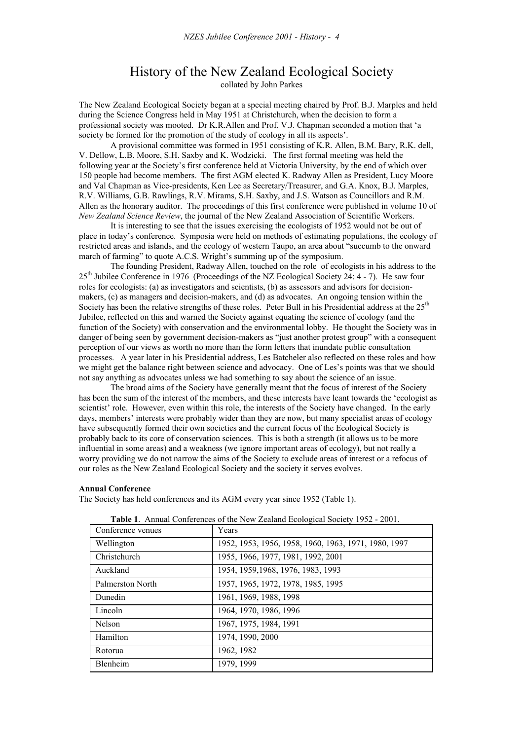## History of the New Zealand Ecological Society collated by John Parkes

The New Zealand Ecological Society began at a special meeting chaired by Prof. B.J. Marples and held during the Science Congress held in May 1951 at Christchurch, when the decision to form a professional society was mooted. Dr K.R.Allen and Prof. V.J. Chapman seconded a motion that 'a society be formed for the promotion of the study of ecology in all its aspects'.

A provisional committee was formed in 1951 consisting of K.R. Allen, B.M. Bary, R.K. dell, V. Dellow, L.B. Moore, S.H. Saxby and K. Wodzicki. The first formal meeting was held the following year at the Society's first conference held at Victoria University, by the end of which over 150 people had become members. The first AGM elected K. Radway Allen as President, Lucy Moore and Val Chapman as Vice-presidents, Ken Lee as Secretary/Treasurer, and G.A. Knox, B.J. Marples, R.V. Williams, G.B. Rawlings, R.V. Mirams, S.H. Saxby, and J.S. Watson as Councillors and R.M. Allen as the honorary auditor. The proceedings of this first conference were published in volume 10 of *New Zealand Science Review*, the journal of the New Zealand Association of Scientific Workers.

It is interesting to see that the issues exercising the ecologists of 1952 would not be out of place in today's conference. Symposia were held on methods of estimating populations, the ecology of restricted areas and islands, and the ecology of western Taupo, an area about "succumb to the onward march of farming" to quote A.C.S. Wright's summing up of the symposium.

The founding President, Radway Allen, touched on the role of ecologists in his address to the 25<sup>th</sup> Jubilee Conference in 1976 (Proceedings of the NZ Ecological Society 24: 4 - 7). He saw four roles for ecologists: (a) as investigators and scientists, (b) as assessors and advisors for decisionmakers, (c) as managers and decision-makers, and (d) as advocates. An ongoing tension within the Society has been the relative strengths of these roles. Peter Bull in his Presidential address at the 25<sup>th</sup> Jubilee, reflected on this and warned the Society against equating the science of ecology (and the function of the Society) with conservation and the environmental lobby. He thought the Society was in danger of being seen by government decision-makers as "just another protest group" with a consequent perception of our views as worth no more than the form letters that inundate public consultation processes. A year later in his Presidential address, Les Batcheler also reflected on these roles and how we might get the balance right between science and advocacy. One of Les's points was that we should not say anything as advocates unless we had something to say about the science of an issue.

The broad aims of the Society have generally meant that the focus of interest of the Society has been the sum of the interest of the members, and these interests have leant towards the 'ecologist as scientist' role. However, even within this role, the interests of the Society have changed. In the early days, members' interests were probably wider than they are now, but many specialist areas of ecology have subsequently formed their own societies and the current focus of the Ecological Society is probably back to its core of conservation sciences. This is both a strength (it allows us to be more influential in some areas) and a weakness (we ignore important areas of ecology), but not really a worry providing we do not narrow the aims of the Society to exclude areas of interest or a refocus of our roles as the New Zealand Ecological Society and the society it serves evolves.

#### Annual Conference

The Society has held conferences and its AGM every year since 1952 (Table 1).

| Conference venues | Years                                                |
|-------------------|------------------------------------------------------|
| Wellington        | 1952, 1953, 1956, 1958, 1960, 1963, 1971, 1980, 1997 |
| Christchurch      | 1955, 1966, 1977, 1981, 1992, 2001                   |
| Auckland          | 1954, 1959, 1968, 1976, 1983, 1993                   |
| Palmerston North  | 1957, 1965, 1972, 1978, 1985, 1995                   |
| Dunedin           | 1961, 1969, 1988, 1998                               |
| Lincoln           | 1964, 1970, 1986, 1996                               |
| Nelson            | 1967, 1975, 1984, 1991                               |
| Hamilton          | 1974, 1990, 2000                                     |
| Rotorua           | 1962, 1982                                           |
| <b>Blenheim</b>   | 1979, 1999                                           |

Table 1. Annual Conferences of the New Zealand Ecological Society 1952 - 2001.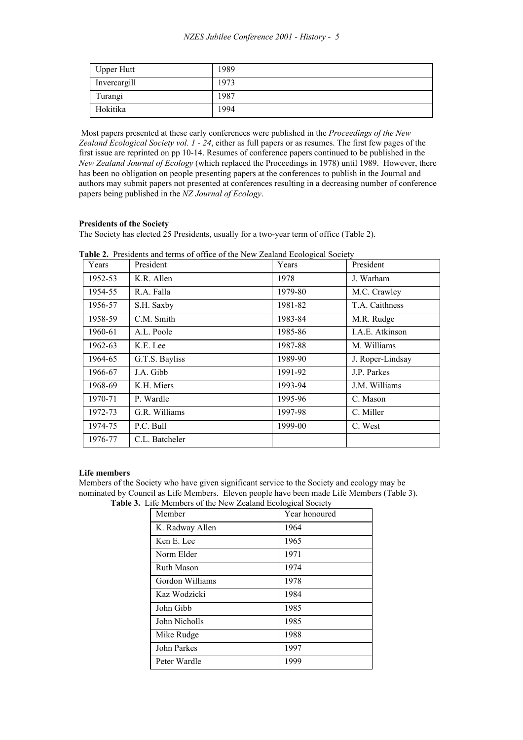| <b>Upper Hutt</b> | 1989 |
|-------------------|------|
| Invercargill      | 1973 |
| Turangi           | 1987 |
| Hokitika          | 1994 |

 Most papers presented at these early conferences were published in the *Proceedings of the New Zealand Ecological Society vol. 1 - 24*, either as full papers or as resumes. The first few pages of the first issue are reprinted on pp 10-14. Resumes of conference papers continued to be published in the *New Zealand Journal of Ecology* (which replaced the Proceedings in 1978) until 1989. However, there has been no obligation on people presenting papers at the conferences to publish in the Journal and authors may submit papers not presented at conferences resulting in a decreasing number of conference papers being published in the *NZ Journal of Ecology*.

#### Presidents of the Society

The Society has elected 25 Presidents, usually for a two-year term of office (Table 2).

| Years   | President      | Years   | President        |
|---------|----------------|---------|------------------|
| 1952-53 | K.R. Allen     | 1978    | J. Warham        |
| 1954-55 | R.A. Falla     | 1979-80 | M.C. Crawley     |
| 1956-57 | S.H. Saxby     | 1981-82 | T.A. Caithness   |
| 1958-59 | C.M. Smith     | 1983-84 | M.R. Rudge       |
| 1960-61 | A.L. Poole     | 1985-86 | I.A.E. Atkinson  |
| 1962-63 | K.E. Lee       | 1987-88 | M. Williams      |
| 1964-65 | G.T.S. Bayliss | 1989-90 | J. Roper-Lindsay |
| 1966-67 | J.A. Gibb      | 1991-92 | J.P. Parkes      |
| 1968-69 | K.H. Miers     | 1993-94 | J.M. Williams    |
| 1970-71 | P. Wardle      | 1995-96 | C. Mason         |
| 1972-73 | G.R. Williams  | 1997-98 | C. Miller        |
| 1974-75 | P.C. Bull      | 1999-00 | C. West          |
| 1976-77 | C.L. Batcheler |         |                  |

Table 2. Presidents and terms of office of the New Zealand Ecological Society

#### Life members

Members of the Society who have given significant service to the Society and ecology may be nominated by Council as Life Members. Eleven people have been made Life Members (Table 3). Table 3. Life Members of the New Zealand Ecological Society

| Member            | Year honoured |
|-------------------|---------------|
| K. Radway Allen   | 1964          |
| Ken E. Lee        | 1965          |
| Norm Elder        | 1971          |
| <b>Ruth Mason</b> | 1974          |
| Gordon Williams   | 1978          |
| Kaz Wodzicki      | 1984          |
| John Gibb         | 1985          |
| John Nicholls     | 1985          |
| Mike Rudge        | 1988          |
| John Parkes       | 1997          |
| Peter Wardle      | 1999          |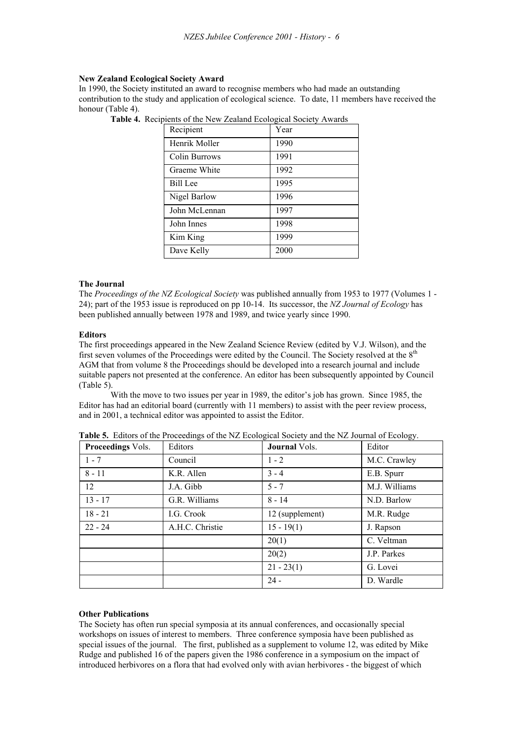#### New Zealand Ecological Society Award

In 1990, the Society instituted an award to recognise members who had made an outstanding contribution to the study and application of ecological science. To date, 11 members have received the honour (Table 4).

|  |  | Table 4. Recipients of the New Zealand Ecological Society Awards |
|--|--|------------------------------------------------------------------|
|  |  |                                                                  |

| Recipient       | Year |
|-----------------|------|
| Henrik Moller   | 1990 |
| Colin Burrows   | 1991 |
| Graeme White    | 1992 |
| <b>Bill</b> Lee | 1995 |
| Nigel Barlow    | 1996 |
| John McLennan   | 1997 |
| John Innes      | 1998 |
| Kim King        | 1999 |
| Dave Kelly      | 2000 |

#### The Journal

The *Proceedings of the NZ Ecological Society* was published annually from 1953 to 1977 (Volumes 1 - 24); part of the 1953 issue is reproduced on pp 10-14. Its successor, the *NZ Journal of Ecology* has been published annually between 1978 and 1989, and twice yearly since 1990.

#### **Editors**

The first proceedings appeared in the New Zealand Science Review (edited by V.J. Wilson), and the first seven volumes of the Proceedings were edited by the Council. The Society resolved at the  $8<sup>th</sup>$ AGM that from volume 8 the Proceedings should be developed into a research journal and include suitable papers not presented at the conference. An editor has been subsequently appointed by Council (Table 5).

With the move to two issues per year in 1989, the editor's job has grown. Since 1985, the Editor has had an editorial board (currently with 11 members) to assist with the peer review process, and in 2001, a technical editor was appointed to assist the Editor.

| <b>Proceedings Vols.</b> | Editors         | <b>Journal Vols.</b> | Editor        |
|--------------------------|-----------------|----------------------|---------------|
| $1 - 7$                  | Council         | $1 - 2$              | M.C. Crawley  |
| $8 - 11$                 | K.R. Allen      | $3 - 4$              | E.B. Spurr    |
| 12                       | J.A. Gibb       | $5 - 7$              | M.J. Williams |
| $13 - 17$                | G.R. Williams   | $8 - 14$             | N.D. Barlow   |
| $18 - 21$                | I.G. Crook      | 12 (supplement)      | M.R. Rudge    |
| $22 - 24$                | A.H.C. Christie | $15 - 19(1)$         | J. Rapson     |
|                          |                 | 20(1)                | C. Veltman    |
|                          |                 | 20(2)                | J.P. Parkes   |
|                          |                 | $21 - 23(1)$         | G. Lovei      |
|                          |                 | $24 -$               | D. Wardle     |

Table 5. Editors of the Proceedings of the NZ Ecological Society and the NZ Journal of Ecology.

#### Other Publications

The Society has often run special symposia at its annual conferences, and occasionally special workshops on issues of interest to members. Three conference symposia have been published as special issues of the journal. The first, published as a supplement to volume 12, was edited by Mike Rudge and published 16 of the papers given the 1986 conference in a symposium on the impact of introduced herbivores on a flora that had evolved only with avian herbivores - the biggest of which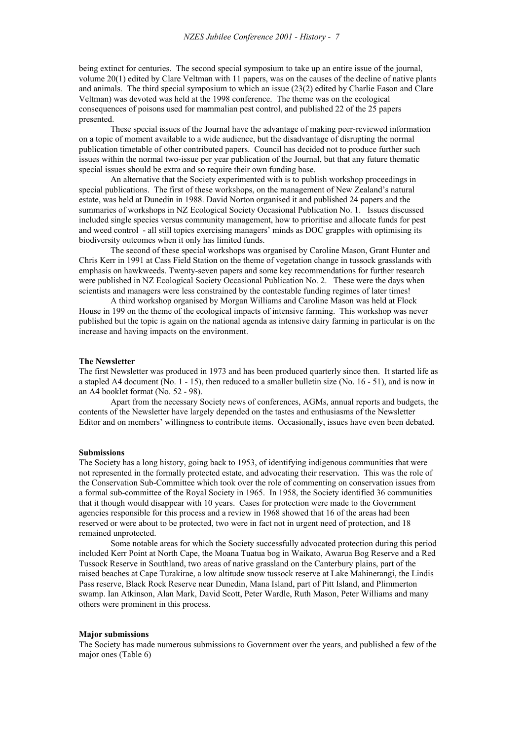being extinct for centuries. The second special symposium to take up an entire issue of the journal, volume 20(1) edited by Clare Veltman with 11 papers, was on the causes of the decline of native plants and animals. The third special symposium to which an issue (23(2) edited by Charlie Eason and Clare Veltman) was devoted was held at the 1998 conference. The theme was on the ecological consequences of poisons used for mammalian pest control, and published 22 of the 25 papers presented.

These special issues of the Journal have the advantage of making peer-reviewed information on a topic of moment available to a wide audience, but the disadvantage of disrupting the normal publication timetable of other contributed papers. Council has decided not to produce further such issues within the normal two-issue per year publication of the Journal, but that any future thematic special issues should be extra and so require their own funding base.

An alternative that the Society experimented with is to publish workshop proceedings in special publications. The first of these workshops, on the management of New Zealand's natural estate, was held at Dunedin in 1988. David Norton organised it and published 24 papers and the summaries of workshops in NZ Ecological Society Occasional Publication No. 1. Issues discussed included single species versus community management, how to prioritise and allocate funds for pest and weed control - all still topics exercising managers' minds as DOC grapples with optimising its biodiversity outcomes when it only has limited funds.

The second of these special workshops was organised by Caroline Mason, Grant Hunter and Chris Kerr in 1991 at Cass Field Station on the theme of vegetation change in tussock grasslands with emphasis on hawkweeds. Twenty-seven papers and some key recommendations for further research were published in NZ Ecological Society Occasional Publication No. 2. These were the days when scientists and managers were less constrained by the contestable funding regimes of later times!

A third workshop organised by Morgan Williams and Caroline Mason was held at Flock House in 199 on the theme of the ecological impacts of intensive farming. This workshop was never published but the topic is again on the national agenda as intensive dairy farming in particular is on the increase and having impacts on the environment.

#### The Newsletter

The first Newsletter was produced in 1973 and has been produced quarterly since then. It started life as a stapled A4 document (No. 1 - 15), then reduced to a smaller bulletin size (No. 16 - 51), and is now in an A4 booklet format (No. 52 - 98).

Apart from the necessary Society news of conferences, AGMs, annual reports and budgets, the contents of the Newsletter have largely depended on the tastes and enthusiasms of the Newsletter Editor and on members' willingness to contribute items. Occasionally, issues have even been debated.

#### Submissions

The Society has a long history, going back to 1953, of identifying indigenous communities that were not represented in the formally protected estate, and advocating their reservation. This was the role of the Conservation Sub-Committee which took over the role of commenting on conservation issues from a formal sub-committee of the Royal Society in 1965. In 1958, the Society identified 36 communities that it though would disappear with 10 years. Cases for protection were made to the Government agencies responsible for this process and a review in 1968 showed that 16 of the areas had been reserved or were about to be protected, two were in fact not in urgent need of protection, and 18 remained unprotected.

Some notable areas for which the Society successfully advocated protection during this period included Kerr Point at North Cape, the Moana Tuatua bog in Waikato, Awarua Bog Reserve and a Red Tussock Reserve in Southland, two areas of native grassland on the Canterbury plains, part of the raised beaches at Cape Turakirae, a low altitude snow tussock reserve at Lake Mahinerangi, the Lindis Pass reserve, Black Rock Reserve near Dunedin, Mana Island, part of Pitt Island, and Plimmerton swamp. Ian Atkinson, Alan Mark, David Scott, Peter Wardle, Ruth Mason, Peter Williams and many others were prominent in this process.

#### Major submissions

The Society has made numerous submissions to Government over the years, and published a few of the major ones (Table 6)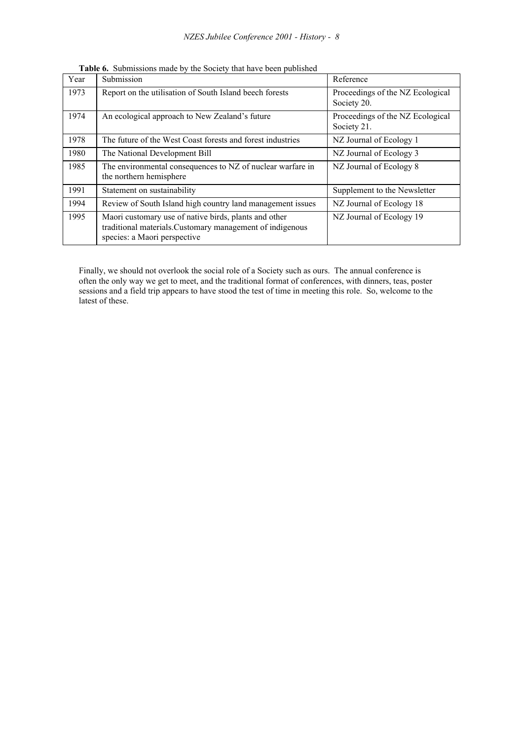| Year | Submission                                                                                                                                         | Reference                                       |
|------|----------------------------------------------------------------------------------------------------------------------------------------------------|-------------------------------------------------|
| 1973 | Report on the utilisation of South Island beech forests                                                                                            | Proceedings of the NZ Ecological<br>Society 20. |
| 1974 | An ecological approach to New Zealand's future                                                                                                     | Proceedings of the NZ Ecological<br>Society 21. |
| 1978 | The future of the West Coast forests and forest industries                                                                                         | NZ Journal of Ecology 1                         |
| 1980 | The National Development Bill                                                                                                                      | NZ Journal of Ecology 3                         |
| 1985 | The environmental consequences to NZ of nuclear warfare in<br>the northern hemisphere                                                              | NZ Journal of Ecology 8                         |
| 1991 | Statement on sustainability                                                                                                                        | Supplement to the Newsletter                    |
| 1994 | Review of South Island high country land management issues                                                                                         | NZ Journal of Ecology 18                        |
| 1995 | Maori customary use of native birds, plants and other<br>traditional materials. Customary management of indigenous<br>species: a Maori perspective | NZ Journal of Ecology 19                        |

Table 6. Submissions made by the Society that have been published

Finally, we should not overlook the social role of a Society such as ours. The annual conference is often the only way we get to meet, and the traditional format of conferences, with dinners, teas, poster sessions and a field trip appears to have stood the test of time in meeting this role. So, welcome to the latest of these.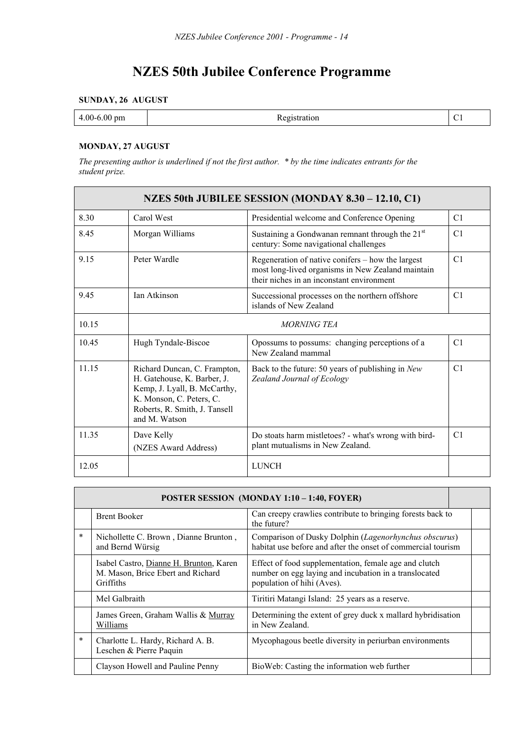# NZES 50th Jubilee Conference Programme

#### SUNDAY, 26 AUGUST

| $.00-6$<br>$0.00 \times$<br>pm<br>the contract of the contract of | egistration<br>к.<br>$    -$<br>__ | $\sqrt{ }$<br>$\sim$ |
|-------------------------------------------------------------------|------------------------------------|----------------------|
|-------------------------------------------------------------------|------------------------------------|----------------------|

## MONDAY, 27 AUGUST

*The presenting author is underlined if not the first author. \* by the time indicates entrants for the student prize.*

|       |                                                                                                                                                                           | NZES 50th JUBILEE SESSION (MONDAY 8.30 - 12.10, C1)                                                                                                 |                |  |
|-------|---------------------------------------------------------------------------------------------------------------------------------------------------------------------------|-----------------------------------------------------------------------------------------------------------------------------------------------------|----------------|--|
| 8.30  | Carol West                                                                                                                                                                | Presidential welcome and Conference Opening                                                                                                         | C1             |  |
| 8.45  | Morgan Williams                                                                                                                                                           | Sustaining a Gondwanan remnant through the $21st$<br>century: Some navigational challenges                                                          | C <sub>1</sub> |  |
| 9.15  | Peter Wardle                                                                                                                                                              | Regeneration of native conifers – how the largest<br>most long-lived organisms in New Zealand maintain<br>their niches in an inconstant environment | C1             |  |
| 9.45  | <b>Ian Atkinson</b>                                                                                                                                                       | Successional processes on the northern offshore<br>islands of New Zealand                                                                           | C1             |  |
| 10.15 | <b>MORNING TEA</b>                                                                                                                                                        |                                                                                                                                                     |                |  |
| 10.45 | Hugh Tyndale-Biscoe                                                                                                                                                       | Opossums to possums: changing perceptions of a<br>New Zealand mammal                                                                                | C <sub>1</sub> |  |
| 11.15 | Richard Duncan, C. Frampton,<br>H. Gatehouse, K. Barber, J.<br>Kemp, J. Lyall, B. McCarthy,<br>K. Monson, C. Peters, C.<br>Roberts, R. Smith, J. Tansell<br>and M. Watson | Back to the future: 50 years of publishing in New<br>Zealand Journal of Ecology                                                                     | C1             |  |
| 11.35 | Dave Kelly<br>(NZES Award Address)                                                                                                                                        | Do stoats harm mistletoes? - what's wrong with bird-<br>plant mutualisms in New Zealand.                                                            | C <sub>1</sub> |  |
| 12.05 |                                                                                                                                                                           | <b>LUNCH</b>                                                                                                                                        |                |  |

| <b>POSTER SESSION (MONDAY 1:10 – 1:40, FOYER)</b> |                                                                                           |                                                                                                                                              |  |
|---------------------------------------------------|-------------------------------------------------------------------------------------------|----------------------------------------------------------------------------------------------------------------------------------------------|--|
|                                                   | <b>Brent Booker</b>                                                                       | Can creepy crawlies contribute to bringing forests back to<br>the future?                                                                    |  |
| $\ast$                                            | Nichollette C. Brown, Dianne Brunton,<br>and Bernd Würsig                                 | Comparison of Dusky Dolphin (Lagenorhynchus obscurus)<br>habitat use before and after the onset of commercial tourism                        |  |
|                                                   | Isabel Castro, Dianne H. Brunton, Karen<br>M. Mason, Brice Ebert and Richard<br>Griffiths | Effect of food supplementation, female age and clutch<br>number on egg laying and incubation in a translocated<br>population of hihi (Aves). |  |
|                                                   | Mel Galbraith                                                                             | Tiritiri Matangi Island: 25 years as a reserve.                                                                                              |  |
|                                                   | James Green, Graham Wallis & Murray<br>Williams                                           | Determining the extent of grey duck x mallard hybridisation<br>in New Zealand                                                                |  |
| $\ast$                                            | Charlotte L. Hardy, Richard A. B.<br>Leschen & Pierre Paquin                              | Mycophagous beetle diversity in periurban environments                                                                                       |  |
|                                                   | Clayson Howell and Pauline Penny                                                          | BioWeb: Casting the information web further                                                                                                  |  |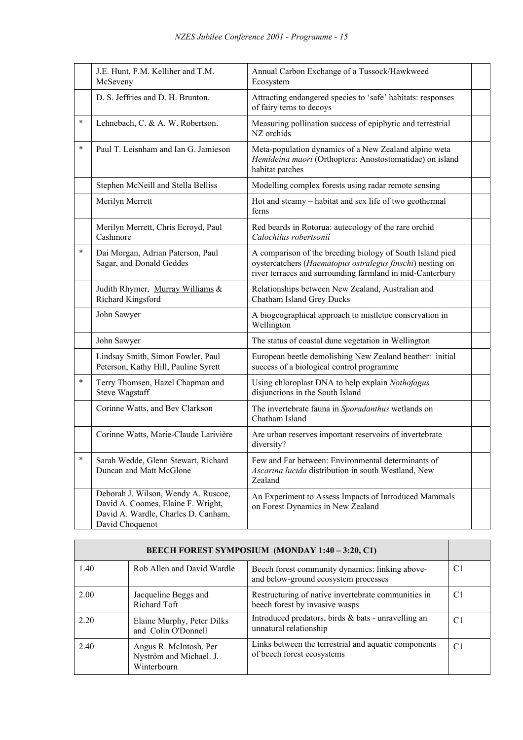|        | J.E. Hunt, F.M. Kelliher and T.M.<br>McSeveny                                                                                       | Annual Carbon Exchange of a Tussock/Hawkweed<br>Ecosystem                                                                                                                           |  |
|--------|-------------------------------------------------------------------------------------------------------------------------------------|-------------------------------------------------------------------------------------------------------------------------------------------------------------------------------------|--|
|        | D. S. Jeffries and D. H. Brunton.                                                                                                   | Attracting endangered species to 'safe' habitats: responses<br>of fairy terns to decoys                                                                                             |  |
| $\ast$ | Lehnebach, C. & A. W. Robertson.                                                                                                    | Measuring pollination success of epiphytic and terrestrial<br>NZ orchids                                                                                                            |  |
| $\ast$ | Paul T. Leisnham and Ian G. Jamieson                                                                                                | Meta-population dynamics of a New Zealand alpine weta<br>Hemideina maori (Orthoptera: Anostostomatidae) on island<br>habitat patches                                                |  |
|        | Stephen McNeill and Stella Belliss                                                                                                  | Modelling complex forests using radar remote sensing                                                                                                                                |  |
|        | Merilyn Merrett                                                                                                                     | Hot and steamy – habitat and sex life of two geothermal<br>ferns                                                                                                                    |  |
|        | Merilyn Merrett, Chris Ecroyd, Paul<br>Cashmore                                                                                     | Red beards in Rotorua: autecology of the rare orchid<br>Calochilus robertsonii                                                                                                      |  |
| $\ast$ | Dai Morgan, Adrian Paterson, Paul<br>Sagar, and Donald Geddes                                                                       | A comparison of the breeding biology of South Island pied<br>oystercatchers (Haematopus ostralegus finschi) nesting on<br>river terraces and surrounding farmland in mid-Canterbury |  |
|        | Judith Rhymer, Murray Williams &<br>Richard Kingsford                                                                               | Relationships between New Zealand, Australian and<br><b>Chatham Island Grey Ducks</b>                                                                                               |  |
|        | John Sawyer                                                                                                                         | A biogeographical approach to mistletoe conservation in<br>Wellington                                                                                                               |  |
|        | John Sawyer                                                                                                                         | The status of coastal dune vegetation in Wellington                                                                                                                                 |  |
|        | Lindsay Smith, Simon Fowler, Paul<br>Peterson, Kathy Hill, Pauline Syrett                                                           | European beetle demolishing New Zealand heather: initial<br>success of a biological control programme                                                                               |  |
| $\ast$ | Terry Thomsen, Hazel Chapman and<br><b>Steve Wagstaff</b>                                                                           | Using chloroplast DNA to help explain Nothofagus<br>disjunctions in the South Island                                                                                                |  |
|        | Corinne Watts, and Bev Clarkson                                                                                                     | The invertebrate fauna in Sporadanthus wetlands on<br>Chatham Island                                                                                                                |  |
|        | Corinne Watts, Marie-Claude Larivière                                                                                               | Are urban reserves important reservoirs of invertebrate<br>diversity?                                                                                                               |  |
|        | Sarah Wedde, Glenn Stewart, Richard<br>Duncan and Matt McGlone                                                                      | Few and Far between: Environmental determinants of<br>Ascarina lucida distribution in south Westland, New<br>Zealand                                                                |  |
|        | Deborah J. Wilson, Wendy A. Ruscoe,<br>David A. Coomes, Elaine F. Wright,<br>David A. Wardle, Charles D. Canham,<br>David Choquenot | An Experiment to Assess Impacts of Introduced Mammals<br>on Forest Dynamics in New Zealand                                                                                          |  |

| BEECH FOREST SYMPOSIUM (MONDAY 1:40 - 3:20, C1) |                                                                  |                                                                                         |                |
|-------------------------------------------------|------------------------------------------------------------------|-----------------------------------------------------------------------------------------|----------------|
| 1.40                                            | Rob Allen and David Wardle                                       | Beech forest community dynamics: linking above-<br>and below-ground ecosystem processes | C <sub>1</sub> |
| 2.00                                            | Jacqueline Beggs and<br>Richard Toft                             | Restructuring of native invertebrate communities in<br>beech forest by invasive wasps   | C <sub>1</sub> |
| 2.20                                            | Elaine Murphy, Peter Dilks<br>and Colin O'Donnell                | Introduced predators, birds & bats - unravelling an<br>unnatural relationship           | C <sub>1</sub> |
| 2.40                                            | Angus R. McIntosh, Per<br>Nyström and Michael. J.<br>Winterbourn | Links between the terrestrial and aquatic components<br>of beech forest ecosystems      | C <sub>1</sub> |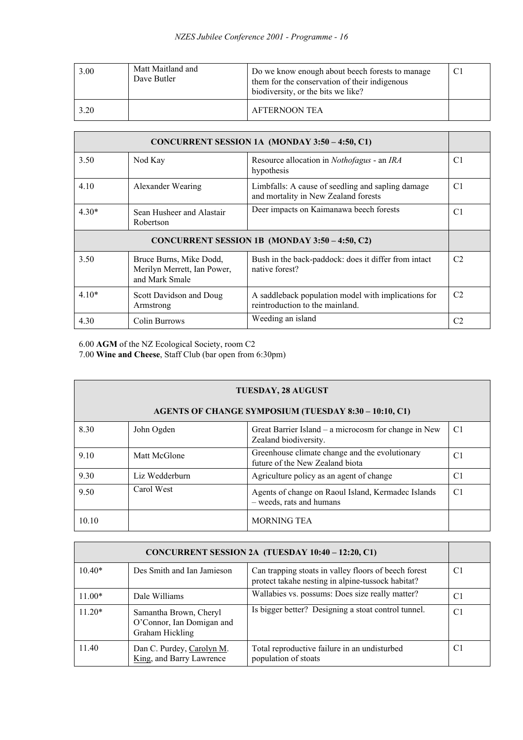| 3.00 | Matt Maitland and<br>Dave Butler | Do we know enough about beech forests to manage<br>them for the conservation of their indigenous<br>biodiversity, or the bits we like? | C1 |
|------|----------------------------------|----------------------------------------------------------------------------------------------------------------------------------------|----|
| 3.20 |                                  | <b>AFTERNOON TEA</b>                                                                                                                   |    |

|                                                |                                                                          | CONCURRENT SESSION 1A (MONDAY 3:50 – 4:50, C1)                                            |                |
|------------------------------------------------|--------------------------------------------------------------------------|-------------------------------------------------------------------------------------------|----------------|
| 3.50                                           | Nod Kay                                                                  | Resource allocation in <i>Nothofagus</i> - an <i>IRA</i><br>hypothesis                    | C <sub>1</sub> |
| 4.10                                           | Alexander Wearing                                                        | Limbfalls: A cause of seedling and sapling damage<br>and mortality in New Zealand forests | C <sub>1</sub> |
| $4.30*$                                        | Sean Husheer and Alastair<br>Robertson                                   | Deer impacts on Kaimanawa beech forests                                                   | C <sub>1</sub> |
| CONCURRENT SESSION 1B (MONDAY 3:50 – 4:50, C2) |                                                                          |                                                                                           |                |
| 3.50                                           | Bruce Burns, Mike Dodd,<br>Merilyn Merrett, Ian Power,<br>and Mark Smale | Bush in the back-paddock: does it differ from intact<br>native forest?                    | C2             |
| $4.10*$                                        | Scott Davidson and Doug<br>Armstrong                                     | A saddleback population model with implications for<br>reintroduction to the mainland.    | C2             |
| 4.30                                           | Colin Burrows                                                            | Weeding an island                                                                         | C2             |

6.00 AGM of the NZ Ecological Society, room C2

7.00 Wine and Cheese, Staff Club (bar open from 6:30pm)

|       | <b>TUESDAY, 28 AUGUST</b><br><b>AGENTS OF CHANGE SYMPOSIUM (TUESDAY 8:30 - 10:10, C1)</b> |                                                                                   |                |  |
|-------|-------------------------------------------------------------------------------------------|-----------------------------------------------------------------------------------|----------------|--|
| 8.30  | John Ogden                                                                                | Great Barrier Island – a microcosm for change in New<br>Zealand biodiversity.     | C <sub>1</sub> |  |
| 9.10  | Matt McGlone                                                                              | Greenhouse climate change and the evolutionary<br>future of the New Zealand biota | C1             |  |
| 9.30  | Liz Wedderburn                                                                            | Agriculture policy as an agent of change                                          | C1             |  |
| 9.50  | Carol West                                                                                | Agents of change on Raoul Island, Kermadec Islands<br>- weeds, rats and humans    | C <sub>1</sub> |  |
| 10.10 |                                                                                           | <b>MORNING TEA</b>                                                                |                |  |

| CONCURRENT SESSION 2A (TUESDAY 10:40 – 12:20, C1) |                                                                        |                                                                                                           |                |
|---------------------------------------------------|------------------------------------------------------------------------|-----------------------------------------------------------------------------------------------------------|----------------|
| $10.40*$                                          | Des Smith and Ian Jamieson                                             | Can trapping stoats in valley floors of beech forest<br>protect takahe nesting in alpine-tussock habitat? | C <sub>1</sub> |
| $11.00*$                                          | Dale Williams                                                          | Wallabies vs. possums: Does size really matter?                                                           | C <sub>1</sub> |
| $11.20*$                                          | Samantha Brown, Cheryl<br>O'Connor, Ian Domigan and<br>Graham Hickling | Is bigger better? Designing a stoat control tunnel.                                                       | C <sub>1</sub> |
| 11.40                                             | Dan C. Purdey, Carolyn M.<br>King, and Barry Lawrence                  | Total reproductive failure in an undisturbed<br>population of stoats                                      | C1             |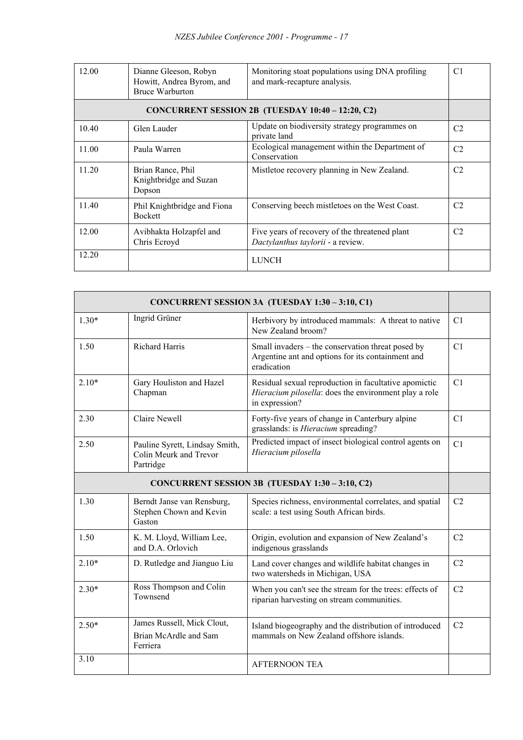| 12.00 | Dianne Gleeson, Robyn<br>Howitt, Andrea Byrom, and<br><b>Bruce Warburton</b> | Monitoring stoat populations using DNA profiling<br>and mark-recapture analysis.    | C <sub>1</sub> |
|-------|------------------------------------------------------------------------------|-------------------------------------------------------------------------------------|----------------|
|       |                                                                              | CONCURRENT SESSION 2B (TUESDAY 10:40 - 12:20, C2)                                   |                |
| 10.40 | Glen Lauder                                                                  | Update on biodiversity strategy programmes on<br>private land                       | C <sub>2</sub> |
| 11.00 | Paula Warren                                                                 | Ecological management within the Department of<br>Conservation                      | C <sub>2</sub> |
| 11.20 | Brian Rance, Phil<br>Knightbridge and Suzan<br>Dopson                        | Mistletoe recovery planning in New Zealand.                                         | C2             |
| 11.40 | Phil Knightbridge and Fiona<br><b>Bockett</b>                                | Conserving beech mistletoes on the West Coast.                                      | C <sub>2</sub> |
| 12.00 | Avibhakta Holzapfel and<br>Chris Ecroyd                                      | Five years of recovery of the threatened plant<br>Dactylanthus taylorii - a review. | C <sub>2</sub> |
| 12.20 |                                                                              | <b>LUNCH</b>                                                                        |                |

|                                                 |                                                                       | CONCURRENT SESSION 3A (TUESDAY 1:30 - 3:10, C1)                                                                                  |                |
|-------------------------------------------------|-----------------------------------------------------------------------|----------------------------------------------------------------------------------------------------------------------------------|----------------|
| $1.30*$                                         | Ingrid Grüner                                                         | Herbivory by introduced mammals: A threat to native<br>New Zealand broom?                                                        | C1             |
| 1.50                                            | <b>Richard Harris</b>                                                 | Small invaders – the conservation threat posed by<br>Argentine ant and options for its containment and<br>eradication            | C1             |
| $2.10*$                                         | Gary Houliston and Hazel<br>Chapman                                   | Residual sexual reproduction in facultative apomictic<br>Hieracium pilosella: does the environment play a role<br>in expression? | C <sub>1</sub> |
| 2.30                                            | Claire Newell                                                         | Forty-five years of change in Canterbury alpine<br>grasslands: is <i>Hieracium</i> spreading?                                    | C1             |
| 2.50                                            | Pauline Syrett, Lindsay Smith,<br>Colin Meurk and Trevor<br>Partridge | Predicted impact of insect biological control agents on<br>Hieracium pilosella                                                   | C1             |
| CONCURRENT SESSION 3B (TUESDAY 1:30 - 3:10, C2) |                                                                       |                                                                                                                                  |                |
| 1.30                                            | Berndt Janse van Rensburg,<br>Stephen Chown and Kevin<br>Gaston       | Species richness, environmental correlates, and spatial<br>scale: a test using South African birds.                              | C <sub>2</sub> |
| 1.50                                            | K. M. Lloyd, William Lee,<br>and D.A. Orlovich                        | Origin, evolution and expansion of New Zealand's<br>indigenous grasslands                                                        | C <sub>2</sub> |
| $2.10*$                                         | D. Rutledge and Jianguo Liu                                           | Land cover changes and wildlife habitat changes in<br>two watersheds in Michigan, USA                                            | C <sub>2</sub> |
| $2.30*$                                         | Ross Thompson and Colin<br>Townsend                                   | When you can't see the stream for the trees: effects of<br>riparian harvesting on stream communities.                            | C <sub>2</sub> |
| $2.50*$                                         | James Russell, Mick Clout,<br>Brian McArdle and Sam<br>Ferriera       | Island biogeography and the distribution of introduced<br>mammals on New Zealand offshore islands.                               | C <sub>2</sub> |
| 3.10                                            |                                                                       | <b>AFTERNOON TEA</b>                                                                                                             |                |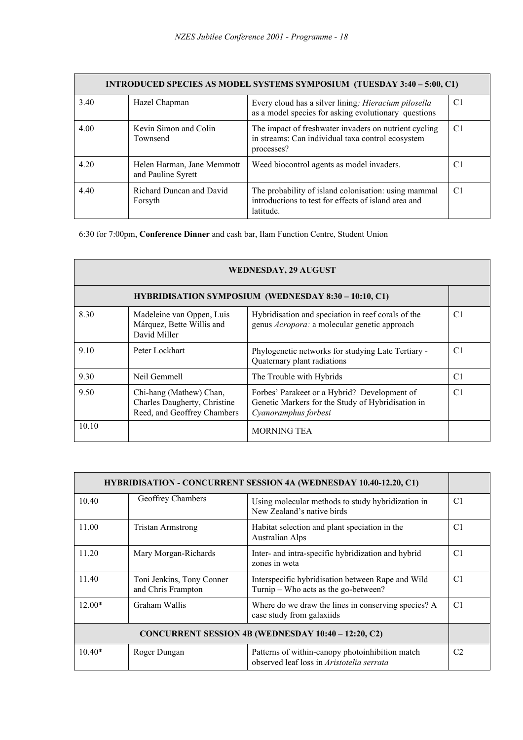|      | INTRODUCED SPECIES AS MODEL SYSTEMS SYMPOSIUM (TUESDAY 3:40 – 5:00, C1) |                                                                                                                           |                |  |  |
|------|-------------------------------------------------------------------------|---------------------------------------------------------------------------------------------------------------------------|----------------|--|--|
| 3.40 | Hazel Chapman                                                           | Every cloud has a silver lining; Hieracium pilosella<br>as a model species for asking evolutionary questions              | C <sub>1</sub> |  |  |
| 4.00 | Kevin Simon and Colin<br>Townsend                                       | The impact of freshwater invaders on nutrient cycling<br>in streams: Can individual taxa control ecosystem<br>processes?  | C <sub>1</sub> |  |  |
| 4.20 | Helen Harman, Jane Memmott<br>and Pauline Syrett                        | Weed biocontrol agents as model invaders.                                                                                 | C <sub>1</sub> |  |  |
| 4.40 | Richard Duncan and David<br>Forsyth                                     | The probability of island colonisation: using mammal<br>introductions to test for effects of island area and<br>latitude. | C <sub>1</sub> |  |  |

6:30 for 7:00pm, Conference Dinner and cash bar, Ilam Function Centre, Student Union

|       | <b>WEDNESDAY, 29 AUGUST</b>                                                            |                                                                                                                           |                |  |
|-------|----------------------------------------------------------------------------------------|---------------------------------------------------------------------------------------------------------------------------|----------------|--|
|       | <b>HYBRIDISATION SYMPOSIUM (WEDNESDAY 8:30 - 10:10, C1)</b>                            |                                                                                                                           |                |  |
| 8.30  | Madeleine van Oppen, Luis<br>Márquez, Bette Willis and<br>David Miller                 | Hybridisation and speciation in reef corals of the<br>genus Acropora: a molecular genetic approach                        | C <sub>1</sub> |  |
| 9.10  | Peter Lockhart                                                                         | Phylogenetic networks for studying Late Tertiary -<br>Quaternary plant radiations                                         | C <sub>1</sub> |  |
| 9.30  | Neil Gemmell                                                                           | The Trouble with Hybrids                                                                                                  | C <sub>1</sub> |  |
| 9.50  | Chi-hang (Mathew) Chan,<br>Charles Daugherty, Christine<br>Reed, and Geoffrey Chambers | Forbes' Parakeet or a Hybrid? Development of<br>Genetic Markers for the Study of Hybridisation in<br>Cyanoramphus forbesi | C <sub>1</sub> |  |
| 10.10 |                                                                                        | <b>MORNING TEA</b>                                                                                                        |                |  |

|                                                            |                                                 | HYBRIDISATION - CONCURRENT SESSION 4A (WEDNESDAY 10.40-12.20, C1)                            |                |
|------------------------------------------------------------|-------------------------------------------------|----------------------------------------------------------------------------------------------|----------------|
| 10.40                                                      | Geoffrey Chambers                               | Using molecular methods to study hybridization in<br>New Zealand's native birds              | C <sub>1</sub> |
| 11.00                                                      | <b>Tristan Armstrong</b>                        | Habitat selection and plant speciation in the<br>Australian Alps                             | C <sub>1</sub> |
| 11.20                                                      | Mary Morgan-Richards                            | Inter- and intra-specific hybridization and hybrid<br>zones in weta                          | C <sub>1</sub> |
| 11.40                                                      | Toni Jenkins, Tony Conner<br>and Chris Frampton | Interspecific hybridisation between Rape and Wild<br>Turnip – Who acts as the go-between?    | C <sub>1</sub> |
| $12.00*$                                                   | Graham Wallis                                   | Where do we draw the lines in conserving species? A<br>case study from galaxiids             | C <sub>1</sub> |
| <b>CONCURRENT SESSION 4B (WEDNESDAY 10:40 - 12:20, C2)</b> |                                                 |                                                                                              |                |
| $10.40*$                                                   | Roger Dungan                                    | Patterns of within-canopy photoinhibition match<br>observed leaf loss in Aristotelia serrata | C <sub>2</sub> |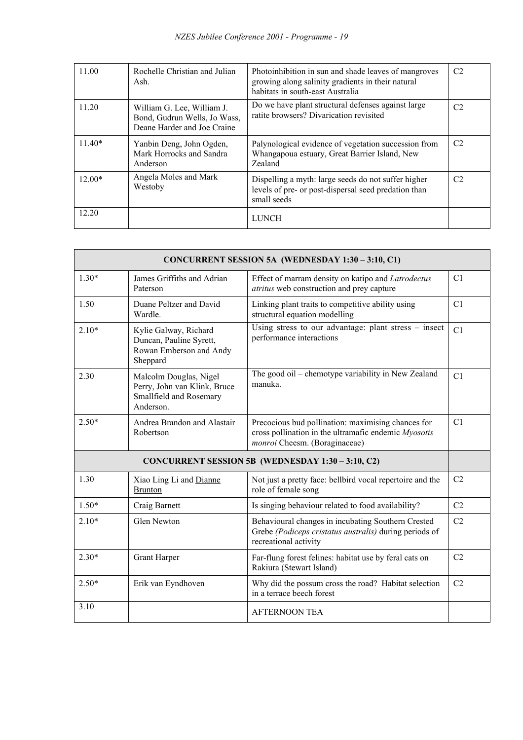| 11.00    | Rochelle Christian and Julian<br>Ash.                                                     | Photoinhibition in sun and shade leaves of mangroves<br>growing along salinity gradients in their natural<br>habitats in south-east Australia | C <sub>2</sub> |
|----------|-------------------------------------------------------------------------------------------|-----------------------------------------------------------------------------------------------------------------------------------------------|----------------|
| 11.20    | William G. Lee, William J.<br>Bond, Gudrun Wells, Jo Wass,<br>Deane Harder and Joe Craine | Do we have plant structural defenses against large<br>ratite browsers? Divarication revisited                                                 | C <sub>2</sub> |
| $11.40*$ | Yanbin Deng, John Ogden,<br>Mark Horrocks and Sandra<br>Anderson                          | Palynological evidence of vegetation succession from<br>Whangapoua estuary, Great Barrier Island, New<br>Zealand                              | C <sub>2</sub> |
| $12.00*$ | Angela Moles and Mark<br>Westoby                                                          | Dispelling a myth: large seeds do not suffer higher<br>levels of pre- or post-dispersal seed predation than<br>small seeds                    | C2             |
| 12.20    |                                                                                           | <b>LUNCH</b>                                                                                                                                  |                |

| CONCURRENT SESSION 5A (WEDNESDAY 1:30 - 3:10, C1) |                                                                                                |                                                                                                                                             |                |  |
|---------------------------------------------------|------------------------------------------------------------------------------------------------|---------------------------------------------------------------------------------------------------------------------------------------------|----------------|--|
| $1.30*$                                           | James Griffiths and Adrian<br>Paterson                                                         | Effect of marram density on katipo and Latrodectus<br><i>atritus</i> web construction and prey capture                                      | C1             |  |
| 1.50                                              | Duane Peltzer and David<br>Wardle.                                                             | Linking plant traits to competitive ability using<br>structural equation modelling                                                          | C1             |  |
| $2.10*$                                           | Kylie Galway, Richard<br>Duncan, Pauline Syrett,<br>Rowan Emberson and Andy<br>Sheppard        | Using stress to our advantage: plant stress – insect<br>performance interactions                                                            | C <sub>1</sub> |  |
| 2.30                                              | Malcolm Douglas, Nigel<br>Perry, John van Klink, Bruce<br>Smallfield and Rosemary<br>Anderson. | The good oil - chemotype variability in New Zealand<br>manuka.                                                                              | C <sub>1</sub> |  |
| $2.50*$                                           | Andrea Brandon and Alastair<br>Robertson                                                       | Precocious bud pollination: maximising chances for<br>cross pollination in the ultramafic endemic Myosotis<br>monroi Cheesm. (Boraginaceae) | C <sub>1</sub> |  |
|                                                   |                                                                                                | CONCURRENT SESSION 5B (WEDNESDAY 1:30 - 3:10, C2)                                                                                           |                |  |
| 1.30                                              | Xiao Ling Li and Dianne<br><b>Brunton</b>                                                      | Not just a pretty face: bellbird vocal repertoire and the<br>role of female song                                                            | C <sub>2</sub> |  |
| $1.50*$                                           | Craig Barnett                                                                                  | Is singing behaviour related to food availability?                                                                                          | C <sub>2</sub> |  |
| $2.10*$                                           | <b>Glen Newton</b>                                                                             | Behavioural changes in incubating Southern Crested<br>Grebe (Podiceps cristatus australis) during periods of<br>recreational activity       | C <sub>2</sub> |  |
| $2.30*$                                           | <b>Grant Harper</b>                                                                            | Far-flung forest felines: habitat use by feral cats on<br>Rakiura (Stewart Island)                                                          | C <sub>2</sub> |  |
| $2.50*$                                           | Erik van Eyndhoven                                                                             | Why did the possum cross the road? Habitat selection<br>in a terrace beech forest                                                           | C <sub>2</sub> |  |
| 3.10                                              |                                                                                                | <b>AFTERNOON TEA</b>                                                                                                                        |                |  |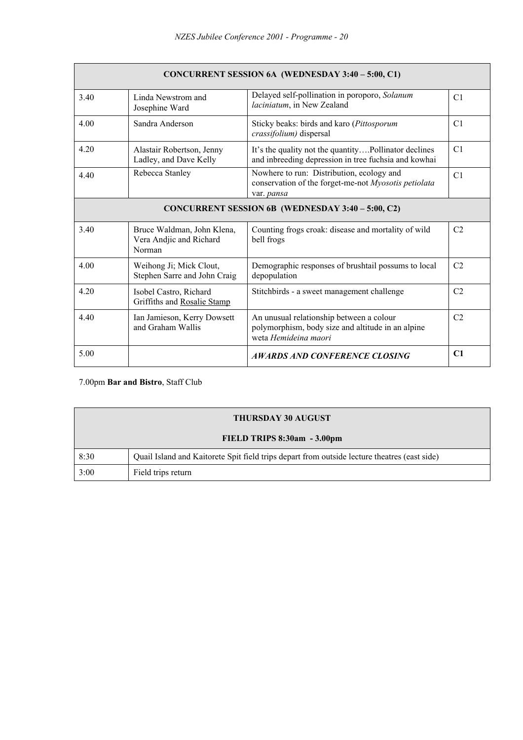| CONCURRENT SESSION 6A (WEDNESDAY 3:40 - 5:00, C1) |                                                                 |                                                                                                                       |                |  |
|---------------------------------------------------|-----------------------------------------------------------------|-----------------------------------------------------------------------------------------------------------------------|----------------|--|
| 3.40                                              | Linda Newstrom and<br>Josephine Ward                            | Delayed self-pollination in poroporo, Solanum<br>laciniatum, in New Zealand                                           | C <sub>1</sub> |  |
| 4.00                                              | Sandra Anderson                                                 | Sticky beaks: birds and karo (Pittosporum<br>crassifolium) dispersal                                                  | C <sub>1</sub> |  |
| 4.20                                              | Alastair Robertson, Jenny<br>Ladley, and Dave Kelly             | It's the quality not the quantityPollinator declines<br>and inbreeding depression in tree fuchsia and kowhai          | C <sub>1</sub> |  |
| 4.40                                              | Rebecca Stanley                                                 | Nowhere to run: Distribution, ecology and<br>conservation of the forget-me-not Myosotis petiolata<br>var. pansa       | C <sub>1</sub> |  |
|                                                   |                                                                 | CONCURRENT SESSION 6B (WEDNESDAY 3:40 - 5:00, C2)                                                                     |                |  |
| 3.40                                              | Bruce Waldman, John Klena,<br>Vera Andjic and Richard<br>Norman | Counting frogs croak: disease and mortality of wild<br>bell frogs                                                     | C <sub>2</sub> |  |
| 4.00                                              | Weihong Ji; Mick Clout,<br>Stephen Sarre and John Craig         | Demographic responses of brushtail possums to local<br>depopulation                                                   | C <sub>2</sub> |  |
| 4.20                                              | Isobel Castro, Richard<br>Griffiths and Rosalie Stamp           | Stitchbirds - a sweet management challenge                                                                            | C <sub>2</sub> |  |
| 4.40                                              | Ian Jamieson, Kerry Dowsett<br>and Graham Wallis                | An unusual relationship between a colour<br>polymorphism, body size and altitude in an alpine<br>weta Hemideina maori | C <sub>2</sub> |  |
| 5.00                                              |                                                                 | <b>AWARDS AND CONFERENCE CLOSING</b>                                                                                  | C <sub>1</sub> |  |

7.00pm Bar and Bistro, Staff Club

| <b>THURSDAY 30 AUGUST</b>   |                                                                                              |  |  |
|-----------------------------|----------------------------------------------------------------------------------------------|--|--|
| FIELD TRIPS 8:30am - 3.00pm |                                                                                              |  |  |
| 8:30                        | Quail Island and Kaitorete Spit field trips depart from outside lecture theatres (east side) |  |  |
| 3:00                        | Field trips return                                                                           |  |  |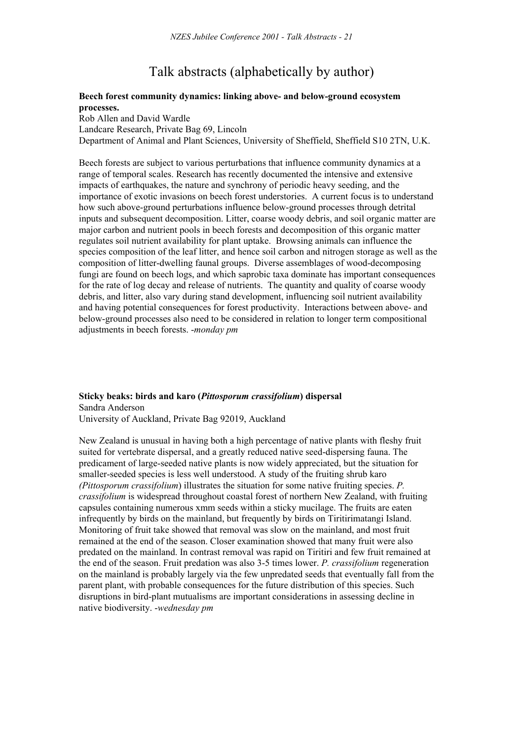# Talk abstracts (alphabetically by author)

## Beech forest community dynamics: linking above- and below-ground ecosystem processes.

Rob Allen and David Wardle Landcare Research, Private Bag 69, Lincoln Department of Animal and Plant Sciences, University of Sheffield, Sheffield S10 2TN, U.K.

Beech forests are subject to various perturbations that influence community dynamics at a range of temporal scales. Research has recently documented the intensive and extensive impacts of earthquakes, the nature and synchrony of periodic heavy seeding, and the importance of exotic invasions on beech forest understories. A current focus is to understand how such above-ground perturbations influence below-ground processes through detrital inputs and subsequent decomposition. Litter, coarse woody debris, and soil organic matter are major carbon and nutrient pools in beech forests and decomposition of this organic matter regulates soil nutrient availability for plant uptake. Browsing animals can influence the species composition of the leaf litter, and hence soil carbon and nitrogen storage as well as the composition of litter-dwelling faunal groups. Diverse assemblages of wood-decomposing fungi are found on beech logs, and which saprobic taxa dominate has important consequences for the rate of log decay and release of nutrients. The quantity and quality of coarse woody debris, and litter, also vary during stand development, influencing soil nutrient availability and having potential consequences for forest productivity. Interactions between above- and below-ground processes also need to be considered in relation to longer term compositional adjustments in beech forests. -*monday pm*

# Sticky beaks: birds and karo (*Pittosporum crassifolium*) dispersal Sandra Anderson

University of Auckland, Private Bag 92019, Auckland

New Zealand is unusual in having both a high percentage of native plants with fleshy fruit suited for vertebrate dispersal, and a greatly reduced native seed-dispersing fauna. The predicament of large-seeded native plants is now widely appreciated, but the situation for smaller-seeded species is less well understood. A study of the fruiting shrub karo *(Pittosporum crassifolium*) illustrates the situation for some native fruiting species. *P. crassifolium* is widespread throughout coastal forest of northern New Zealand, with fruiting capsules containing numerous xmm seeds within a sticky mucilage. The fruits are eaten infrequently by birds on the mainland, but frequently by birds on Tiritirimatangi Island. Monitoring of fruit take showed that removal was slow on the mainland, and most fruit remained at the end of the season. Closer examination showed that many fruit were also predated on the mainland. In contrast removal was rapid on Tiritiri and few fruit remained at the end of the season. Fruit predation was also 3-5 times lower. *P. crassifolium* regeneration on the mainland is probably largely via the few unpredated seeds that eventually fall from the parent plant, with probable consequences for the future distribution of this species. Such disruptions in bird-plant mutualisms are important considerations in assessing decline in native biodiversity. -*wednesday pm*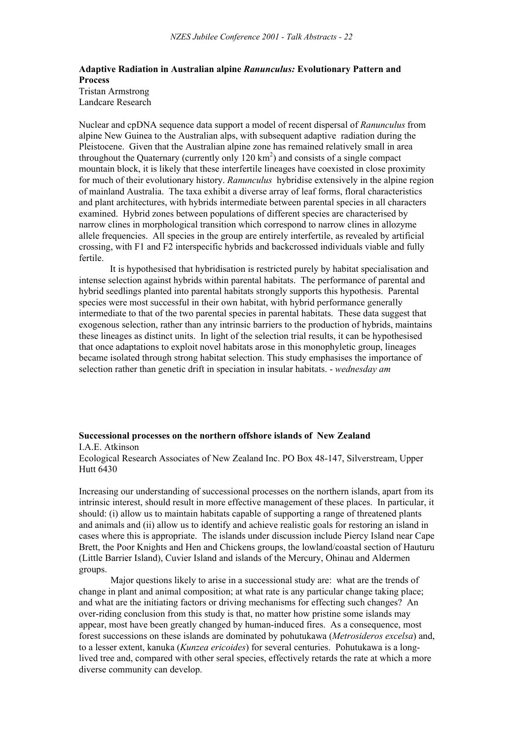# Adaptive Radiation in Australian alpine *Ranunculus:* Evolutionary Pattern and **Process**

Tristan Armstrong Landcare Research

Nuclear and cpDNA sequence data support a model of recent dispersal of *Ranunculus* from alpine New Guinea to the Australian alps, with subsequent adaptive radiation during the Pleistocene. Given that the Australian alpine zone has remained relatively small in area throughout the Quaternary (currently only  $120 \text{ km}^2$ ) and consists of a single compact mountain block, it is likely that these interfertile lineages have coexisted in close proximity for much of their evolutionary history. *Ranunculus* hybridise extensively in the alpine region of mainland Australia. The taxa exhibit a diverse array of leaf forms, floral characteristics and plant architectures, with hybrids intermediate between parental species in all characters examined. Hybrid zones between populations of different species are characterised by narrow clines in morphological transition which correspond to narrow clines in allozyme allele frequencies. All species in the group are entirely interfertile, as revealed by artificial crossing, with F1 and F2 interspecific hybrids and backcrossed individuals viable and fully fertile.

It is hypothesised that hybridisation is restricted purely by habitat specialisation and intense selection against hybrids within parental habitats. The performance of parental and hybrid seedlings planted into parental habitats strongly supports this hypothesis. Parental species were most successful in their own habitat, with hybrid performance generally intermediate to that of the two parental species in parental habitats. These data suggest that exogenous selection, rather than any intrinsic barriers to the production of hybrids, maintains these lineages as distinct units. In light of the selection trial results, it can be hypothesised that once adaptations to exploit novel habitats arose in this monophyletic group, lineages became isolated through strong habitat selection. This study emphasises the importance of selection rather than genetic drift in speciation in insular habitats. - *wednesday am*

#### Successional processes on the northern offshore islands of New Zealand I.A.E. Atkinson

Ecological Research Associates of New Zealand Inc. PO Box 48-147, Silverstream, Upper Hutt 6430

Increasing our understanding of successional processes on the northern islands, apart from its intrinsic interest, should result in more effective management of these places. In particular, it should: (i) allow us to maintain habitats capable of supporting a range of threatened plants and animals and (ii) allow us to identify and achieve realistic goals for restoring an island in cases where this is appropriate. The islands under discussion include Piercy Island near Cape Brett, the Poor Knights and Hen and Chickens groups, the lowland/coastal section of Hauturu (Little Barrier Island), Cuvier Island and islands of the Mercury, Ohinau and Aldermen groups.

Major questions likely to arise in a successional study are: what are the trends of change in plant and animal composition; at what rate is any particular change taking place; and what are the initiating factors or driving mechanisms for effecting such changes? An over-riding conclusion from this study is that, no matter how pristine some islands may appear, most have been greatly changed by human-induced fires. As a consequence, most forest successions on these islands are dominated by pohutukawa (*Metrosideros excelsa*) and, to a lesser extent, kanuka (*Kunzea ericoides*) for several centuries. Pohutukawa is a longlived tree and, compared with other seral species, effectively retards the rate at which a more diverse community can develop.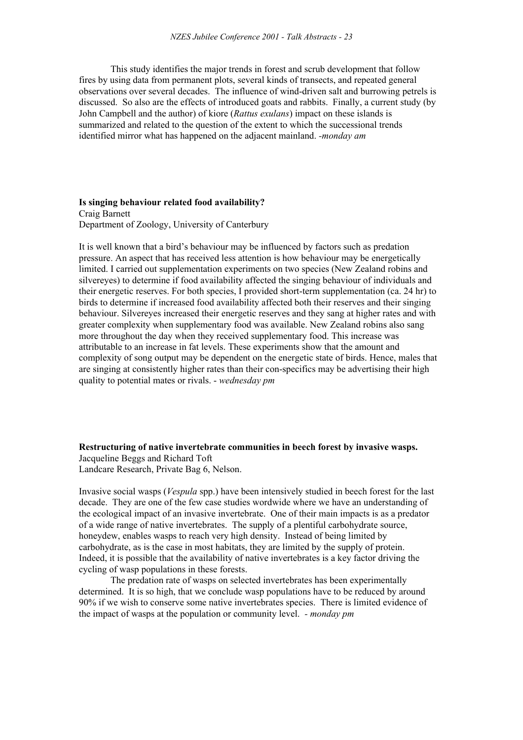This study identifies the major trends in forest and scrub development that follow fires by using data from permanent plots, several kinds of transects, and repeated general observations over several decades. The influence of wind-driven salt and burrowing petrels is discussed. So also are the effects of introduced goats and rabbits. Finally, a current study (by John Campbell and the author) of kiore (*Rattus exulans*) impact on these islands is summarized and related to the question of the extent to which the successional trends identified mirror what has happened on the adjacent mainland. *-monday am*

#### Is singing behaviour related food availability? Craig Barnett Department of Zoology, University of Canterbury

It is well known that a bird's behaviour may be influenced by factors such as predation pressure. An aspect that has received less attention is how behaviour may be energetically limited. I carried out supplementation experiments on two species (New Zealand robins and silvereyes) to determine if food availability affected the singing behaviour of individuals and their energetic reserves. For both species, I provided short-term supplementation (ca. 24 hr) to birds to determine if increased food availability affected both their reserves and their singing behaviour. Silvereyes increased their energetic reserves and they sang at higher rates and with greater complexity when supplementary food was available. New Zealand robins also sang more throughout the day when they received supplementary food. This increase was attributable to an increase in fat levels. These experiments show that the amount and complexity of song output may be dependent on the energetic state of birds. Hence, males that are singing at consistently higher rates than their con-specifics may be advertising their high quality to potential mates or rivals. - *wednesday pm*

#### Restructuring of native invertebrate communities in beech forest by invasive wasps. Jacqueline Beggs and Richard Toft

Landcare Research, Private Bag 6, Nelson.

Invasive social wasps (*Vespula* spp.) have been intensively studied in beech forest for the last decade. They are one of the few case studies wordwide where we have an understanding of the ecological impact of an invasive invertebrate. One of their main impacts is as a predator of a wide range of native invertebrates. The supply of a plentiful carbohydrate source, honeydew, enables wasps to reach very high density. Instead of being limited by carbohydrate, as is the case in most habitats, they are limited by the supply of protein. Indeed, it is possible that the availability of native invertebrates is a key factor driving the cycling of wasp populations in these forests.

The predation rate of wasps on selected invertebrates has been experimentally determined. It is so high, that we conclude wasp populations have to be reduced by around 90% if we wish to conserve some native invertebrates species. There is limited evidence of the impact of wasps at the population or community level. *- monday pm*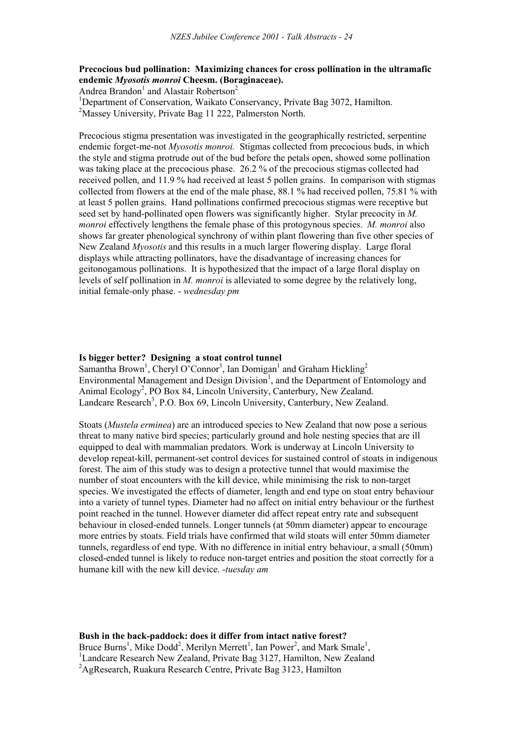## Precocious bud pollination: Maximizing chances for cross pollination in the ultramafic endemic *Myosotis monroi* Cheesm. (Boraginaceae).

Andrea Brandon<sup>1</sup> and Alastair Robertson<sup>2</sup>

<sup>1</sup>Department of Conservation, Waikato Conservancy, Private Bag 3072, Hamilton.

<sup>2</sup>Massey University, Private Bag 11 222, Palmerston North.

Precocious stigma presentation was investigated in the geographically restricted, serpentine endemic forget-me-not *Myosotis monroi.* Stigmas collected from precocious buds, in which the style and stigma protrude out of the bud before the petals open, showed some pollination was taking place at the precocious phase. 26.2 % of the precocious stigmas collected had received pollen, and 11.9 % had received at least 5 pollen grains. In comparison with stigmas collected from flowers at the end of the male phase, 88.1 % had received pollen, 75.81 % with at least 5 pollen grains. Hand pollinations confirmed precocious stigmas were receptive but seed set by hand-pollinated open flowers was significantly higher. Stylar precocity in *M. monroi* effectively lengthens the female phase of this protogynous species. *M. monroi* also shows far greater phenological synchrony of within plant flowering than five other species of New Zealand *Myosotis* and this results in a much larger flowering display. Large floral displays while attracting pollinators, have the disadvantage of increasing chances for geitonogamous pollinations. It is hypothesized that the impact of a large floral display on levels of self pollination in *M. monroi* is alleviated to some degree by the relatively long, initial female-only phase. - *wednesday pm*

#### Is bigger better? Designing a stoat control tunnel

Samantha Brown<sup>1</sup>, Cheryl O'Connor<sup>3</sup>, Ian Domigan<sup>1</sup> and Graham Hickling<sup>2</sup> Environmental Management and Design Division<sup>1</sup>, and the Department of Entomology and Animal Ecology<sup>2</sup>, PO Box 84, Lincoln University, Canterbury, New Zealand. Landcare Research<sup>3</sup>, P.O. Box 69, Lincoln University, Canterbury, New Zealand.

Stoats (*Mustela erminea*) are an introduced species to New Zealand that now pose a serious threat to many native bird species; particularly ground and hole nesting species that are ill equipped to deal with mammalian predators. Work is underway at Lincoln University to develop repeat-kill, permanent-set control devices for sustained control of stoats in indigenous forest. The aim of this study was to design a protective tunnel that would maximise the number of stoat encounters with the kill device, while minimising the risk to non-target species. We investigated the effects of diameter, length and end type on stoat entry behaviour into a variety of tunnel types. Diameter had no affect on initial entry behaviour or the furthest point reached in the tunnel. However diameter did affect repeat entry rate and subsequent behaviour in closed-ended tunnels. Longer tunnels (at 50mm diameter) appear to encourage more entries by stoats. Field trials have confirmed that wild stoats will enter 50mm diameter tunnels, regardless of end type. With no difference in initial entry behaviour, a small (50mm) closed-ended tunnel is likely to reduce non-target entries and position the stoat correctly for a humane kill with the new kill device. -*tuesday am*

## Bush in the back-paddock: does it differ from intact native forest? Bruce Burns<sup>1</sup>, Mike Dodd<sup>2</sup>, Merilyn Merrett<sup>1</sup>, Ian Power<sup>2</sup>, and Mark Smale<sup>1</sup>,  $\frac{1}{2}I$  and early Research New Zealand, Private Bog 3127, Hamilton, New Zealand <sup>1</sup>Landcare Research New Zealand, Private Bag 3127, Hamilton, New Zealand <sup>2</sup> AgResearch, Ruakura Research Centre, Private Bag 3123, Hamilton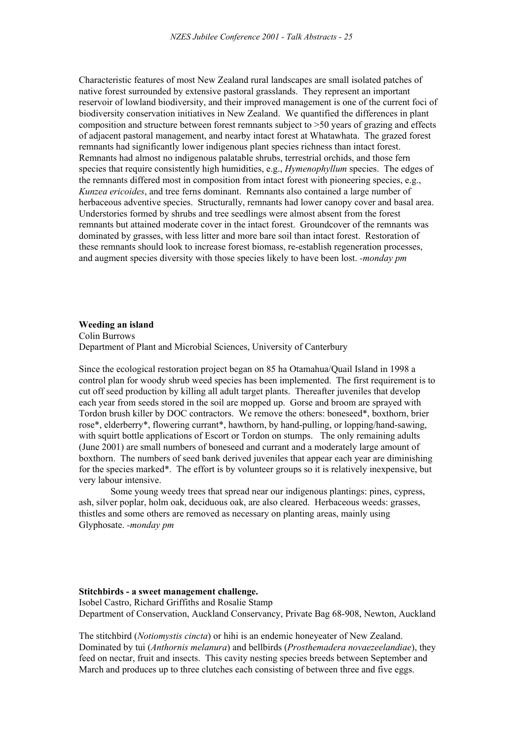Characteristic features of most New Zealand rural landscapes are small isolated patches of native forest surrounded by extensive pastoral grasslands. They represent an important reservoir of lowland biodiversity, and their improved management is one of the current foci of biodiversity conservation initiatives in New Zealand. We quantified the differences in plant composition and structure between forest remnants subject to >50 years of grazing and effects of adjacent pastoral management, and nearby intact forest at Whatawhata. The grazed forest remnants had significantly lower indigenous plant species richness than intact forest. Remnants had almost no indigenous palatable shrubs, terrestrial orchids, and those fern species that require consistently high humidities, e.g., *Hymenophyllum* species. The edges of the remnants differed most in composition from intact forest with pioneering species, e.g., *Kunzea ericoides*, and tree ferns dominant. Remnants also contained a large number of herbaceous adventive species. Structurally, remnants had lower canopy cover and basal area. Understories formed by shrubs and tree seedlings were almost absent from the forest remnants but attained moderate cover in the intact forest. Groundcover of the remnants was dominated by grasses, with less litter and more bare soil than intact forest. Restoration of these remnants should look to increase forest biomass, re-establish regeneration processes, and augment species diversity with those species likely to have been lost. *-monday pm*

## Weeding an island

Colin Burrows

Department of Plant and Microbial Sciences, University of Canterbury

Since the ecological restoration project began on 85 ha Otamahua/Quail Island in 1998 a control plan for woody shrub weed species has been implemented. The first requirement is to cut off seed production by killing all adult target plants. Thereafter juveniles that develop each year from seeds stored in the soil are mopped up. Gorse and broom are sprayed with Tordon brush killer by DOC contractors. We remove the others: boneseed\*, boxthorn, brier rose\*, elderberry\*, flowering currant\*, hawthorn, by hand-pulling, or lopping/hand-sawing, with squirt bottle applications of Escort or Tordon on stumps. The only remaining adults (June 2001) are small numbers of boneseed and currant and a moderately large amount of boxthorn. The numbers of seed bank derived juveniles that appear each year are diminishing for the species marked\*. The effort is by volunteer groups so it is relatively inexpensive, but very labour intensive.

Some young weedy trees that spread near our indigenous plantings: pines, cypress, ash, silver poplar, holm oak, deciduous oak, are also cleared. Herbaceous weeds: grasses, thistles and some others are removed as necessary on planting areas, mainly using Glyphosate. *-monday pm*

#### Stitchbirds - a sweet management challenge.

Isobel Castro, Richard Griffiths and Rosalie Stamp Department of Conservation, Auckland Conservancy, Private Bag 68-908, Newton, Auckland

The stitchbird (*Notiomystis cincta*) or hihi is an endemic honeyeater of New Zealand. Dominated by tui (*Anthornis melanura*) and bellbirds (*Prosthemadera novaezeelandiae*), they feed on nectar, fruit and insects. This cavity nesting species breeds between September and March and produces up to three clutches each consisting of between three and five eggs.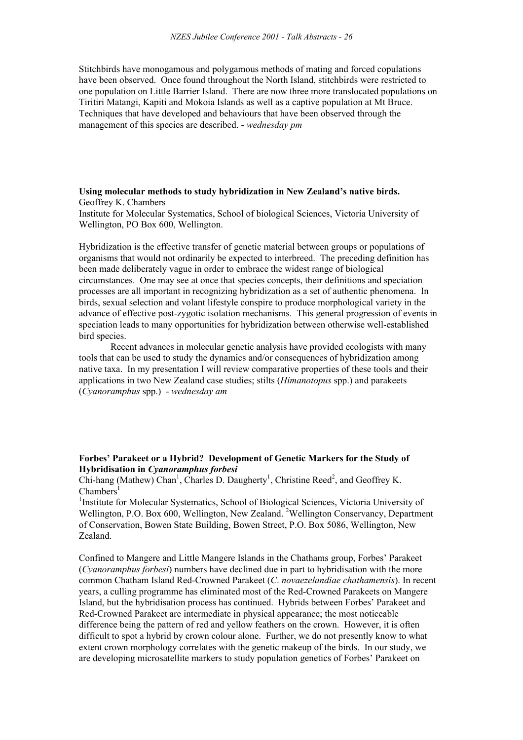Stitchbirds have monogamous and polygamous methods of mating and forced copulations have been observed. Once found throughout the North Island, stitchbirds were restricted to one population on Little Barrier Island. There are now three more translocated populations on Tiritiri Matangi, Kapiti and Mokoia Islands as well as a captive population at Mt Bruce. Techniques that have developed and behaviours that have been observed through the management of this species are described. - *wednesday pm*

### Using molecular methods to study hybridization in New Zealand's native birds. Geoffrey K. Chambers

Institute for Molecular Systematics, School of biological Sciences, Victoria University of Wellington, PO Box 600, Wellington.

Hybridization is the effective transfer of genetic material between groups or populations of organisms that would not ordinarily be expected to interbreed. The preceding definition has been made deliberately vague in order to embrace the widest range of biological circumstances. One may see at once that species concepts, their definitions and speciation processes are all important in recognizing hybridization as a set of authentic phenomena. In birds, sexual selection and volant lifestyle conspire to produce morphological variety in the advance of effective post-zygotic isolation mechanisms. This general progression of events in speciation leads to many opportunities for hybridization between otherwise well-established bird species.

Recent advances in molecular genetic analysis have provided ecologists with many tools that can be used to study the dynamics and/or consequences of hybridization among native taxa. In my presentation I will review comparative properties of these tools and their applications in two New Zealand case studies; stilts (*Himanotopus* spp.) and parakeets (*Cyanoramphus* spp.) - *wednesday am*

## Forbes' Parakeet or a Hybrid? Development of Genetic Markers for the Study of Hybridisation in *Cyanoramphus forbesi*

Chi-hang (Mathew) Chan<sup>1</sup>, Charles D. Daugherty<sup>1</sup>, Christine Reed<sup>2</sup>, and Geoffrey K. Chambers

<sup>1</sup>Institute for Molecular Systematics, School of Biological Sciences, Victoria University of Wellington, P.O. Box 600, Wellington, New Zealand. <sup>2</sup>Wellington Conservancy, Department of Conservation, Bowen State Building, Bowen Street, P.O. Box 5086, Wellington, New Zealand.

Confined to Mangere and Little Mangere Islands in the Chathams group, Forbes' Parakeet (*Cyanoramphus forbesi*) numbers have declined due in part to hybridisation with the more common Chatham Island Red-Crowned Parakeet (*C*. *novaezelandiae chathamensis*). In recent years, a culling programme has eliminated most of the Red-Crowned Parakeets on Mangere Island, but the hybridisation process has continued. Hybrids between Forbes' Parakeet and Red-Crowned Parakeet are intermediate in physical appearance; the most noticeable difference being the pattern of red and yellow feathers on the crown. However, it is often difficult to spot a hybrid by crown colour alone. Further, we do not presently know to what extent crown morphology correlates with the genetic makeup of the birds. In our study, we are developing microsatellite markers to study population genetics of Forbes' Parakeet on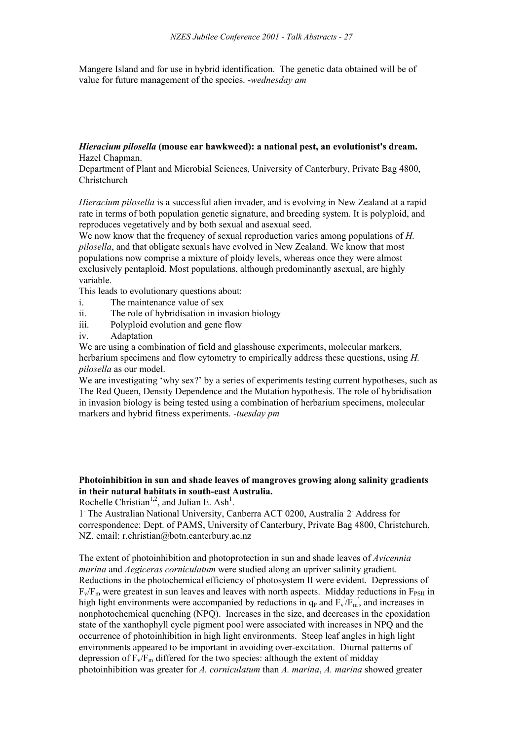Mangere Island and for use in hybrid identification. The genetic data obtained will be of value for future management of the species. -*wednesday am*

*Hieracium pilosella* (mouse ear hawkweed): a national pest, an evolutionist's dream. Hazel Chapman.

Department of Plant and Microbial Sciences, University of Canterbury, Private Bag 4800, Christchurch

*Hieracium pilosella* is a successful alien invader, and is evolving in New Zealand at a rapid rate in terms of both population genetic signature, and breeding system. It is polyploid, and reproduces vegetatively and by both sexual and asexual seed.

We now know that the frequency of sexual reproduction varies among populations of *H. pilosella*, and that obligate sexuals have evolved in New Zealand. We know that most populations now comprise a mixture of ploidy levels, whereas once they were almost exclusively pentaploid. Most populations, although predominantly asexual, are highly variable.

This leads to evolutionary questions about:

- i. The maintenance value of sex
- ii. The role of hybridisation in invasion biology
- iii. Polyploid evolution and gene flow
- iv. Adaptation

We are using a combination of field and glasshouse experiments, molecular markers, herbarium specimens and flow cytometry to empirically address these questions, using *H. pilosella* as our model.

We are investigating 'why sex?' by a series of experiments testing current hypotheses, such as The Red Queen, Density Dependence and the Mutation hypothesis. The role of hybridisation in invasion biology is being tested using a combination of herbarium specimens, molecular markers and hybrid fitness experiments. -*tuesday pm*

Photoinhibition in sun and shade leaves of mangroves growing along salinity gradients in their natural habitats in south-east Australia.

Rochelle Christian<sup>1,2</sup>, and Julian E. Ash<sup>1</sup>.

1. The Australian National University, Canberra ACT 0200, Australia. 2. Address for correspondence: Dept. of PAMS, University of Canterbury, Private Bag 4800, Christchurch, NZ. email: r.christian@botn.canterbury.ac.nz

The extent of photoinhibition and photoprotection in sun and shade leaves of *Avicennia marina* and *Aegiceras corniculatum* were studied along an upriver salinity gradient. Reductions in the photochemical efficiency of photosystem II were evident. Depressions of  $F_v/F_m$  were greatest in sun leaves and leaves with north aspects. Midday reductions in  $F_{PSII}$  in high light environments were accompanied by reductions in  $q_P$  and  $F_v/F_m$ , and increases in nonphotochemical quenching (NPQ). Increases in the size, and decreases in the epoxidation state of the xanthophyll cycle pigment pool were associated with increases in NPQ and the occurrence of photoinhibition in high light environments. Steep leaf angles in high light environments appeared to be important in avoiding over-excitation. Diurnal patterns of depression of  $F_v/F_m$  differed for the two species: although the extent of midday photoinhibition was greater for *A. corniculatum* than *A. marina*, *A. marina* showed greater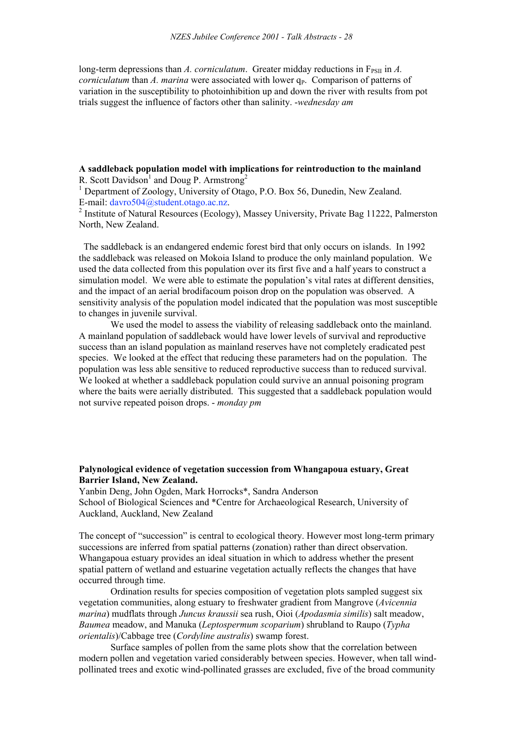long-term depressions than *A. corniculatum.* Greater midday reductions in  $F_{PSTI}$  in *A. corniculatum* than *A. marina* were associated with lower q<sub>p</sub>. Comparison of patterns of variation in the susceptibility to photoinhibition up and down the river with results from pot trials suggest the influence of factors other than salinity. -*wednesday am*

A saddleback population model with implications for reintroduction to the mainland R. Scott Davidson<sup>1</sup> and Doug P. Armstrong<sup>2</sup>

<sup>1</sup> Department of Zoology, University of Otago, P.O. Box 56, Dunedin, New Zealand. E-mail: davro504@student.otago.ac.nz.

<sup>2</sup> Institute of Natural Resources (Ecology), Massey University, Private Bag 11222, Palmerston North, New Zealand.

 The saddleback is an endangered endemic forest bird that only occurs on islands. In 1992 the saddleback was released on Mokoia Island to produce the only mainland population. We used the data collected from this population over its first five and a half years to construct a simulation model. We were able to estimate the population's vital rates at different densities, and the impact of an aerial brodifacoum poison drop on the population was observed. A sensitivity analysis of the population model indicated that the population was most susceptible to changes in juvenile survival.

We used the model to assess the viability of releasing saddleback onto the mainland. A mainland population of saddleback would have lower levels of survival and reproductive success than an island population as mainland reserves have not completely eradicated pest species. We looked at the effect that reducing these parameters had on the population. The population was less able sensitive to reduced reproductive success than to reduced survival. We looked at whether a saddleback population could survive an annual poisoning program where the baits were aerially distributed. This suggested that a saddleback population would not survive repeated poison drops. - *monday pm*

## Palynological evidence of vegetation succession from Whangapoua estuary, Great Barrier Island, New Zealand.

Yanbin Deng, John Ogden, Mark Horrocks\*, Sandra Anderson School of Biological Sciences and \*Centre for Archaeological Research, University of Auckland, Auckland, New Zealand

The concept of "succession" is central to ecological theory. However most long-term primary successions are inferred from spatial patterns (zonation) rather than direct observation. Whangapoua estuary provides an ideal situation in which to address whether the present spatial pattern of wetland and estuarine vegetation actually reflects the changes that have occurred through time.

Ordination results for species composition of vegetation plots sampled suggest six vegetation communities, along estuary to freshwater gradient from Mangrove (*Avicennia marina*) mudflats through *Juncus kraussii* sea rush, Oioi (*Apodasmia similis*) salt meadow, *Baumea* meadow, and Manuka (*Leptospermum scoparium*) shrubland to Raupo (*Typha orientalis*)/Cabbage tree (*Cordyline australis*) swamp forest.

Surface samples of pollen from the same plots show that the correlation between modern pollen and vegetation varied considerably between species. However, when tall windpollinated trees and exotic wind-pollinated grasses are excluded, five of the broad community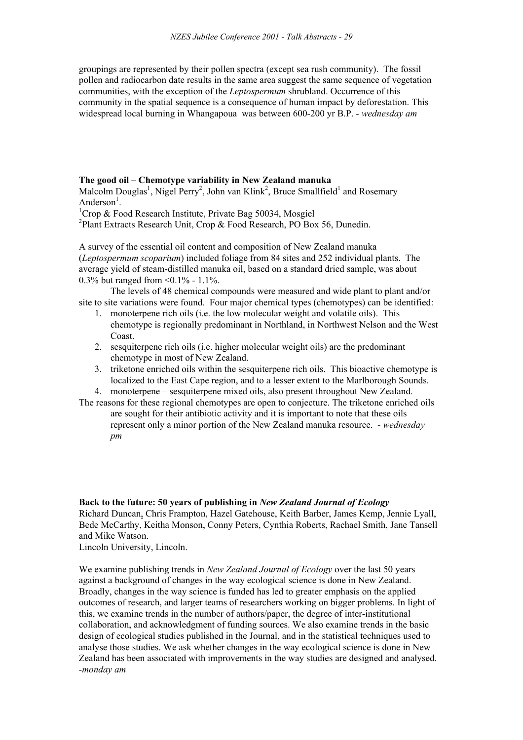groupings are represented by their pollen spectra (except sea rush community). The fossil pollen and radiocarbon date results in the same area suggest the same sequence of vegetation communities, with the exception of the *Leptospermum* shrubland. Occurrence of this community in the spatial sequence is a consequence of human impact by deforestation. This widespread local burning in Whangapoua was between 600-200 yr B.P. - *wednesday am*

## The good oil – Chemotype variability in New Zealand manuka

Malcolm Douglas<sup>1</sup>, Nigel Perry<sup>2</sup>, John van Klink<sup>2</sup>, Bruce Smallfield<sup>1</sup> and Rosemary Anderson<sup>1</sup>.<br><sup>1</sup>Crop & Eq.

<sup>1</sup>Crop & Food Research Institute, Private Bag 50034, Mosgiel

<sup>2</sup>Plant Extracts Research Unit, Crop & Food Research, PO Box 56, Dunedin.

A survey of the essential oil content and composition of New Zealand manuka (*Leptospermum scoparium*) included foliage from 84 sites and 252 individual plants. The average yield of steam-distilled manuka oil, based on a standard dried sample, was about 0.3% but ranged from <0.1% - 1.1%.

The levels of 48 chemical compounds were measured and wide plant to plant and/or site to site variations were found. Four major chemical types (chemotypes) can be identified:

- 1. monoterpene rich oils (i.e. the low molecular weight and volatile oils). This chemotype is regionally predominant in Northland, in Northwest Nelson and the West Coast.
- 2. sesquiterpene rich oils (i.e. higher molecular weight oils) are the predominant chemotype in most of New Zealand.
- 3. triketone enriched oils within the sesquiterpene rich oils. This bioactive chemotype is localized to the East Cape region, and to a lesser extent to the Marlborough Sounds.
- 4. monoterpene sesquiterpene mixed oils, also present throughout New Zealand.
- The reasons for these regional chemotypes are open to conjecture. The triketone enriched oils are sought for their antibiotic activity and it is important to note that these oils represent only a minor portion of the New Zealand manuka resource. *- wednesday pm*

Back to the future: 50 years of publishing in *New Zealand Journal of Ecology* Richard Duncan, Chris Frampton, Hazel Gatehouse, Keith Barber, James Kemp, Jennie Lyall, Bede McCarthy, Keitha Monson, Conny Peters, Cynthia Roberts, Rachael Smith, Jane Tansell and Mike Watson.

Lincoln University, Lincoln.

We examine publishing trends in *New Zealand Journal of Ecology* over the last 50 years against a background of changes in the way ecological science is done in New Zealand. Broadly, changes in the way science is funded has led to greater emphasis on the applied outcomes of research, and larger teams of researchers working on bigger problems. In light of this, we examine trends in the number of authors/paper, the degree of inter-institutional collaboration, and acknowledgment of funding sources. We also examine trends in the basic design of ecological studies published in the Journal, and in the statistical techniques used to analyse those studies. We ask whether changes in the way ecological science is done in New Zealand has been associated with improvements in the way studies are designed and analysed. -*monday am*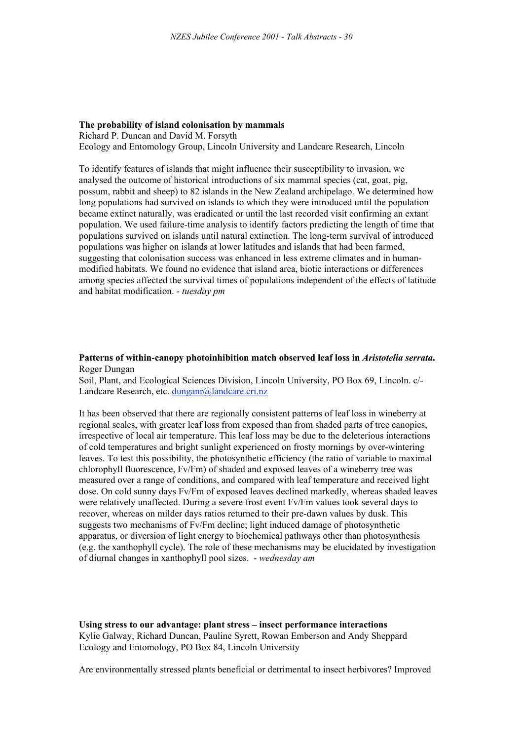## The probability of island colonisation by mammals

Richard P. Duncan and David M. Forsyth Ecology and Entomology Group, Lincoln University and Landcare Research, Lincoln

To identify features of islands that might influence their susceptibility to invasion, we analysed the outcome of historical introductions of six mammal species (cat, goat, pig, possum, rabbit and sheep) to 82 islands in the New Zealand archipelago. We determined how long populations had survived on islands to which they were introduced until the population became extinct naturally, was eradicated or until the last recorded visit confirming an extant population. We used failure-time analysis to identify factors predicting the length of time that populations survived on islands until natural extinction. The long-term survival of introduced populations was higher on islands at lower latitudes and islands that had been farmed, suggesting that colonisation success was enhanced in less extreme climates and in humanmodified habitats. We found no evidence that island area, biotic interactions or differences among species affected the survival times of populations independent of the effects of latitude and habitat modification. - *tuesday pm*

#### Patterns of within-canopy photoinhibition match observed leaf loss in *Aristotelia serrata*. Roger Dungan

Soil, Plant, and Ecological Sciences Division, Lincoln University, PO Box 69, Lincoln. c/- Landcare Research, etc. dunganr@landcare.cri.nz

It has been observed that there are regionally consistent patterns of leaf loss in wineberry at regional scales, with greater leaf loss from exposed than from shaded parts of tree canopies, irrespective of local air temperature. This leaf loss may be due to the deleterious interactions of cold temperatures and bright sunlight experienced on frosty mornings by over-wintering leaves. To test this possibility, the photosynthetic efficiency (the ratio of variable to maximal chlorophyll fluorescence, Fv/Fm) of shaded and exposed leaves of a wineberry tree was measured over a range of conditions, and compared with leaf temperature and received light dose. On cold sunny days Fv/Fm of exposed leaves declined markedly, whereas shaded leaves were relatively unaffected. During a severe frost event Fv/Fm values took several days to recover, whereas on milder days ratios returned to their pre-dawn values by dusk. This suggests two mechanisms of Fv/Fm decline; light induced damage of photosynthetic apparatus, or diversion of light energy to biochemical pathways other than photosynthesis (e.g. the xanthophyll cycle). The role of these mechanisms may be elucidated by investigation of diurnal changes in xanthophyll pool sizes. - *wednesday am*

Using stress to our advantage: plant stress – insect performance interactions Kylie Galway, Richard Duncan, Pauline Syrett, Rowan Emberson and Andy Sheppard Ecology and Entomology, PO Box 84, Lincoln University

Are environmentally stressed plants beneficial or detrimental to insect herbivores? Improved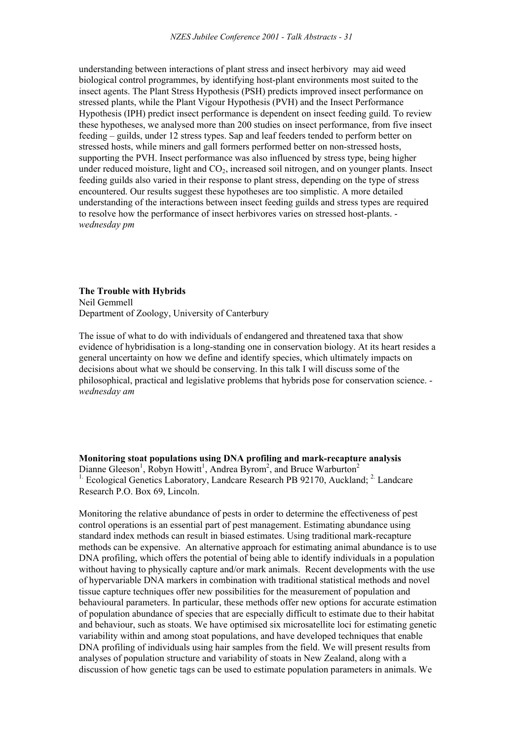understanding between interactions of plant stress and insect herbivory may aid weed biological control programmes, by identifying host-plant environments most suited to the insect agents. The Plant Stress Hypothesis (PSH) predicts improved insect performance on stressed plants, while the Plant Vigour Hypothesis (PVH) and the Insect Performance Hypothesis (IPH) predict insect performance is dependent on insect feeding guild. To review these hypotheses, we analysed more than 200 studies on insect performance, from five insect feeding – guilds, under 12 stress types. Sap and leaf feeders tended to perform better on stressed hosts, while miners and gall formers performed better on non-stressed hosts, supporting the PVH. Insect performance was also influenced by stress type, being higher under reduced moisture, light and  $CO<sub>2</sub>$ , increased soil nitrogen, and on younger plants. Insect feeding guilds also varied in their response to plant stress, depending on the type of stress encountered. Our results suggest these hypotheses are too simplistic. A more detailed understanding of the interactions between insect feeding guilds and stress types are required to resolve how the performance of insect herbivores varies on stressed host-plants. *wednesday pm*

## The Trouble with Hybrids

Neil Gemmell Department of Zoology, University of Canterbury

The issue of what to do with individuals of endangered and threatened taxa that show evidence of hybridisation is a long-standing one in conservation biology. At its heart resides a general uncertainty on how we define and identify species, which ultimately impacts on decisions about what we should be conserving. In this talk I will discuss some of the philosophical, practical and legislative problems that hybrids pose for conservation science. *wednesday am*

# Monitoring stoat populations using DNA profiling and mark-recapture analysis

Dianne Gleeson<sup>1</sup>, Robyn Howitt<sup>1</sup>, Andrea Byrom<sup>2</sup>, and Bruce Warburton<sup>2</sup> <sup>1.</sup> Ecological Genetics Laboratory, Landcare Research PB 92170, Auckland;  $2\degree$  Landcare Research P.O. Box 69, Lincoln.

Monitoring the relative abundance of pests in order to determine the effectiveness of pest control operations is an essential part of pest management. Estimating abundance using standard index methods can result in biased estimates. Using traditional mark-recapture methods can be expensive. An alternative approach for estimating animal abundance is to use DNA profiling, which offers the potential of being able to identify individuals in a population without having to physically capture and/or mark animals. Recent developments with the use of hypervariable DNA markers in combination with traditional statistical methods and novel tissue capture techniques offer new possibilities for the measurement of population and behavioural parameters. In particular, these methods offer new options for accurate estimation of population abundance of species that are especially difficult to estimate due to their habitat and behaviour, such as stoats. We have optimised six microsatellite loci for estimating genetic variability within and among stoat populations, and have developed techniques that enable DNA profiling of individuals using hair samples from the field. We will present results from analyses of population structure and variability of stoats in New Zealand, along with a discussion of how genetic tags can be used to estimate population parameters in animals. We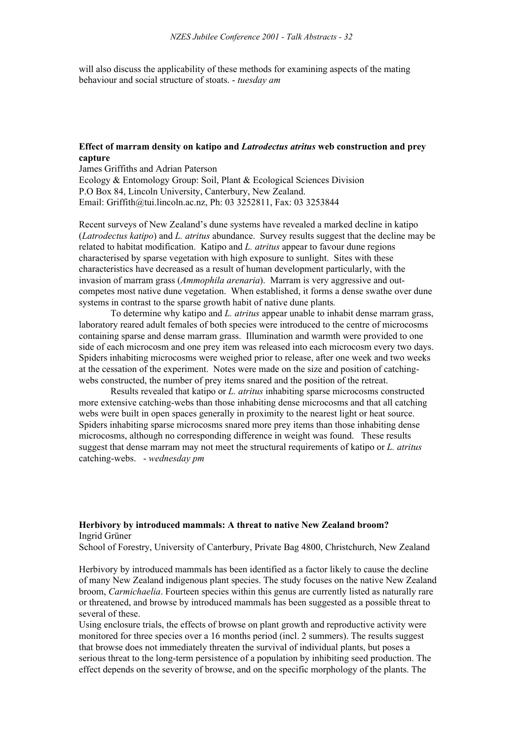will also discuss the applicability of these methods for examining aspects of the mating behaviour and social structure of stoats. - *tuesday am*

## Effect of marram density on katipo and *Latrodectus atritus* web construction and prey capture

James Griffiths and Adrian Paterson Ecology & Entomology Group: Soil, Plant & Ecological Sciences Division P.O Box 84, Lincoln University, Canterbury, New Zealand. Email: Griffith@tui.lincoln.ac.nz, Ph: 03 3252811, Fax: 03 3253844

Recent surveys of New Zealand's dune systems have revealed a marked decline in katipo (*Latrodectus katipo*) and *L. atritus* abundance. Survey results suggest that the decline may be related to habitat modification. Katipo and *L. atritus* appear to favour dune regions characterised by sparse vegetation with high exposure to sunlight. Sites with these characteristics have decreased as a result of human development particularly, with the invasion of marram grass (*Ammophila arenaria*). Marram is very aggressive and outcompetes most native dune vegetation. When established, it forms a dense swathe over dune systems in contrast to the sparse growth habit of native dune plants*.*

To determine why katipo and *L. atritus* appear unable to inhabit dense marram grass, laboratory reared adult females of both species were introduced to the centre of microcosms containing sparse and dense marram grass. Illumination and warmth were provided to one side of each microcosm and one prey item was released into each microcosm every two days. Spiders inhabiting microcosms were weighed prior to release, after one week and two weeks at the cessation of the experiment. Notes were made on the size and position of catchingwebs constructed, the number of prey items snared and the position of the retreat.

Results revealed that katipo or *L. atritus* inhabiting sparse microcosms constructed more extensive catching-webs than those inhabiting dense microcosms and that all catching webs were built in open spaces generally in proximity to the nearest light or heat source. Spiders inhabiting sparse microcosms snared more prey items than those inhabiting dense microcosms, although no corresponding difference in weight was found. These results suggest that dense marram may not meet the structural requirements of katipo or *L. atritus* catching-webs. - *wednesday pm*

## Herbivory by introduced mammals: A threat to native New Zealand broom? Ingrid Grüner

School of Forestry, University of Canterbury, Private Bag 4800, Christchurch, New Zealand

Herbivory by introduced mammals has been identified as a factor likely to cause the decline of many New Zealand indigenous plant species. The study focuses on the native New Zealand broom, *Carmichaelia*. Fourteen species within this genus are currently listed as naturally rare or threatened, and browse by introduced mammals has been suggested as a possible threat to several of these.

Using enclosure trials, the effects of browse on plant growth and reproductive activity were monitored for three species over a 16 months period (incl. 2 summers). The results suggest that browse does not immediately threaten the survival of individual plants, but poses a serious threat to the long-term persistence of a population by inhibiting seed production. The effect depends on the severity of browse, and on the specific morphology of the plants. The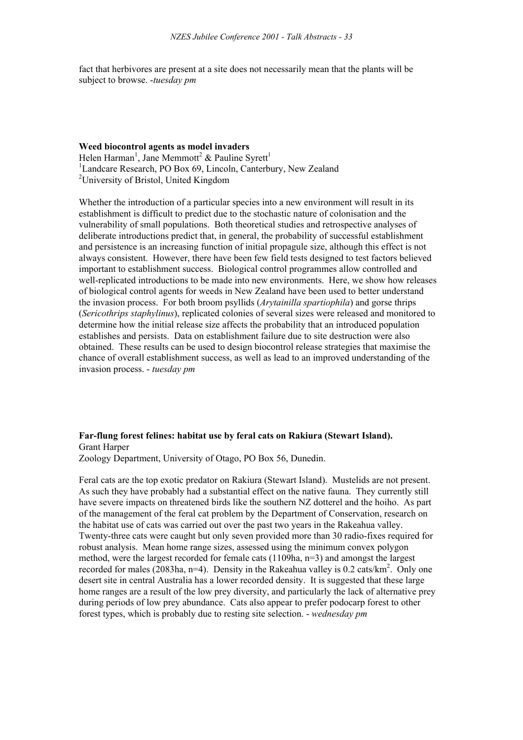fact that herbivores are present at a site does not necessarily mean that the plants will be subject to browse. -*tuesday pm*

#### Weed biocontrol agents as model invaders

Helen Harman<sup>1</sup>, Jane Memmott<sup>2</sup> & Pauline Syrett<sup>1</sup> <sup>1</sup>Landcare Research, PO Box 69, Lincoln, Canterbury, New Zealand <sup>2</sup>University of Bristol, United Kingdom

Whether the introduction of a particular species into a new environment will result in its establishment is difficult to predict due to the stochastic nature of colonisation and the vulnerability of small populations. Both theoretical studies and retrospective analyses of deliberate introductions predict that, in general, the probability of successful establishment and persistence is an increasing function of initial propagule size, although this effect is not always consistent. However, there have been few field tests designed to test factors believed important to establishment success. Biological control programmes allow controlled and well-replicated introductions to be made into new environments. Here, we show how releases of biological control agents for weeds in New Zealand have been used to better understand the invasion process. For both broom psyllids (*Arytainilla spartiophila*) and gorse thrips (*Sericothrips staphylinus*), replicated colonies of several sizes were released and monitored to determine how the initial release size affects the probability that an introduced population establishes and persists. Data on establishment failure due to site destruction were also obtained. These results can be used to design biocontrol release strategies that maximise the chance of overall establishment success, as well as lead to an improved understanding of the invasion process. - *tuesday pm*

# Far-flung forest felines: habitat use by feral cats on Rakiura (Stewart Island). Grant Harper

Zoology Department, University of Otago, PO Box 56, Dunedin.

Feral cats are the top exotic predator on Rakiura (Stewart Island). Mustelids are not present. As such they have probably had a substantial effect on the native fauna. They currently still have severe impacts on threatened birds like the southern NZ dotterel and the hoiho. As part of the management of the feral cat problem by the Department of Conservation, research on the habitat use of cats was carried out over the past two years in the Rakeahua valley. Twenty-three cats were caught but only seven provided more than 30 radio-fixes required for robust analysis. Mean home range sizes, assessed using the minimum convex polygon method, were the largest recorded for female cats (1109ha, n=3) and amongst the largest recorded for males (2083ha,  $n=4$ ). Density in the Rakeahua valley is 0.2 cats/ $km^2$ . Only one desert site in central Australia has a lower recorded density. It is suggested that these large home ranges are a result of the low prey diversity, and particularly the lack of alternative prey during periods of low prey abundance. Cats also appear to prefer podocarp forest to other forest types, which is probably due to resting site selection. - *wednesday pm*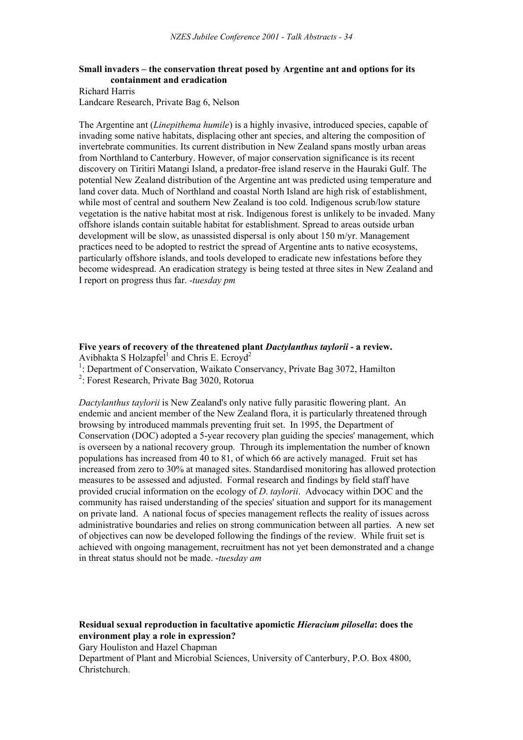## Small invaders – the conservation threat posed by Argentine ant and options for its containment and eradication

Richard Harris Landcare Research, Private Bag 6, Nelson

The Argentine ant (*Linepithema humile*) is a highly invasive, introduced species, capable of invading some native habitats, displacing other ant species, and altering the composition of invertebrate communities. Its current distribution in New Zealand spans mostly urban areas from Northland to Canterbury. However, of major conservation significance is its recent discovery on Tiritiri Matangi Island, a predator-free island reserve in the Hauraki Gulf. The potential New Zealand distribution of the Argentine ant was predicted using temperature and land cover data. Much of Northland and coastal North Island are high risk of establishment, while most of central and southern New Zealand is too cold. Indigenous scrub/low stature vegetation is the native habitat most at risk. Indigenous forest is unlikely to be invaded. Many offshore islands contain suitable habitat for establishment. Spread to areas outside urban development will be slow, as unassisted dispersal is only about 150 m/yr. Management practices need to be adopted to restrict the spread of Argentine ants to native ecosystems, particularly offshore islands, and tools developed to eradicate new infestations before they become widespread. An eradication strategy is being tested at three sites in New Zealand and I report on progress thus far. -*tuesday pm*

Five years of recovery of the threatened plant *Dactylanthus taylorii* - a review.

Avibhakta S Holzapfel<sup>1</sup> and Chris E. Ecroyd<sup>2</sup>

<sup>1</sup>: Department of Conservation, Waikato Conservancy, Private Bag 3072, Hamilton

<sup>2</sup>: Forest Research, Private Bag 3020, Rotorua

*Dactylanthus taylorii* is New Zealand's only native fully parasitic flowering plant. An endemic and ancient member of the New Zealand flora, it is particularly threatened through browsing by introduced mammals preventing fruit set. In 1995, the Department of Conservation (DOC) adopted a 5-year recovery plan guiding the species' management, which is overseen by a national recovery group. Through its implementation the number of known populations has increased from 40 to 81, of which 66 are actively managed. Fruit set has increased from zero to 30% at managed sites. Standardised monitoring has allowed protection measures to be assessed and adjusted. Formal research and findings by field staff have provided crucial information on the ecology of *D*. *taylorii*. Advocacy within DOC and the community has raised understanding of the species' situation and support for its management on private land. A national focus of species management reflects the reality of issues across administrative boundaries and relies on strong communication between all parties. A new set of objectives can now be developed following the findings of the review. While fruit set is achieved with ongoing management, recruitment has not yet been demonstrated and a change in threat status should not be made. -*tuesday am*

## Residual sexual reproduction in facultative apomictic *Hieracium pilosella*: does the environment play a role in expression?

Gary Houliston and Hazel Chapman

Department of Plant and Microbial Sciences, University of Canterbury, P.O. Box 4800, Christchurch.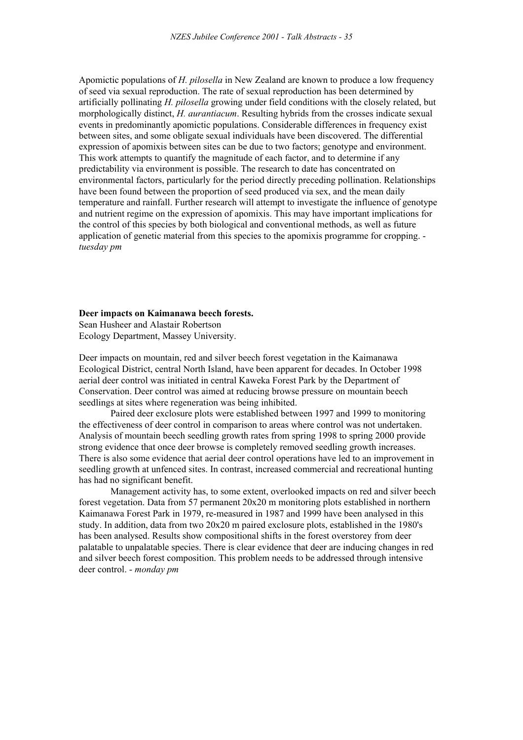Apomictic populations of *H. pilosella* in New Zealand are known to produce a low frequency of seed via sexual reproduction. The rate of sexual reproduction has been determined by artificially pollinating *H. pilosella* growing under field conditions with the closely related, but morphologically distinct, *H. aurantiacum*. Resulting hybrids from the crosses indicate sexual events in predominantly apomictic populations. Considerable differences in frequency exist between sites, and some obligate sexual individuals have been discovered. The differential expression of apomixis between sites can be due to two factors; genotype and environment. This work attempts to quantify the magnitude of each factor, and to determine if any predictability via environment is possible. The research to date has concentrated on environmental factors, particularly for the period directly preceding pollination. Relationships have been found between the proportion of seed produced via sex, and the mean daily temperature and rainfall. Further research will attempt to investigate the influence of genotype and nutrient regime on the expression of apomixis. This may have important implications for the control of this species by both biological and conventional methods, as well as future application of genetic material from this species to the apomixis programme for cropping. *tuesday pm*

#### Deer impacts on Kaimanawa beech forests.

Sean Husheer and Alastair Robertson Ecology Department, Massey University.

Deer impacts on mountain, red and silver beech forest vegetation in the Kaimanawa Ecological District, central North Island, have been apparent for decades. In October 1998 aerial deer control was initiated in central Kaweka Forest Park by the Department of Conservation. Deer control was aimed at reducing browse pressure on mountain beech seedlings at sites where regeneration was being inhibited.

Paired deer exclosure plots were established between 1997 and 1999 to monitoring the effectiveness of deer control in comparison to areas where control was not undertaken. Analysis of mountain beech seedling growth rates from spring 1998 to spring 2000 provide strong evidence that once deer browse is completely removed seedling growth increases. There is also some evidence that aerial deer control operations have led to an improvement in seedling growth at unfenced sites. In contrast, increased commercial and recreational hunting has had no significant benefit.

Management activity has, to some extent, overlooked impacts on red and silver beech forest vegetation. Data from 57 permanent 20x20 m monitoring plots established in northern Kaimanawa Forest Park in 1979, re-measured in 1987 and 1999 have been analysed in this study. In addition, data from two  $20x20$  m paired exclosure plots, established in the 1980's has been analysed. Results show compositional shifts in the forest overstorey from deer palatable to unpalatable species. There is clear evidence that deer are inducing changes in red and silver beech forest composition. This problem needs to be addressed through intensive deer control. - *monday pm*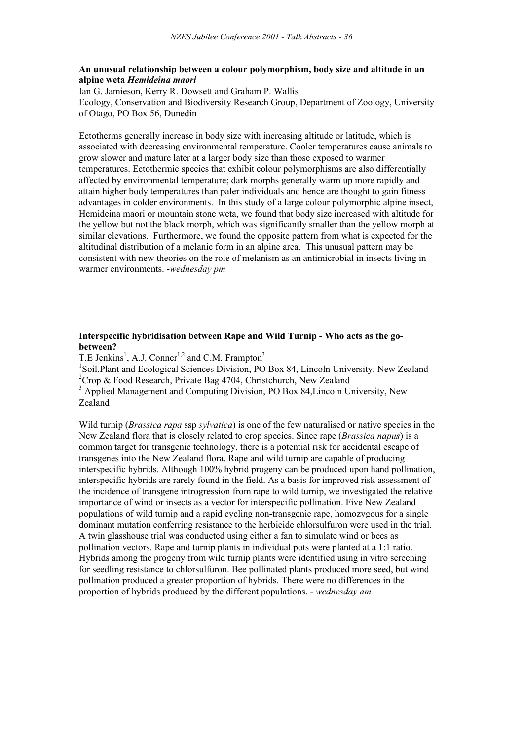#### An unusual relationship between a colour polymorphism, body size and altitude in an alpine weta *Hemideina maori*

Ian G. Jamieson, Kerry R. Dowsett and Graham P. Wallis Ecology, Conservation and Biodiversity Research Group, Department of Zoology, University of Otago, PO Box 56, Dunedin

Ectotherms generally increase in body size with increasing altitude or latitude, which is associated with decreasing environmental temperature. Cooler temperatures cause animals to grow slower and mature later at a larger body size than those exposed to warmer temperatures. Ectothermic species that exhibit colour polymorphisms are also differentially affected by environmental temperature; dark morphs generally warm up more rapidly and attain higher body temperatures than paler individuals and hence are thought to gain fitness advantages in colder environments. In this study of a large colour polymorphic alpine insect, Hemideina maori or mountain stone weta, we found that body size increased with altitude for the yellow but not the black morph, which was significantly smaller than the yellow morph at similar elevations. Furthermore, we found the opposite pattern from what is expected for the altitudinal distribution of a melanic form in an alpine area. This unusual pattern may be consistent with new theories on the role of melanism as an antimicrobial in insects living in warmer environments. -*wednesday pm*

## Interspecific hybridisation between Rape and Wild Turnip - Who acts as the gobetween?

T.E Jenkins<sup>1</sup>, A.J. Conner<sup>1,2</sup> and C.M. Frampton<sup>3</sup>

<sup>1</sup>Soil, Plant and Ecological Sciences Division, PO Box 84, Lincoln University, New Zealand <sup>2</sup> Crop & Food Research, Private Bag 4704, Christchurch, New Zealand

<sup>3</sup> Applied Management and Computing Division, PO Box 84, Lincoln University, New Zealand

Wild turnip (*Brassica rapa* ssp *sylvatica*) is one of the few naturalised or native species in the New Zealand flora that is closely related to crop species. Since rape (*Brassica napus*) is a common target for transgenic technology, there is a potential risk for accidental escape of transgenes into the New Zealand flora. Rape and wild turnip are capable of producing interspecific hybrids. Although 100% hybrid progeny can be produced upon hand pollination, interspecific hybrids are rarely found in the field. As a basis for improved risk assessment of the incidence of transgene introgression from rape to wild turnip, we investigated the relative importance of wind or insects as a vector for interspecific pollination. Five New Zealand populations of wild turnip and a rapid cycling non-transgenic rape, homozygous for a single dominant mutation conferring resistance to the herbicide chlorsulfuron were used in the trial. A twin glasshouse trial was conducted using either a fan to simulate wind or bees as pollination vectors. Rape and turnip plants in individual pots were planted at a 1:1 ratio. Hybrids among the progeny from wild turnip plants were identified using in vitro screening for seedling resistance to chlorsulfuron. Bee pollinated plants produced more seed, but wind pollination produced a greater proportion of hybrids. There were no differences in the proportion of hybrids produced by the different populations. - *wednesday am*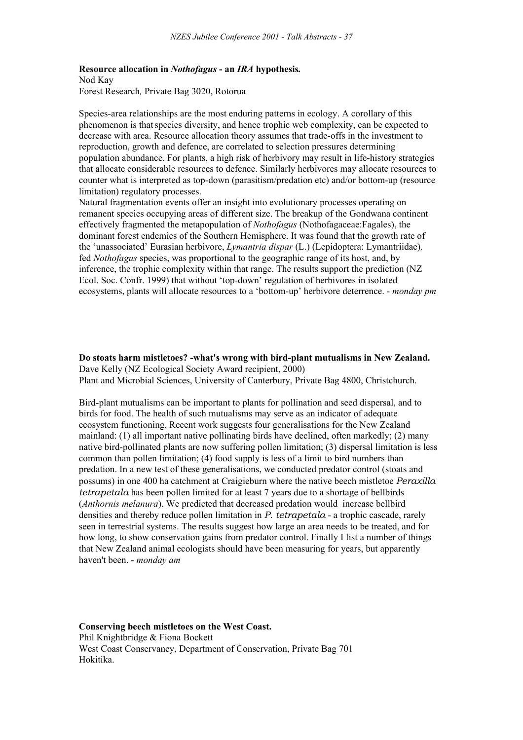#### Resource allocation in *Nothofagus* - an *IRA* hypothesis*.*

Nod Kay Forest Research*,* Private Bag 3020, Rotorua

Species-area relationships are the most enduring patterns in ecology. A corollary of this phenomenon is thatspecies diversity, and hence trophic web complexity, can be expected to decrease with area. Resource allocation theory assumes that trade-offs in the investment to reproduction, growth and defence, are correlated to selection pressures determining population abundance. For plants, a high risk of herbivory may result in life-history strategies that allocate considerable resources to defence. Similarly herbivores may allocate resources to counter what is interpreted as top-down (parasitism/predation etc) and/or bottom-up (resource limitation) regulatory processes.

Natural fragmentation events offer an insight into evolutionary processes operating on remanent species occupying areas of different size. The breakup of the Gondwana continent effectively fragmented the metapopulation of *Nothofagus* (Nothofagaceae:Fagales), the dominant forest endemics of the Southern Hemisphere. It was found that the growth rate of the 'unassociated' Eurasian herbivore, *Lymantria dispar* (L.) (Lepidoptera: Lymantriidae)*,* fed *Nothofagus* species, was proportional to the geographic range of its host, and, by inference, the trophic complexity within that range. The results support the prediction (NZ Ecol. Soc. Confr. 1999) that without 'top-down' regulation of herbivores in isolated ecosystems, plants will allocate resources to a 'bottom-up' herbivore deterrence. - *monday pm*

Do stoats harm mistletoes? -what's wrong with bird-plant mutualisms in New Zealand. Dave Kelly (NZ Ecological Society Award recipient, 2000) Plant and Microbial Sciences, University of Canterbury, Private Bag 4800, Christchurch.

Bird-plant mutualisms can be important to plants for pollination and seed dispersal, and to birds for food. The health of such mutualisms may serve as an indicator of adequate ecosystem functioning. Recent work suggests four generalisations for the New Zealand mainland: (1) all important native pollinating birds have declined, often markedly; (2) many native bird-pollinated plants are now suffering pollen limitation; (3) dispersal limitation is less common than pollen limitation; (4) food supply is less of a limit to bird numbers than predation. In a new test of these generalisations, we conducted predator control (stoats and possums) in one 400 ha catchment at Craigieburn where the native beech mistletoe *Peraxilla tetrapetala* has been pollen limited for at least 7 years due to a shortage of bellbirds (*Anthornis melanura*). We predicted that decreased predation would increase bellbird densities and thereby reduce pollen limitation in *P. tetrapetala* - a trophic cascade, rarely seen in terrestrial systems. The results suggest how large an area needs to be treated, and for how long, to show conservation gains from predator control. Finally I list a number of things that New Zealand animal ecologists should have been measuring for years, but apparently haven't been. - *monday am*

Conserving beech mistletoes on the West Coast. Phil Knightbridge & Fiona Bockett West Coast Conservancy, Department of Conservation, Private Bag 701 Hokitika.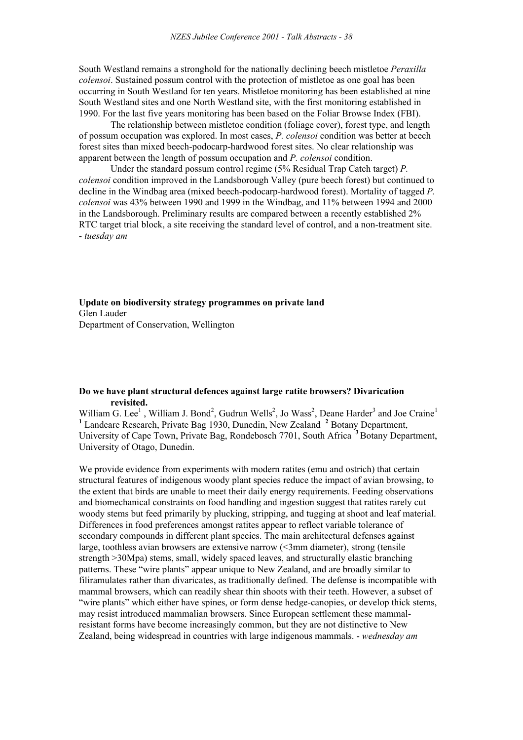South Westland remains a stronghold for the nationally declining beech mistletoe *Peraxilla colensoi*. Sustained possum control with the protection of mistletoe as one goal has been occurring in South Westland for ten years. Mistletoe monitoring has been established at nine South Westland sites and one North Westland site, with the first monitoring established in 1990. For the last five years monitoring has been based on the Foliar Browse Index (FBI).

The relationship between mistletoe condition (foliage cover), forest type, and length of possum occupation was explored. In most cases, *P. colensoi* condition was better at beech forest sites than mixed beech-podocarp-hardwood forest sites. No clear relationship was apparent between the length of possum occupation and *P. colensoi* condition.

Under the standard possum control regime (5% Residual Trap Catch target) *P. colensoi* condition improved in the Landsborough Valley (pure beech forest) but continued to decline in the Windbag area (mixed beech-podocarp-hardwood forest). Mortality of tagged *P. colensoi* was 43% between 1990 and 1999 in the Windbag, and 11% between 1994 and 2000 in the Landsborough. Preliminary results are compared between a recently established 2% RTC target trial block, a site receiving the standard level of control, and a non-treatment site. - *tuesday am*

Update on biodiversity strategy programmes on private land Glen Lauder Department of Conservation, Wellington

#### Do we have plant structural defences against large ratite browsers? Divarication revisited.

William G. Lee<sup>1</sup>, William J. Bond<sup>2</sup>, Gudrun Wells<sup>2</sup>, Jo Wass<sup>2</sup>, Deane Harder<sup>3</sup> and Joe Craine<sup>1</sup> <sup>1</sup> Landcare Research, Private Bag 1930, Dunedin, New Zealand<sup>2</sup> Botany Department, University of Cape Town, Private Bag, Rondebosch 7701, South Africa<sup>3</sup> Botany Department, University of Otago, Dunedin.

We provide evidence from experiments with modern ratites (emu and ostrich) that certain structural features of indigenous woody plant species reduce the impact of avian browsing, to the extent that birds are unable to meet their daily energy requirements. Feeding observations and biomechanical constraints on food handling and ingestion suggest that ratites rarely cut woody stems but feed primarily by plucking, stripping, and tugging at shoot and leaf material. Differences in food preferences amongst ratites appear to reflect variable tolerance of secondary compounds in different plant species. The main architectural defenses against large, toothless avian browsers are extensive narrow (<3mm diameter), strong (tensile strength >30Mpa) stems, small, widely spaced leaves, and structurally elastic branching patterns. These "wire plants" appear unique to New Zealand, and are broadly similar to filiramulates rather than divaricates, as traditionally defined. The defense is incompatible with mammal browsers, which can readily shear thin shoots with their teeth. However, a subset of "wire plants" which either have spines, or form dense hedge-canopies, or develop thick stems, may resist introduced mammalian browsers. Since European settlement these mammalresistant forms have become increasingly common, but they are not distinctive to New Zealand, being widespread in countries with large indigenous mammals. - *wednesday am*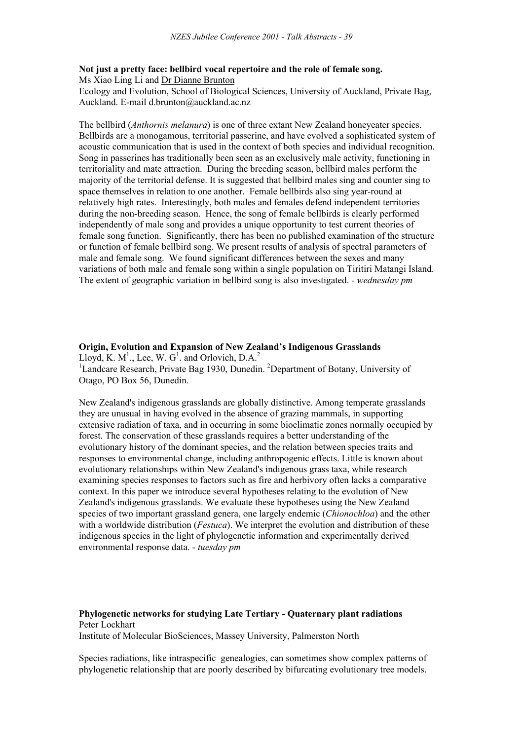## Not just a pretty face: bellbird vocal repertoire and the role of female song.

Ms Xiao Ling Li and Dr Dianne Brunton

Ecology and Evolution, School of Biological Sciences, University of Auckland, Private Bag, Auckland. E-mail d.brunton@auckland.ac.nz

The bellbird (*Anthornis melanura*) is one of three extant New Zealand honeyeater species. Bellbirds are a monogamous, territorial passerine, and have evolved a sophisticated system of acoustic communication that is used in the context of both species and individual recognition. Song in passerines has traditionally been seen as an exclusively male activity, functioning in territoriality and mate attraction. During the breeding season, bellbird males perform the majority of the territorial defense. It is suggested that bellbird males sing and counter sing to space themselves in relation to one another. Female bellbirds also sing year-round at relatively high rates. Interestingly, both males and females defend independent territories during the non-breeding season. Hence, the song of female bellbirds is clearly performed independently of male song and provides a unique opportunity to test current theories of female song function. Significantly, there has been no published examination of the structure or function of female bellbird song. We present results of analysis of spectral parameters of male and female song. We found significant differences between the sexes and many variations of both male and female song within a single population on Tiritiri Matangi Island. The extent of geographic variation in bellbird song is also investigated. - *wednesday pm*

Origin, Evolution and Expansion of New Zealand's Indigenous Grasslands

Lloyd, K. M<sup>1</sup>., Lee, W. G<sup>1</sup>. and Orlovich, D.A.<sup>2</sup> <sup>1</sup>Landcare Research, Private Bag 1930, Dunedin. <sup>2</sup>Department of Botany, University of Otago, PO Box 56, Dunedin.

New Zealand's indigenous grasslands are globally distinctive. Among temperate grasslands they are unusual in having evolved in the absence of grazing mammals, in supporting extensive radiation of taxa, and in occurring in some bioclimatic zones normally occupied by forest. The conservation of these grasslands requires a better understanding of the evolutionary history of the dominant species, and the relation between species traits and responses to environmental change, including anthropogenic effects. Little is known about evolutionary relationships within New Zealand's indigenous grass taxa, while research examining species responses to factors such as fire and herbivory often lacks a comparative context. In this paper we introduce several hypotheses relating to the evolution of New Zealand's indigenous grasslands. We evaluate these hypotheses using the New Zealand species of two important grassland genera, one largely endemic (*Chionochloa*) and the other with a worldwide distribution (*Festuca*). We interpret the evolution and distribution of these indigenous species in the light of phylogenetic information and experimentally derived environmental response data. - *tuesday pm*

## Phylogenetic networks for studying Late Tertiary - Quaternary plant radiations Peter Lockhart

Institute of Molecular BioSciences, Massey University, Palmerston North

Species radiations, like intraspecific genealogies, can sometimes show complex patterns of phylogenetic relationship that are poorly described by bifurcating evolutionary tree models.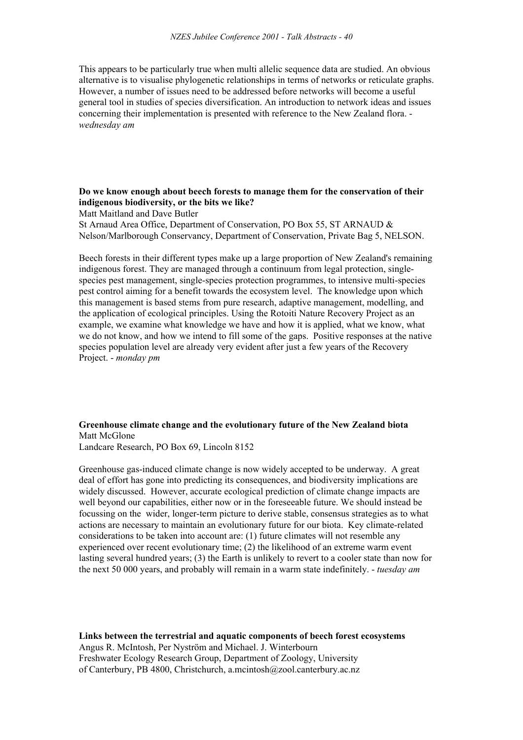This appears to be particularly true when multi allelic sequence data are studied. An obvious alternative is to visualise phylogenetic relationships in terms of networks or reticulate graphs. However, a number of issues need to be addressed before networks will become a useful general tool in studies of species diversification. An introduction to network ideas and issues concerning their implementation is presented with reference to the New Zealand flora. *wednesday am*

## Do we know enough about beech forests to manage them for the conservation of their indigenous biodiversity, or the bits we like?

Matt Maitland and Dave Butler

St Arnaud Area Office, Department of Conservation, PO Box 55, ST ARNAUD & Nelson/Marlborough Conservancy, Department of Conservation, Private Bag 5, NELSON.

Beech forests in their different types make up a large proportion of New Zealand's remaining indigenous forest. They are managed through a continuum from legal protection, singlespecies pest management, single-species protection programmes, to intensive multi-species pest control aiming for a benefit towards the ecosystem level. The knowledge upon which this management is based stems from pure research, adaptive management, modelling, and the application of ecological principles. Using the Rotoiti Nature Recovery Project as an example, we examine what knowledge we have and how it is applied, what we know, what we do not know, and how we intend to fill some of the gaps. Positive responses at the native species population level are already very evident after just a few years of the Recovery Project. - *monday pm*

## Greenhouse climate change and the evolutionary future of the New Zealand biota Matt McGlone

Landcare Research, PO Box 69, Lincoln 8152

Greenhouse gas-induced climate change is now widely accepted to be underway. A great deal of effort has gone into predicting its consequences, and biodiversity implications are widely discussed. However, accurate ecological prediction of climate change impacts are well beyond our capabilities, either now or in the foreseeable future. We should instead be focussing on the wider, longer-term picture to derive stable, consensus strategies as to what actions are necessary to maintain an evolutionary future for our biota. Key climate-related considerations to be taken into account are: (1) future climates will not resemble any experienced over recent evolutionary time; (2) the likelihood of an extreme warm event lasting several hundred years; (3) the Earth is unlikely to revert to a cooler state than now for the next 50 000 years, and probably will remain in a warm state indefinitely. - *tuesday am*

Links between the terrestrial and aquatic components of beech forest ecosystems Angus R. McIntosh, Per Nyström and Michael. J. Winterbourn Freshwater Ecology Research Group, Department of Zoology, University of Canterbury, PB 4800, Christchurch, a.mcintosh@zool.canterbury.ac.nz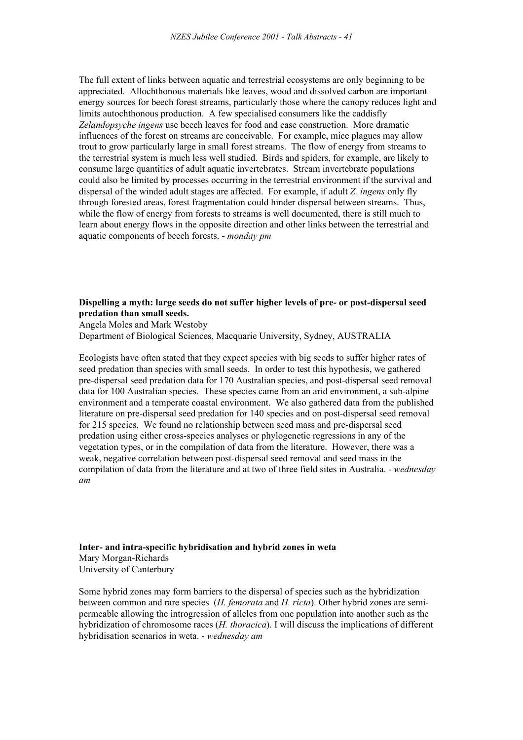The full extent of links between aquatic and terrestrial ecosystems are only beginning to be appreciated. Allochthonous materials like leaves, wood and dissolved carbon are important energy sources for beech forest streams, particularly those where the canopy reduces light and limits autochthonous production. A few specialised consumers like the caddisfly *Zelandopsyche ingens* use beech leaves for food and case construction. More dramatic influences of the forest on streams are conceivable. For example, mice plagues may allow trout to grow particularly large in small forest streams. The flow of energy from streams to the terrestrial system is much less well studied. Birds and spiders, for example, are likely to consume large quantities of adult aquatic invertebrates. Stream invertebrate populations could also be limited by processes occurring in the terrestrial environment if the survival and dispersal of the winded adult stages are affected. For example, if adult *Z. ingens* only fly through forested areas, forest fragmentation could hinder dispersal between streams. Thus, while the flow of energy from forests to streams is well documented, there is still much to learn about energy flows in the opposite direction and other links between the terrestrial and aquatic components of beech forests. - *monday pm*

## Dispelling a myth: large seeds do not suffer higher levels of pre- or post-dispersal seed predation than small seeds.

Angela Moles and Mark Westoby Department of Biological Sciences, Macquarie University, Sydney, AUSTRALIA

Ecologists have often stated that they expect species with big seeds to suffer higher rates of seed predation than species with small seeds. In order to test this hypothesis, we gathered pre-dispersal seed predation data for 170 Australian species, and post-dispersal seed removal data for 100 Australian species. These species came from an arid environment, a sub-alpine environment and a temperate coastal environment. We also gathered data from the published literature on pre-dispersal seed predation for 140 species and on post-dispersal seed removal for 215 species. We found no relationship between seed mass and pre-dispersal seed predation using either cross-species analyses or phylogenetic regressions in any of the vegetation types, or in the compilation of data from the literature. However, there was a weak, negative correlation between post-dispersal seed removal and seed mass in the compilation of data from the literature and at two of three field sites in Australia. - *wednesday am*

Inter- and intra-specific hybridisation and hybrid zones in weta Mary Morgan-Richards University of Canterbury

Some hybrid zones may form barriers to the dispersal of species such as the hybridization between common and rare species (*H. femorata* and *H. ricta*). Other hybrid zones are semipermeable allowing the introgression of alleles from one population into another such as the hybridization of chromosome races (*H. thoracica*). I will discuss the implications of different hybridisation scenarios in weta. - *wednesday am*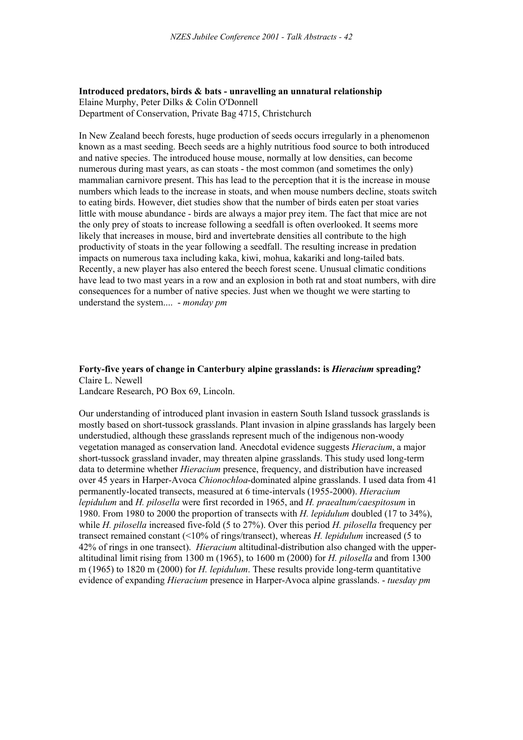#### Introduced predators, birds & bats - unravelling an unnatural relationship

Elaine Murphy, Peter Dilks & Colin O'Donnell Department of Conservation, Private Bag 4715, Christchurch

In New Zealand beech forests, huge production of seeds occurs irregularly in a phenomenon known as a mast seeding. Beech seeds are a highly nutritious food source to both introduced and native species. The introduced house mouse, normally at low densities, can become numerous during mast years, as can stoats - the most common (and sometimes the only) mammalian carnivore present. This has lead to the perception that it is the increase in mouse numbers which leads to the increase in stoats, and when mouse numbers decline, stoats switch to eating birds. However, diet studies show that the number of birds eaten per stoat varies little with mouse abundance - birds are always a major prey item. The fact that mice are not the only prey of stoats to increase following a seedfall is often overlooked. It seems more likely that increases in mouse, bird and invertebrate densities all contribute to the high productivity of stoats in the year following a seedfall. The resulting increase in predation impacts on numerous taxa including kaka, kiwi, mohua, kakariki and long-tailed bats. Recently, a new player has also entered the beech forest scene. Unusual climatic conditions have lead to two mast years in a row and an explosion in both rat and stoat numbers, with dire consequences for a number of native species. Just when we thought we were starting to understand the system.... - *monday pm*

## Forty-five years of change in Canterbury alpine grasslands: is *Hieracium* spreading? Claire L. Newell

Landcare Research, PO Box 69, Lincoln.

Our understanding of introduced plant invasion in eastern South Island tussock grasslands is mostly based on short-tussock grasslands. Plant invasion in alpine grasslands has largely been understudied, although these grasslands represent much of the indigenous non-woody vegetation managed as conservation land. Anecdotal evidence suggests *Hieracium*, a major short-tussock grassland invader, may threaten alpine grasslands. This study used long-term data to determine whether *Hieracium* presence, frequency, and distribution have increased over 45 years in Harper-Avoca *Chionochloa*-dominated alpine grasslands. I used data from 41 permanently-located transects, measured at 6 time-intervals (1955-2000). *Hieracium lepidulum* and *H. pilosella* were first recorded in 1965, and *H. praealtum/caespitosum* in 1980. From 1980 to 2000 the proportion of transects with *H. lepidulum* doubled (17 to 34%), while *H. pilosella* increased five-fold (5 to 27%). Over this period *H. pilosella* frequency per transect remained constant (<10% of rings/transect), whereas *H. lepidulum* increased (5 to 42% of rings in one transect). *Hieracium* altitudinal-distribution also changed with the upperaltitudinal limit rising from 1300 m (1965), to 1600 m (2000) for *H. pilosella* and from 1300 m (1965) to 1820 m (2000) for *H. lepidulum*. These results provide long-term quantitative evidence of expanding *Hieracium* presence in Harper-Avoca alpine grasslands. - *tuesday pm*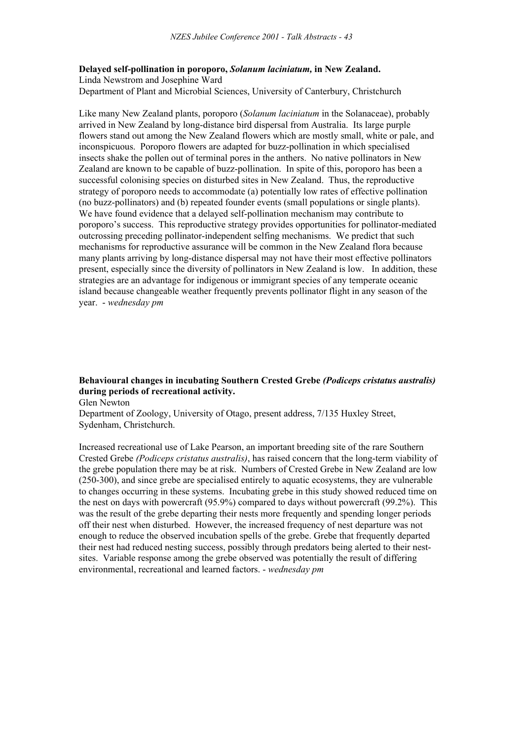## Delayed self-pollination in poroporo, *Solanum laciniatum,* in New Zealand.

Linda Newstrom and Josephine Ward

Department of Plant and Microbial Sciences, University of Canterbury, Christchurch

Like many New Zealand plants, poroporo (*Solanum laciniatum* in the Solanaceae), probably arrived in New Zealand by long-distance bird dispersal from Australia. Its large purple flowers stand out among the New Zealand flowers which are mostly small, white or pale, and inconspicuous. Poroporo flowers are adapted for buzz-pollination in which specialised insects shake the pollen out of terminal pores in the anthers. No native pollinators in New Zealand are known to be capable of buzz-pollination. In spite of this, poroporo has been a successful colonising species on disturbed sites in New Zealand. Thus, the reproductive strategy of poroporo needs to accommodate (a) potentially low rates of effective pollination (no buzz-pollinators) and (b) repeated founder events (small populations or single plants). We have found evidence that a delayed self-pollination mechanism may contribute to poroporo's success. This reproductive strategy provides opportunities for pollinator-mediated outcrossing preceding pollinator-independent selfing mechanisms. We predict that such mechanisms for reproductive assurance will be common in the New Zealand flora because many plants arriving by long-distance dispersal may not have their most effective pollinators present, especially since the diversity of pollinators in New Zealand is low. In addition, these strategies are an advantage for indigenous or immigrant species of any temperate oceanic island because changeable weather frequently prevents pollinator flight in any season of the year. - *wednesday pm*

## Behavioural changes in incubating Southern Crested Grebe *(Podiceps cristatus australis)* during periods of recreational activity.

Glen Newton

Department of Zoology, University of Otago, present address, 7/135 Huxley Street, Sydenham, Christchurch.

Increased recreational use of Lake Pearson, an important breeding site of the rare Southern Crested Grebe *(Podiceps cristatus australis)*, has raised concern that the long-term viability of the grebe population there may be at risk. Numbers of Crested Grebe in New Zealand are low (250-300), and since grebe are specialised entirely to aquatic ecosystems, they are vulnerable to changes occurring in these systems. Incubating grebe in this study showed reduced time on the nest on days with powercraft (95.9%) compared to days without powercraft (99.2%). This was the result of the grebe departing their nests more frequently and spending longer periods off their nest when disturbed. However, the increased frequency of nest departure was not enough to reduce the observed incubation spells of the grebe. Grebe that frequently departed their nest had reduced nesting success, possibly through predators being alerted to their nestsites. Variable response among the grebe observed was potentially the result of differing environmental, recreational and learned factors. - *wednesday pm*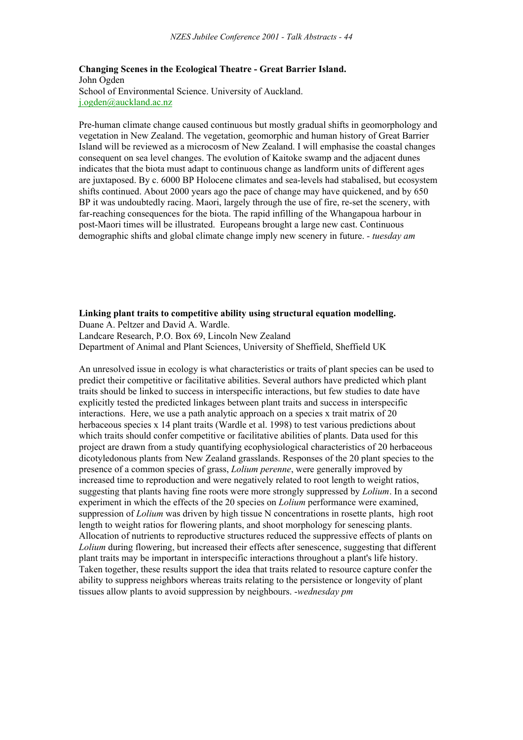Changing Scenes in the Ecological Theatre - Great Barrier Island. John Ogden School of Environmental Science. University of Auckland. j.ogden@auckland.ac.nz

Pre-human climate change caused continuous but mostly gradual shifts in geomorphology and vegetation in New Zealand. The vegetation, geomorphic and human history of Great Barrier Island will be reviewed as a microcosm of New Zealand. I will emphasise the coastal changes consequent on sea level changes. The evolution of Kaitoke swamp and the adjacent dunes indicates that the biota must adapt to continuous change as landform units of different ages are juxtaposed. By c. 6000 BP Holocene climates and sea-levels had stabalised, but ecosystem shifts continued. About 2000 years ago the pace of change may have quickened, and by 650 BP it was undoubtedly racing. Maori, largely through the use of fire, re-set the scenery, with far-reaching consequences for the biota. The rapid infilling of the Whangapoua harbour in post-Maori times will be illustrated. Europeans brought a large new cast. Continuous demographic shifts and global climate change imply new scenery in future. *- tuesday am*

## Linking plant traits to competitive ability using structural equation modelling.

Duane A. Peltzer and David A. Wardle. Landcare Research, P.O. Box 69, Lincoln New Zealand Department of Animal and Plant Sciences, University of Sheffield, Sheffield UK

An unresolved issue in ecology is what characteristics or traits of plant species can be used to predict their competitive or facilitative abilities. Several authors have predicted which plant traits should be linked to success in interspecific interactions, but few studies to date have explicitly tested the predicted linkages between plant traits and success in interspecific interactions. Here, we use a path analytic approach on a species x trait matrix of 20 herbaceous species x 14 plant traits (Wardle et al. 1998) to test various predictions about which traits should confer competitive or facilitative abilities of plants. Data used for this project are drawn from a study quantifying ecophysiological characteristics of 20 herbaceous dicotyledonous plants from New Zealand grasslands. Responses of the 20 plant species to the presence of a common species of grass, *Lolium perenne*, were generally improved by increased time to reproduction and were negatively related to root length to weight ratios, suggesting that plants having fine roots were more strongly suppressed by *Lolium*. In a second experiment in which the effects of the 20 species on *Lolium* performance were examined, suppression of *Lolium* was driven by high tissue N concentrations in rosette plants, high root length to weight ratios for flowering plants, and shoot morphology for senescing plants. Allocation of nutrients to reproductive structures reduced the suppressive effects of plants on *Lolium* during flowering, but increased their effects after senescence, suggesting that different plant traits may be important in interspecific interactions throughout a plant's life history. Taken together, these results support the idea that traits related to resource capture confer the ability to suppress neighbors whereas traits relating to the persistence or longevity of plant tissues allow plants to avoid suppression by neighbours. -*wednesday pm*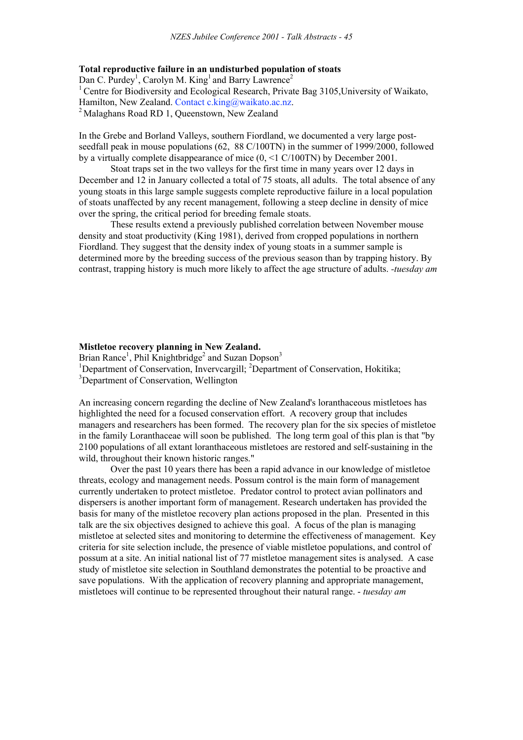#### Total reproductive failure in an undisturbed population of stoats

Dan C. Purdey<sup>1</sup>, Carolyn M. King<sup>1</sup> and Barry Lawrence<sup>2</sup>

<sup>1</sup> Centre for Biodiversity and Ecological Research, Private Bag 3105, University of Waikato, Hamilton, New Zealand. Contact c.king@waikato.ac.nz.<sup>2</sup> Malaghans Road RD 1, Queenstown, New Zealand

In the Grebe and Borland Valleys, southern Fiordland, we documented a very large postseedfall peak in mouse populations (62, 88 C/100TN) in the summer of 1999/2000, followed by a virtually complete disappearance of mice (0, <1 C/100TN) by December 2001.

Stoat traps set in the two valleys for the first time in many years over 12 days in December and 12 in January collected a total of 75 stoats, all adults. The total absence of any young stoats in this large sample suggests complete reproductive failure in a local population of stoats unaffected by any recent management, following a steep decline in density of mice over the spring, the critical period for breeding female stoats.

These results extend a previously published correlation between November mouse density and stoat productivity (King 1981), derived from cropped populations in northern Fiordland. They suggest that the density index of young stoats in a summer sample is determined more by the breeding success of the previous season than by trapping history. By contrast, trapping history is much more likely to affect the age structure of adults. *-tuesday am*

#### Mistletoe recovery planning in New Zealand.

Brian Rance<sup>1</sup>, Phil Knightbridge<sup>2</sup> and Suzan Dopson<sup>3</sup> <sup>1</sup>Department of Conservation, Invervcargill; <sup>2</sup>Department of Conservation, Hokitika; <sup>3</sup>Department of Conservation, Wellington

An increasing concern regarding the decline of New Zealand's loranthaceous mistletoes has highlighted the need for a focused conservation effort. A recovery group that includes managers and researchers has been formed. The recovery plan for the six species of mistletoe in the family Loranthaceae will soon be published. The long term goal of this plan is that "by 2100 populations of all extant loranthaceous mistletoes are restored and self-sustaining in the wild, throughout their known historic ranges."

Over the past 10 years there has been a rapid advance in our knowledge of mistletoe threats, ecology and management needs. Possum control is the main form of management currently undertaken to protect mistletoe. Predator control to protect avian pollinators and dispersers is another important form of management. Research undertaken has provided the basis for many of the mistletoe recovery plan actions proposed in the plan. Presented in this talk are the six objectives designed to achieve this goal. A focus of the plan is managing mistletoe at selected sites and monitoring to determine the effectiveness of management. Key criteria for site selection include, the presence of viable mistletoe populations, and control of possum at a site. An initial national list of 77 mistletoe management sites is analysed. A case study of mistletoe site selection in Southland demonstrates the potential to be proactive and save populations. With the application of recovery planning and appropriate management, mistletoes will continue to be represented throughout their natural range. - *tuesday am*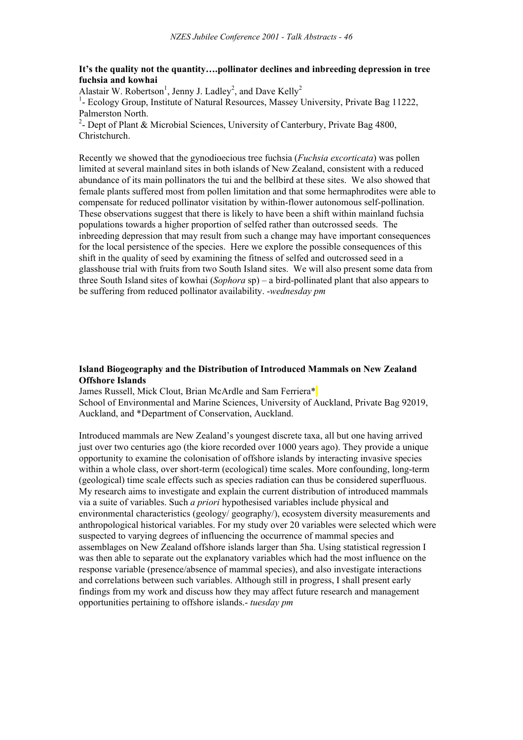## It's the quality not the quantity….pollinator declines and inbreeding depression in tree fuchsia and kowhai

Alastair W. Robertson<sup>1</sup>, Jenny J. Ladley<sup>2</sup>, and Dave Kelly<sup>2</sup>

<sup>1</sup>- Ecology Group, Institute of Natural Resources, Massey University, Private Bag 11222, Palmerston North.

<sup>2</sup>- Dept of Plant & Microbial Sciences, University of Canterbury, Private Bag 4800, Christchurch.

Recently we showed that the gynodioecious tree fuchsia (*Fuchsia excorticata*) was pollen limited at several mainland sites in both islands of New Zealand, consistent with a reduced abundance of its main pollinators the tui and the bellbird at these sites. We also showed that female plants suffered most from pollen limitation and that some hermaphrodites were able to compensate for reduced pollinator visitation by within-flower autonomous self-pollination. These observations suggest that there is likely to have been a shift within mainland fuchsia populations towards a higher proportion of selfed rather than outcrossed seeds. The inbreeding depression that may result from such a change may have important consequences for the local persistence of the species. Here we explore the possible consequences of this shift in the quality of seed by examining the fitness of selfed and outcrossed seed in a glasshouse trial with fruits from two South Island sites. We will also present some data from three South Island sites of kowhai (*Sophora* sp) – a bird-pollinated plant that also appears to be suffering from reduced pollinator availability. -*wednesday pm*

#### Island Biogeography and the Distribution of Introduced Mammals on New Zealand Offshore Islands

James Russell, Mick Clout, Brian McArdle and Sam Ferriera\* School of Environmental and Marine Sciences, University of Auckland, Private Bag 92019, Auckland, and \*Department of Conservation, Auckland.

Introduced mammals are New Zealand's youngest discrete taxa, all but one having arrived just over two centuries ago (the kiore recorded over 1000 years ago). They provide a unique opportunity to examine the colonisation of offshore islands by interacting invasive species within a whole class, over short-term (ecological) time scales. More confounding, long-term (geological) time scale effects such as species radiation can thus be considered superfluous. My research aims to investigate and explain the current distribution of introduced mammals via a suite of variables. Such *a priori* hypothesised variables include physical and environmental characteristics (geology/ geography/), ecosystem diversity measurements and anthropological historical variables. For my study over 20 variables were selected which were suspected to varying degrees of influencing the occurrence of mammal species and assemblages on New Zealand offshore islands larger than 5ha. Using statistical regression I was then able to separate out the explanatory variables which had the most influence on the response variable (presence/absence of mammal species), and also investigate interactions and correlations between such variables. Although still in progress, I shall present early findings from my work and discuss how they may affect future research and management opportunities pertaining to offshore islands.- *tuesday pm*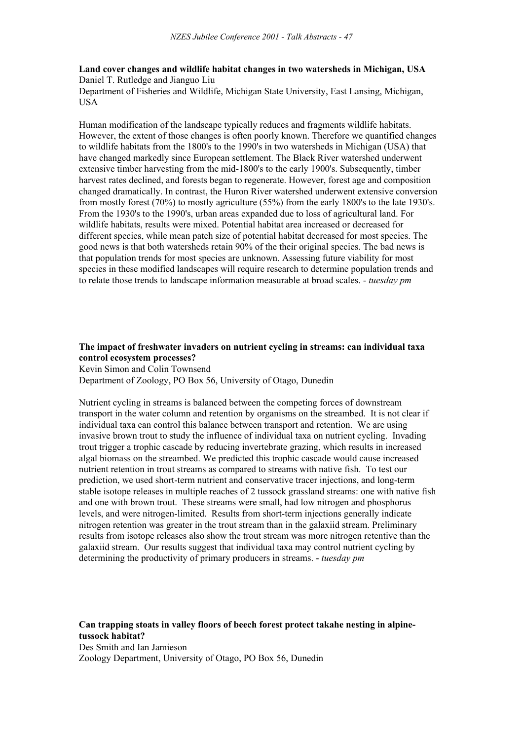## Land cover changes and wildlife habitat changes in two watersheds in Michigan, USA Daniel T. Rutledge and Jianguo Liu

Department of Fisheries and Wildlife, Michigan State University, East Lansing, Michigan, USA

Human modification of the landscape typically reduces and fragments wildlife habitats. However, the extent of those changes is often poorly known. Therefore we quantified changes to wildlife habitats from the 1800's to the 1990's in two watersheds in Michigan (USA) that have changed markedly since European settlement. The Black River watershed underwent extensive timber harvesting from the mid-1800's to the early 1900's. Subsequently, timber harvest rates declined, and forests began to regenerate. However, forest age and composition changed dramatically. In contrast, the Huron River watershed underwent extensive conversion from mostly forest (70%) to mostly agriculture (55%) from the early 1800's to the late 1930's. From the 1930's to the 1990's, urban areas expanded due to loss of agricultural land. For wildlife habitats, results were mixed. Potential habitat area increased or decreased for different species, while mean patch size of potential habitat decreased for most species. The good news is that both watersheds retain 90% of the their original species. The bad news is that population trends for most species are unknown. Assessing future viability for most species in these modified landscapes will require research to determine population trends and to relate those trends to landscape information measurable at broad scales. - *tuesday pm*

## The impact of freshwater invaders on nutrient cycling in streams: can individual taxa control ecosystem processes?

Kevin Simon and Colin Townsend Department of Zoology, PO Box 56, University of Otago, Dunedin

Nutrient cycling in streams is balanced between the competing forces of downstream transport in the water column and retention by organisms on the streambed. It is not clear if individual taxa can control this balance between transport and retention. We are using invasive brown trout to study the influence of individual taxa on nutrient cycling. Invading trout trigger a trophic cascade by reducing invertebrate grazing, which results in increased algal biomass on the streambed. We predicted this trophic cascade would cause increased nutrient retention in trout streams as compared to streams with native fish. To test our prediction, we used short-term nutrient and conservative tracer injections, and long-term stable isotope releases in multiple reaches of 2 tussock grassland streams: one with native fish and one with brown trout. These streams were small, had low nitrogen and phosphorus levels, and were nitrogen-limited. Results from short-term injections generally indicate nitrogen retention was greater in the trout stream than in the galaxiid stream. Preliminary results from isotope releases also show the trout stream was more nitrogen retentive than the galaxiid stream. Our results suggest that individual taxa may control nutrient cycling by determining the productivity of primary producers in streams. - *tuesday pm*

#### Can trapping stoats in valley floors of beech forest protect takahe nesting in alpinetussock habitat? Des Smith and Ian Jamieson

Zoology Department, University of Otago, PO Box 56, Dunedin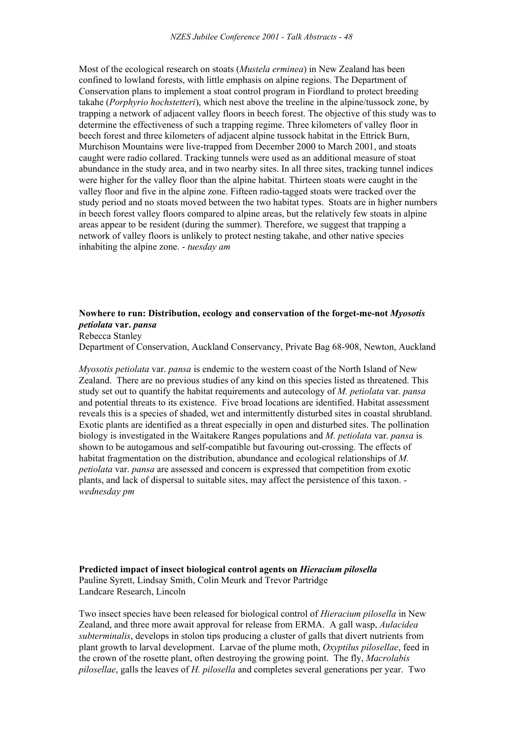Most of the ecological research on stoats (*Mustela erminea*) in New Zealand has been confined to lowland forests, with little emphasis on alpine regions. The Department of Conservation plans to implement a stoat control program in Fiordland to protect breeding takahe (*Porphyrio hochstetteri*), which nest above the treeline in the alpine/tussock zone, by trapping a network of adjacent valley floors in beech forest. The objective of this study was to determine the effectiveness of such a trapping regime. Three kilometers of valley floor in beech forest and three kilometers of adjacent alpine tussock habitat in the Ettrick Burn, Murchison Mountains were live-trapped from December 2000 to March 2001, and stoats caught were radio collared. Tracking tunnels were used as an additional measure of stoat abundance in the study area, and in two nearby sites. In all three sites, tracking tunnel indices were higher for the valley floor than the alpine habitat. Thirteen stoats were caught in the valley floor and five in the alpine zone. Fifteen radio-tagged stoats were tracked over the study period and no stoats moved between the two habitat types. Stoats are in higher numbers in beech forest valley floors compared to alpine areas, but the relatively few stoats in alpine areas appear to be resident (during the summer). Therefore, we suggest that trapping a network of valley floors is unlikely to protect nesting takahe, and other native species inhabiting the alpine zone. - *tuesday am*

## Nowhere to run: Distribution, ecology and conservation of the forget-me-not *Myosotis petiolata* var. *pansa*

Rebecca Stanley

Department of Conservation, Auckland Conservancy, Private Bag 68-908, Newton, Auckland

*Myosotis petiolata* var. *pansa* is endemic to the western coast of the North Island of New Zealand. There are no previous studies of any kind on this species listed as threatened. This study set out to quantify the habitat requirements and autecology of *M. petiolata* var. *pansa* and potential threats to its existence. Five broad locations are identified. Habitat assessment reveals this is a species of shaded, wet and intermittently disturbed sites in coastal shrubland. Exotic plants are identified as a threat especially in open and disturbed sites. The pollination biology is investigated in the Waitakere Ranges populations and *M. petiolata* var. *pansa* is shown to be autogamous and self-compatible but favouring out-crossing. The effects of habitat fragmentation on the distribution, abundance and ecological relationships of *M. petiolata* var. *pansa* are assessed and concern is expressed that competition from exotic plants, and lack of dispersal to suitable sites, may affect the persistence of this taxon. *wednesday pm*

Predicted impact of insect biological control agents on *Hieracium pilosella* Pauline Syrett, Lindsay Smith, Colin Meurk and Trevor Partridge Landcare Research, Lincoln

Two insect species have been released for biological control of *Hieracium pilosella* in New Zealand, and three more await approval for release from ERMA. A gall wasp, *Aulacidea subterminalis*, develops in stolon tips producing a cluster of galls that divert nutrients from plant growth to larval development. Larvae of the plume moth, *Oxyptilus pilosellae*, feed in the crown of the rosette plant, often destroying the growing point. The fly, *Macrolabis pilosellae*, galls the leaves of *H. pilosella* and completes several generations per year. Two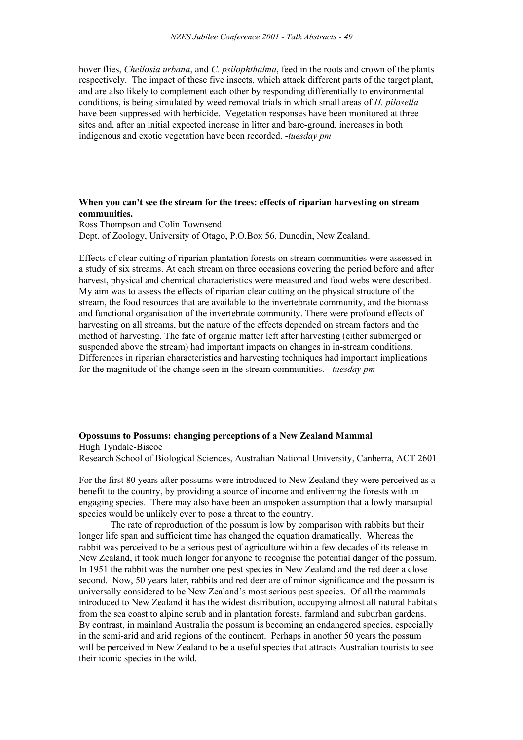hover flies, *Cheilosia urbana*, and *C. psilophthalma*, feed in the roots and crown of the plants respectively. The impact of these five insects, which attack different parts of the target plant, and are also likely to complement each other by responding differentially to environmental conditions, is being simulated by weed removal trials in which small areas of *H. pilosella* have been suppressed with herbicide. Vegetation responses have been monitored at three sites and, after an initial expected increase in litter and bare-ground, increases in both indigenous and exotic vegetation have been recorded. -*tuesday pm*

#### When you can't see the stream for the trees: effects of riparian harvesting on stream communities.

Ross Thompson and Colin Townsend Dept. of Zoology, University of Otago, P.O.Box 56, Dunedin, New Zealand.

Effects of clear cutting of riparian plantation forests on stream communities were assessed in a study of six streams. At each stream on three occasions covering the period before and after harvest, physical and chemical characteristics were measured and food webs were described. My aim was to assess the effects of riparian clear cutting on the physical structure of the stream, the food resources that are available to the invertebrate community, and the biomass and functional organisation of the invertebrate community. There were profound effects of harvesting on all streams, but the nature of the effects depended on stream factors and the method of harvesting. The fate of organic matter left after harvesting (either submerged or suspended above the stream) had important impacts on changes in in-stream conditions. Differences in riparian characteristics and harvesting techniques had important implications for the magnitude of the change seen in the stream communities. - *tuesday pm*

#### Opossums to Possums: changing perceptions of a New Zealand Mammal Hugh Tyndale-Biscoe

Research School of Biological Sciences, Australian National University, Canberra, ACT 2601

For the first 80 years after possums were introduced to New Zealand they were perceived as a benefit to the country, by providing a source of income and enlivening the forests with an engaging species. There may also have been an unspoken assumption that a lowly marsupial species would be unlikely ever to pose a threat to the country.

The rate of reproduction of the possum is low by comparison with rabbits but their longer life span and sufficient time has changed the equation dramatically. Whereas the rabbit was perceived to be a serious pest of agriculture within a few decades of its release in New Zealand, it took much longer for anyone to recognise the potential danger of the possum. In 1951 the rabbit was the number one pest species in New Zealand and the red deer a close second. Now, 50 years later, rabbits and red deer are of minor significance and the possum is universally considered to be New Zealand's most serious pest species. Of all the mammals introduced to New Zealand it has the widest distribution, occupying almost all natural habitats from the sea coast to alpine scrub and in plantation forests, farmland and suburban gardens. By contrast, in mainland Australia the possum is becoming an endangered species, especially in the semi-arid and arid regions of the continent. Perhaps in another 50 years the possum will be perceived in New Zealand to be a useful species that attracts Australian tourists to see their iconic species in the wild.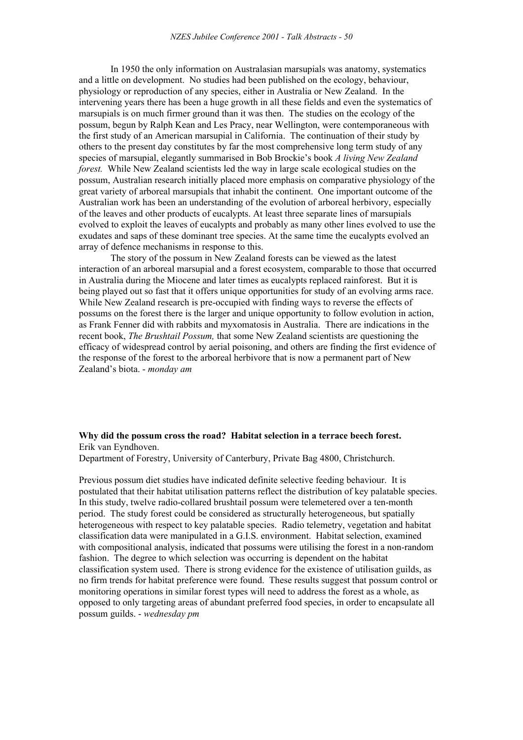In 1950 the only information on Australasian marsupials was anatomy, systematics and a little on development. No studies had been published on the ecology, behaviour, physiology or reproduction of any species, either in Australia or New Zealand. In the intervening years there has been a huge growth in all these fields and even the systematics of marsupials is on much firmer ground than it was then. The studies on the ecology of the possum, begun by Ralph Kean and Les Pracy, near Wellington, were contemporaneous with the first study of an American marsupial in California. The continuation of their study by others to the present day constitutes by far the most comprehensive long term study of any species of marsupial, elegantly summarised in Bob Brockie's book *A living New Zealand forest.* While New Zealand scientists led the way in large scale ecological studies on the possum, Australian research initially placed more emphasis on comparative physiology of the great variety of arboreal marsupials that inhabit the continent. One important outcome of the Australian work has been an understanding of the evolution of arboreal herbivory, especially of the leaves and other products of eucalypts. At least three separate lines of marsupials evolved to exploit the leaves of eucalypts and probably as many other lines evolved to use the exudates and saps of these dominant tree species. At the same time the eucalypts evolved an array of defence mechanisms in response to this.

The story of the possum in New Zealand forests can be viewed as the latest interaction of an arboreal marsupial and a forest ecosystem, comparable to those that occurred in Australia during the Miocene and later times as eucalypts replaced rainforest. But it is being played out so fast that it offers unique opportunities for study of an evolving arms race. While New Zealand research is pre-occupied with finding ways to reverse the effects of possums on the forest there is the larger and unique opportunity to follow evolution in action, as Frank Fenner did with rabbits and myxomatosis in Australia. There are indications in the recent book, *The Brushtail Possum,* that some New Zealand scientists are questioning the efficacy of widespread control by aerial poisoning, and others are finding the first evidence of the response of the forest to the arboreal herbivore that is now a permanent part of New Zealand's biota. - *monday am*

## Why did the possum cross the road? Habitat selection in a terrace beech forest. Erik van Eyndhoven.

Department of Forestry, University of Canterbury, Private Bag 4800, Christchurch.

Previous possum diet studies have indicated definite selective feeding behaviour. It is postulated that their habitat utilisation patterns reflect the distribution of key palatable species. In this study, twelve radio-collared brushtail possum were telemetered over a ten-month period. The study forest could be considered as structurally heterogeneous, but spatially heterogeneous with respect to key palatable species. Radio telemetry, vegetation and habitat classification data were manipulated in a G.I.S. environment. Habitat selection, examined with compositional analysis, indicated that possums were utilising the forest in a non-random fashion. The degree to which selection was occurring is dependent on the habitat classification system used. There is strong evidence for the existence of utilisation guilds, as no firm trends for habitat preference were found. These results suggest that possum control or monitoring operations in similar forest types will need to address the forest as a whole, as opposed to only targeting areas of abundant preferred food species, in order to encapsulate all possum guilds. - *wednesday pm*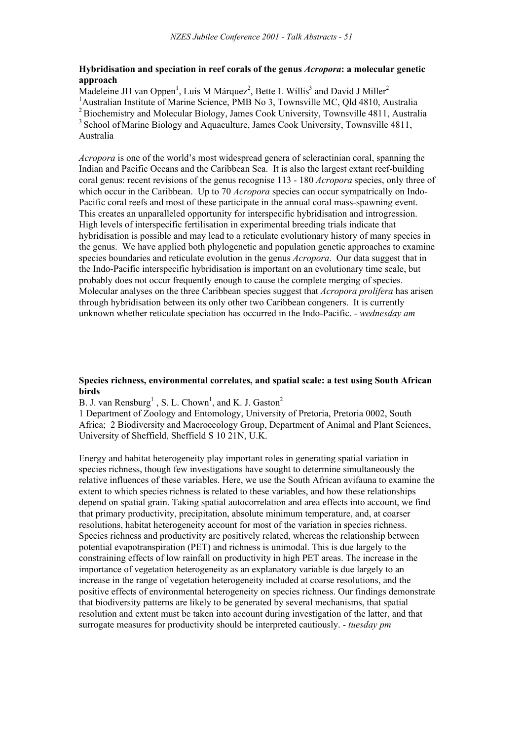#### Hybridisation and speciation in reef corals of the genus *Acropora*: a molecular genetic approach

Madeleine JH van Oppen<sup>1</sup>, Luis M Márquez<sup>2</sup>, Bette L Willis<sup>3</sup> and David J Miller<sup>2</sup>

<sup>1</sup> Australian Institute of Marine Science, PMB No 3, Townsville MC, Qld 4810, Australia

<sup>2</sup> Biochemistry and Molecular Biology, James Cook University, Townsville 4811, Australia <sup>3</sup> School of Marine Biology and Aquaculture, James Cook University, Townsville 4811,

Australia

*Acropora* is one of the world's most widespread genera of scleractinian coral, spanning the Indian and Pacific Oceans and the Caribbean Sea. It is also the largest extant reef-building coral genus: recent revisions of the genus recognise 113 - 180 *Acropora* species, only three of which occur in the Caribbean. Up to 70 *Acropora* species can occur sympatrically on Indo-Pacific coral reefs and most of these participate in the annual coral mass-spawning event. This creates an unparalleled opportunity for interspecific hybridisation and introgression. High levels of interspecific fertilisation in experimental breeding trials indicate that hybridisation is possible and may lead to a reticulate evolutionary history of many species in the genus. We have applied both phylogenetic and population genetic approaches to examine species boundaries and reticulate evolution in the genus *Acropora*. Our data suggest that in the Indo-Pacific interspecific hybridisation is important on an evolutionary time scale, but probably does not occur frequently enough to cause the complete merging of species. Molecular analyses on the three Caribbean species suggest that *Acropora prolifera* has arisen through hybridisation between its only other two Caribbean congeners. It is currently unknown whether reticulate speciation has occurred in the Indo-Pacific. - *wednesday am*

## Species richness, environmental correlates, and spatial scale: a test using South African birds

B. J. van Rensburg<sup>1</sup>, S. L. Chown<sup>1</sup>, and K. J. Gaston<sup>2</sup>

1 Department of Zoology and Entomology, University of Pretoria, Pretoria 0002, South Africa; 2 Biodiversity and Macroecology Group, Department of Animal and Plant Sciences, University of Sheffield, Sheffield S 10 21N, U.K.

Energy and habitat heterogeneity play important roles in generating spatial variation in species richness, though few investigations have sought to determine simultaneously the relative influences of these variables. Here, we use the South African avifauna to examine the extent to which species richness is related to these variables, and how these relationships depend on spatial grain. Taking spatial autocorrelation and area effects into account, we find that primary productivity, precipitation, absolute minimum temperature, and, at coarser resolutions, habitat heterogeneity account for most of the variation in species richness. Species richness and productivity are positively related, whereas the relationship between potential evapotranspiration (PET) and richness is unimodal. This is due largely to the constraining effects of low rainfall on productivity in high PET areas. The increase in the importance of vegetation heterogeneity as an explanatory variable is due largely to an increase in the range of vegetation heterogeneity included at coarse resolutions, and the positive effects of environmental heterogeneity on species richness. Our findings demonstrate that biodiversity patterns are likely to be generated by several mechanisms, that spatial resolution and extent must be taken into account during investigation of the latter, and that surrogate measures for productivity should be interpreted cautiously. - *tuesday pm*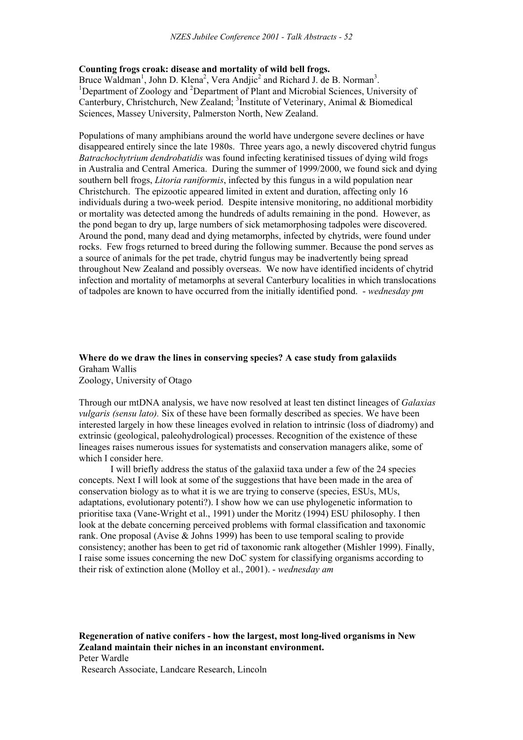#### Counting frogs croak: disease and mortality of wild bell frogs.

Bruce Waldman<sup>1</sup>, John D. Klena<sup>2</sup>, Vera Andjic<sup>2</sup> and Richard J. de B. Norman<sup>3</sup>.<br><sup>1</sup> Department of Zoology and <sup>2</sup> Department of Blant and Microbial Sciences. Uni Department of Zoology and <sup>2</sup>Department of Plant and Microbial Sciences, University of Canterbury, Christchurch, New Zealand; <sup>3</sup>Institute of Veterinary, Animal & Biomedical Sciences, Massey University, Palmerston North, New Zealand.

Populations of many amphibians around the world have undergone severe declines or have disappeared entirely since the late 1980s. Three years ago, a newly discovered chytrid fungus *Batrachochytrium dendrobatidis* was found infecting keratinised tissues of dying wild frogs in Australia and Central America. During the summer of 1999/2000, we found sick and dying southern bell frogs, *Litoria raniformis*, infected by this fungus in a wild population near Christchurch. The epizootic appeared limited in extent and duration, affecting only 16 individuals during a two-week period. Despite intensive monitoring, no additional morbidity or mortality was detected among the hundreds of adults remaining in the pond. However, as the pond began to dry up, large numbers of sick metamorphosing tadpoles were discovered. Around the pond, many dead and dying metamorphs, infected by chytrids, were found under rocks. Few frogs returned to breed during the following summer. Because the pond serves as a source of animals for the pet trade, chytrid fungus may be inadvertently being spread throughout New Zealand and possibly overseas. We now have identified incidents of chytrid infection and mortality of metamorphs at several Canterbury localities in which translocations of tadpoles are known to have occurred from the initially identified pond. - *wednesday pm*

#### Where do we draw the lines in conserving species? A case study from galaxiids Graham Wallis Zoology, University of Otago

Through our mtDNA analysis, we have now resolved at least ten distinct lineages of *Galaxias vulgaris (sensu lato).* Six of these have been formally described as species. We have been interested largely in how these lineages evolved in relation to intrinsic (loss of diadromy) and extrinsic (geological, paleohydrological) processes. Recognition of the existence of these lineages raises numerous issues for systematists and conservation managers alike, some of which I consider here.

I will briefly address the status of the galaxiid taxa under a few of the 24 species concepts. Next I will look at some of the suggestions that have been made in the area of conservation biology as to what it is we are trying to conserve (species, ESUs, MUs, adaptations, evolutionary potenti?). I show how we can use phylogenetic information to prioritise taxa (Vane-Wright et al., 1991) under the Moritz (1994) ESU philosophy. I then look at the debate concerning perceived problems with formal classification and taxonomic rank. One proposal (Avise & Johns 1999) has been to use temporal scaling to provide consistency; another has been to get rid of taxonomic rank altogether (Mishler 1999). Finally, I raise some issues concerning the new DoC system for classifying organisms according to their risk of extinction alone (Molloy et al., 2001). - *wednesday am*

Regeneration of native conifers - how the largest, most long-lived organisms in New Zealand maintain their niches in an inconstant environment. Peter Wardle

Research Associate, Landcare Research, Lincoln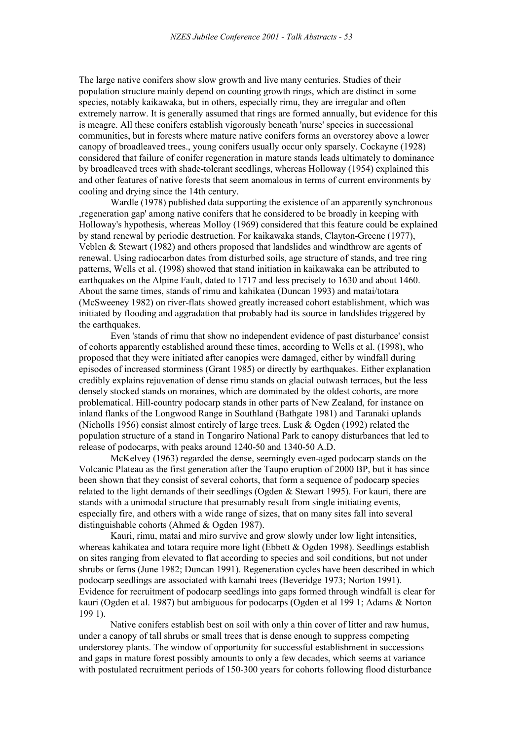The large native conifers show slow growth and live many centuries. Studies of their population structure mainly depend on counting growth rings, which are distinct in some species, notably kaikawaka, but in others, especially rimu, they are irregular and often extremely narrow. It is generally assumed that rings are formed annually, but evidence for this is meagre. All these conifers establish vigorously beneath 'nurse' species in successional communities, but in forests where mature native conifers forms an overstorey above a lower canopy of broadleaved trees., young conifers usually occur only sparsely. Cockayne (1928) considered that failure of conifer regeneration in mature stands leads ultimately to dominance by broadleaved trees with shade-tolerant seedlings, whereas Holloway (1954) explained this and other features of native forests that seem anomalous in terms of current environments by cooling and drying since the 14th century.

Wardle (1978) published data supporting the existence of an apparently synchronous ,regeneration gap' among native conifers that he considered to be broadly in keeping with Holloway's hypothesis, whereas Molloy (1969) considered that this feature could be explained by stand renewal by periodic destruction. For kaikawaka stands, Clayton-Greene (1977), Veblen & Stewart (1982) and others proposed that landslides and windthrow are agents of renewal. Using radiocarbon dates from disturbed soils, age structure of stands, and tree ring patterns, Wells et al. (1998) showed that stand initiation in kaikawaka can be attributed to earthquakes on the Alpine Fault, dated to 1717 and less precisely to 1630 and about 1460. About the same times, stands of rimu and kahikatea (Duncan 1993) and matai/totara (McSweeney 1982) on river-flats showed greatly increased cohort establishment, which was initiated by flooding and aggradation that probably had its source in landslides triggered by the earthquakes.

Even 'stands of rimu that show no independent evidence of past disturbance' consist of cohorts apparently established around these times, according to Wells et al. (1998), who proposed that they were initiated after canopies were damaged, either by windfall during episodes of increased storminess (Grant 1985) or directly by earthquakes. Either explanation credibly explains rejuvenation of dense rimu stands on glacial outwash terraces, but the less densely stocked stands on moraines, which are dominated by the oldest cohorts, are more problematical. Hill-country podocarp stands in other parts of New Zealand, for instance on inland flanks of the Longwood Range in Southland (Bathgate 1981) and Taranaki uplands (Nicholls 1956) consist almost entirely of large trees. Lusk & Ogden (1992) related the population structure of a stand in Tongariro National Park to canopy disturbances that led to release of podocarps, with peaks around 1240-50 and 1340-50 A.D.

McKelvey (1963) regarded the dense, seemingly even-aged podocarp stands on the Volcanic Plateau as the first generation after the Taupo eruption of 2000 BP, but it has since been shown that they consist of several cohorts, that form a sequence of podocarp species related to the light demands of their seedlings (Ogden & Stewart 1995). For kauri, there are stands with a unimodal structure that presumably result from single initiating events, especially fire, and others with a wide range of sizes, that on many sites fall into several distinguishable cohorts (Ahmed & Ogden 1987).

Kauri, rimu, matai and miro survive and grow slowly under low light intensities, whereas kahikatea and totara require more light (Ebbett & Ogden 1998). Seedlings establish on sites ranging from elevated to flat according to species and soil conditions, but not under shrubs or ferns (June 1982; Duncan 1991). Regeneration cycles have been described in which podocarp seedlings are associated with kamahi trees (Beveridge 1973; Norton 1991). Evidence for recruitment of podocarp seedlings into gaps formed through windfall is clear for kauri (Ogden et al. 1987) but ambiguous for podocarps (Ogden et al 199 1; Adams & Norton 199 1).

Native conifers establish best on soil with only a thin cover of litter and raw humus, under a canopy of tall shrubs or small trees that is dense enough to suppress competing understorey plants. The window of opportunity for successful establishment in successions and gaps in mature forest possibly amounts to only a few decades, which seems at variance with postulated recruitment periods of 150-300 years for cohorts following flood disturbance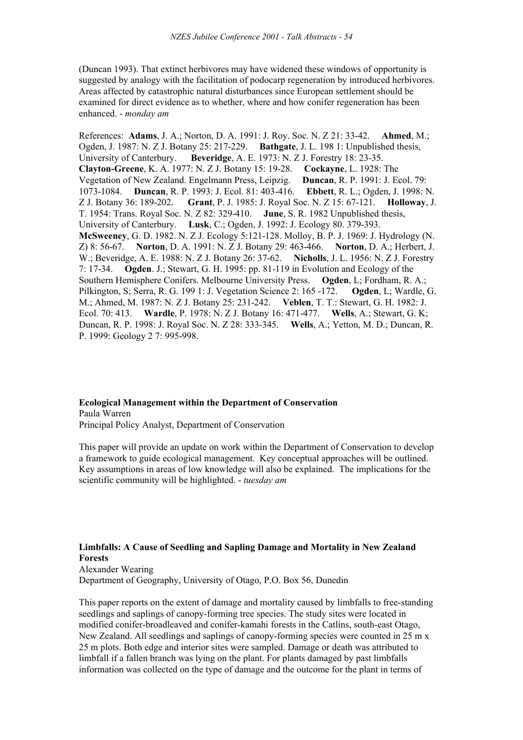(Duncan 1993). That extinct herbivores may have widened these windows of opportunity is suggested by analogy with the facilitation of podocarp regeneration by introduced herbivores. Areas affected by catastrophic natural disturbances since European settlement should be examined for direct evidence as to whether, where and how conifer regeneration has been enhanced. - *monday am*

References: Adams, J. A.; Norton, D. A. 1991: J. Roy. Soc. N. Z 21: 33-42. Ahmed, M.; Ogden, J. 1987: N. Z J. Botany 25: 217-229. Bathgate, J. L. 198 1: Unpublished thesis, University of Canterbury. Beveridge, A. E. 1973: N. Z. J. Forestry 18: 23-35. Clayton-Greene, K. A. 1977: N. Z J. Botany 15: 19-28. Cockayne, L. 1928: The Vegetation of New Zealand. Engelmann Press, Leipzig. Duncan, R. P. 1991: J. Ecol. 79: 1073-1084. Duncan, R. P. 1993: J. Ecol. 81: 403-416. Ebbett, R. L.; Ogden, J. 1998: N. Z J. Botany 36: 189-202. Grant, P. J. 1985: J. Royal Soc. N. Z 15: 67-121. Holloway, J. T. 1954: Trans. Royal Soc. N. Z 82: 329-410. June, S. R. 1982 Unpublished thesis, University of Canterbury. Lusk, C.; Ogden, J. 1992: J. Ecology 80. 379-393. McSweeney, G. D. 1982. N. Z J. Ecology 5:121-128. Molloy, B. P. J. 1969: J. Hydrology (N. Z) 8: 56-67. Norton, D. A. 1991: N. Z J. Botany 29: 463-466. Norton, D. A.; Herbert, J. W.; Beveridge, A. E. 1988: N. Z J. Botany 26: 37-62. Nicholls, J. L. 1956: N. Z J. Forestry 7: 17-34. Ogden. J.; Stewart, G. H. 1995: pp. 81-119 in Evolution and Ecology of the Southern Hemisphere Conifers. Melbourne University Press. Ogden, L; Fordham, R. A.; Pilkington, S; Serra, R. G. 199 1: J. Vegetation Science 2: 165 -172. Ogden, L; Wardle, G. M.; Ahmed, M. 1987: N. Z J. Botany 25: 231-242. Veblen, T. T.: Stewart, G. H. 1982: J. Ecol. 70: 413. Wardle, P. 1978: N. Z J. Botany 16: 471-477. Wells, A.; Stewart, G. K; Duncan, R. P. 1998: J. Royal Soc. N. Z 28: 333-345. Wells, A.; Yetton, M. D.; Duncan, R. P. 1999: Geology 2 7: 995-998.

Ecological Management within the Department of Conservation Paula Warren Principal Policy Analyst, Department of Conservation

This paper will provide an update on work within the Department of Conservation to develop a framework to guide ecological management. Key conceptual approaches will be outlined. Key assumptions in areas of low knowledge will also be explained. The implications for the scientific community will be highlighted. - *tuesday am*

### Limbfalls: A Cause of Seedling and Sapling Damage and Mortality in New Zealand Forests

Alexander Wearing Department of Geography, University of Otago, P.O. Box 56, Dunedin

This paper reports on the extent of damage and mortality caused by limbfalls to free-standing seedlings and saplings of canopy-forming tree species. The study sites were located in modified conifer-broadleaved and conifer-kamahi forests in the Catlins, south-east Otago, New Zealand. All seedlings and saplings of canopy-forming species were counted in 25 m x 25 m plots. Both edge and interior sites were sampled. Damage or death was attributed to limbfall if a fallen branch was lying on the plant. For plants damaged by past limbfalls information was collected on the type of damage and the outcome for the plant in terms of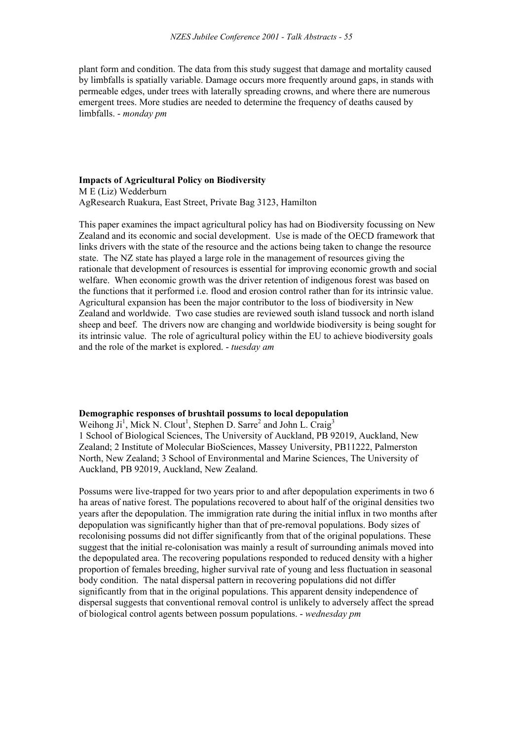plant form and condition. The data from this study suggest that damage and mortality caused by limbfalls is spatially variable. Damage occurs more frequently around gaps, in stands with permeable edges, under trees with laterally spreading crowns, and where there are numerous emergent trees. More studies are needed to determine the frequency of deaths caused by limbfalls. - *monday pm*

## Impacts of Agricultural Policy on Biodiversity M E (Liz) Wedderburn

AgResearch Ruakura, East Street, Private Bag 3123, Hamilton

This paper examines the impact agricultural policy has had on Biodiversity focussing on New Zealand and its economic and social development. Use is made of the OECD framework that links drivers with the state of the resource and the actions being taken to change the resource state. The NZ state has played a large role in the management of resources giving the rationale that development of resources is essential for improving economic growth and social welfare. When economic growth was the driver retention of indigenous forest was based on the functions that it performed i.e. flood and erosion control rather than for its intrinsic value. Agricultural expansion has been the major contributor to the loss of biodiversity in New Zealand and worldwide. Two case studies are reviewed south island tussock and north island sheep and beef. The drivers now are changing and worldwide biodiversity is being sought for its intrinsic value. The role of agricultural policy within the EU to achieve biodiversity goals and the role of the market is explored. - *tuesday am*

#### Demographic responses of brushtail possums to local depopulation

Weihong  $Ji^1$ , Mick N. Clout<sup>1</sup>, Stephen D. Sarre<sup>2</sup> and John L. Craig<sup>3</sup> 1 School of Biological Sciences, The University of Auckland, PB 92019, Auckland, New Zealand; 2 Institute of Molecular BioSciences, Massey University, PB11222, Palmerston North, New Zealand; 3 School of Environmental and Marine Sciences, The University of Auckland, PB 92019, Auckland, New Zealand.

Possums were live-trapped for two years prior to and after depopulation experiments in two 6 ha areas of native forest. The populations recovered to about half of the original densities two years after the depopulation. The immigration rate during the initial influx in two months after depopulation was significantly higher than that of pre-removal populations. Body sizes of recolonising possums did not differ significantly from that of the original populations. These suggest that the initial re-colonisation was mainly a result of surrounding animals moved into the depopulated area. The recovering populations responded to reduced density with a higher proportion of females breeding, higher survival rate of young and less fluctuation in seasonal body condition. The natal dispersal pattern in recovering populations did not differ significantly from that in the original populations. This apparent density independence of dispersal suggests that conventional removal control is unlikely to adversely affect the spread of biological control agents between possum populations. - *wednesday pm*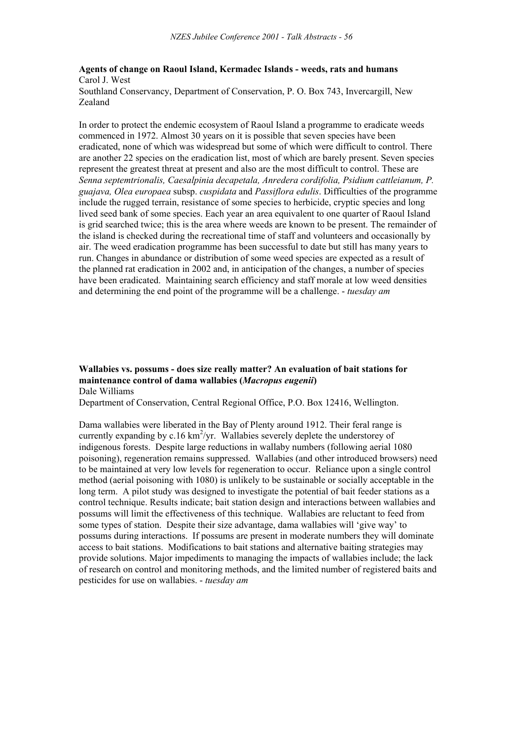## Agents of change on Raoul Island, Kermadec Islands - weeds, rats and humans Carol J. West

Southland Conservancy, Department of Conservation, P. O. Box 743, Invercargill, New Zealand

In order to protect the endemic ecosystem of Raoul Island a programme to eradicate weeds commenced in 1972. Almost 30 years on it is possible that seven species have been eradicated, none of which was widespread but some of which were difficult to control. There are another 22 species on the eradication list, most of which are barely present. Seven species represent the greatest threat at present and also are the most difficult to control. These are *Senna septemtrionalis, Caesalpinia decapetala, Anredera cordifolia, Psidium cattleianum, P. guajava, Olea europaea* subsp. *cuspidata* and *Passiflora edulis*. Difficulties of the programme include the rugged terrain, resistance of some species to herbicide, cryptic species and long lived seed bank of some species. Each year an area equivalent to one quarter of Raoul Island is grid searched twice; this is the area where weeds are known to be present. The remainder of the island is checked during the recreational time of staff and volunteers and occasionally by air. The weed eradication programme has been successful to date but still has many years to run. Changes in abundance or distribution of some weed species are expected as a result of the planned rat eradication in 2002 and, in anticipation of the changes, a number of species have been eradicated. Maintaining search efficiency and staff morale at low weed densities and determining the end point of the programme will be a challenge. - *tuesday am*

#### Wallabies vs. possums - does size really matter? An evaluation of bait stations for maintenance control of dama wallabies (*Macropus eugenii*) Dale Williams

Department of Conservation, Central Regional Office, P.O. Box 12416, Wellington.

Dama wallabies were liberated in the Bay of Plenty around 1912. Their feral range is currently expanding by c.16  $km^2$ /yr. Wallabies severely deplete the understorey of indigenous forests. Despite large reductions in wallaby numbers (following aerial 1080 poisoning), regeneration remains suppressed. Wallabies (and other introduced browsers) need to be maintained at very low levels for regeneration to occur. Reliance upon a single control method (aerial poisoning with 1080) is unlikely to be sustainable or socially acceptable in the long term. A pilot study was designed to investigate the potential of bait feeder stations as a control technique. Results indicate; bait station design and interactions between wallabies and possums will limit the effectiveness of this technique. Wallabies are reluctant to feed from some types of station. Despite their size advantage, dama wallabies will 'give way' to possums during interactions. If possums are present in moderate numbers they will dominate access to bait stations. Modifications to bait stations and alternative baiting strategies may provide solutions. Major impediments to managing the impacts of wallabies include; the lack of research on control and monitoring methods, and the limited number of registered baits and pesticides for use on wallabies. - *tuesday am*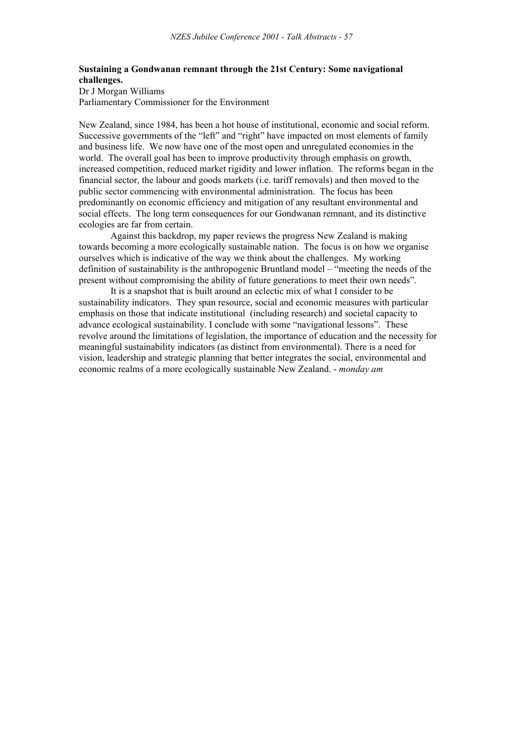## Sustaining a Gondwanan remnant through the 21st Century: Some navigational challenges.

Dr J Morgan Williams Parliamentary Commissioner for the Environment

New Zealand, since 1984, has been a hot house of institutional, economic and social reform. Successive governments of the "left" and "right" have impacted on most elements of family and business life. We now have one of the most open and unregulated economies in the world. The overall goal has been to improve productivity through emphasis on growth, increased competition, reduced market rigidity and lower inflation. The reforms began in the financial sector, the labour and goods markets (i.e. tariff removals) and then moved to the public sector commencing with environmental administration. The focus has been predominantly on economic efficiency and mitigation of any resultant environmental and social effects. The long term consequences for our Gondwanan remnant, and its distinctive ecologies are far from certain.

Against this backdrop, my paper reviews the progress New Zealand is making towards becoming a more ecologically sustainable nation. The focus is on how we organise ourselves which is indicative of the way we think about the challenges. My working definition of sustainability is the anthropogenic Bruntland model – "meeting the needs of the present without compromising the ability of future generations to meet their own needs".

It is a snapshot that is built around an eclectic mix of what I consider to be sustainability indicators. They span resource, social and economic measures with particular emphasis on those that indicate institutional (including research) and societal capacity to advance ecological sustainability. I conclude with some "navigational lessons". These revolve around the limitations of legislation, the importance of education and the necessity for meaningful sustainability indicators (as distinct from environmental). There is a need for vision, leadership and strategic planning that better integrates the social, environmental and economic realms of a more ecologically sustainable New Zealand. - *monday am*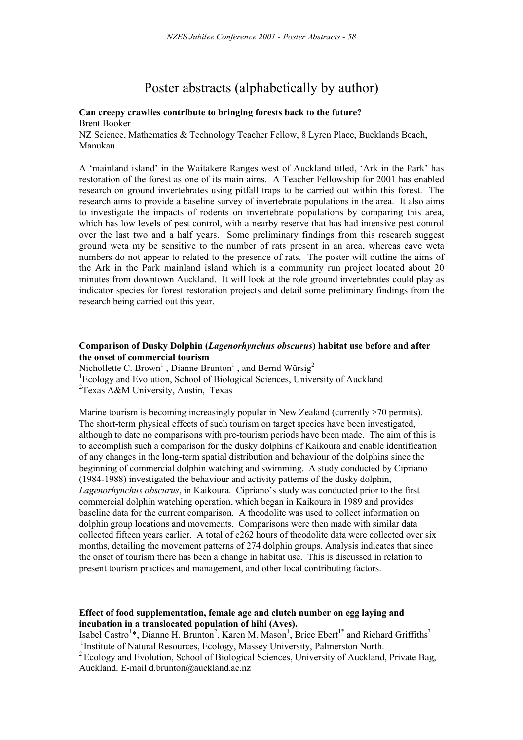## Poster abstracts (alphabetically by author)

#### Can creepy crawlies contribute to bringing forests back to the future? Brent Booker

NZ Science, Mathematics & Technology Teacher Fellow, 8 Lyren Place, Bucklands Beach, Manukau

A 'mainland island' in the Waitakere Ranges west of Auckland titled, 'Ark in the Park' has restoration of the forest as one of its main aims. A Teacher Fellowship for 2001 has enabled research on ground invertebrates using pitfall traps to be carried out within this forest. The research aims to provide a baseline survey of invertebrate populations in the area. It also aims to investigate the impacts of rodents on invertebrate populations by comparing this area, which has low levels of pest control, with a nearby reserve that has had intensive pest control over the last two and a half years. Some preliminary findings from this research suggest ground weta my be sensitive to the number of rats present in an area, whereas cave weta numbers do not appear to related to the presence of rats. The poster will outline the aims of the Ark in the Park mainland island which is a community run project located about 20 minutes from downtown Auckland. It will look at the role ground invertebrates could play as indicator species for forest restoration projects and detail some preliminary findings from the research being carried out this year.

## Comparison of Dusky Dolphin (*Lagenorhynchus obscurus*) habitat use before and after the onset of commercial tourism

Nichollette C. Brown<sup>1</sup>, Dianne Brunton<sup>1</sup>, and Bernd Würsig<sup>2</sup> <sup>1</sup>Ecology and Evolution, School of Biological Sciences, University of Auckland <sup>2</sup>Texas A&M University, Austin, Texas

Marine tourism is becoming increasingly popular in New Zealand (currently  $>70$  permits). The short-term physical effects of such tourism on target species have been investigated, although to date no comparisons with pre-tourism periods have been made. The aim of this is to accomplish such a comparison for the dusky dolphins of Kaikoura and enable identification of any changes in the long-term spatial distribution and behaviour of the dolphins since the beginning of commercial dolphin watching and swimming. A study conducted by Cipriano (1984-1988) investigated the behaviour and activity patterns of the dusky dolphin, *Lagenorhynchus obscurus*, in Kaikoura. Cipriano's study was conducted prior to the first commercial dolphin watching operation, which began in Kaikoura in 1989 and provides baseline data for the current comparison. A theodolite was used to collect information on dolphin group locations and movements. Comparisons were then made with similar data collected fifteen years earlier. A total of c262 hours of theodolite data were collected over six months, detailing the movement patterns of 274 dolphin groups. Analysis indicates that since the onset of tourism there has been a change in habitat use. This is discussed in relation to present tourism practices and management, and other local contributing factors.

Effect of food supplementation, female age and clutch number on egg laying and incubation in a translocated population of hihi (Aves).

Isabel Castro<sup>1</sup>\*, Dianne H. Brunton<sup>2</sup>, Karen M. Mason<sup>1</sup>, Brice Ebert<sup>1\*</sup> and Richard Griffiths<sup>3</sup> <sup>1</sup>Institute of Natural Resources, Ecology, Massey University, Palmerston North.

<sup>2</sup> Ecology and Evolution, School of Biological Sciences, University of Auckland, Private Bag, Auckland. E-mail d.brunton@auckland.ac.nz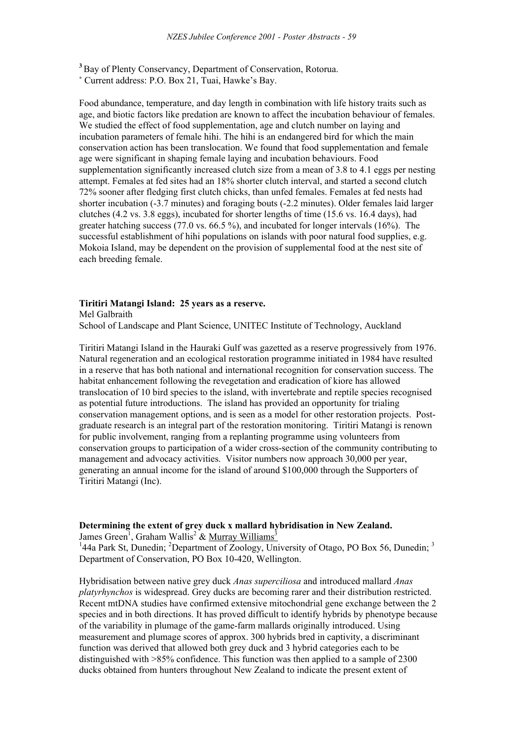<sup>3</sup> Bay of Plenty Conservancy, Department of Conservation, Rotorua.

∗ Current address: P.O. Box 21, Tuai, Hawke's Bay.

Food abundance, temperature, and day length in combination with life history traits such as age, and biotic factors like predation are known to affect the incubation behaviour of females. We studied the effect of food supplementation, age and clutch number on laying and incubation parameters of female hihi. The hihi is an endangered bird for which the main conservation action has been translocation. We found that food supplementation and female age were significant in shaping female laying and incubation behaviours. Food supplementation significantly increased clutch size from a mean of 3.8 to 4.1 eggs per nesting attempt. Females at fed sites had an 18% shorter clutch interval, and started a second clutch 72% sooner after fledging first clutch chicks, than unfed females. Females at fed nests had shorter incubation (-3.7 minutes) and foraging bouts (-2.2 minutes). Older females laid larger clutches  $(4.2 \text{ vs. } 3.8 \text{ eggs})$ , incubated for shorter lengths of time  $(15.6 \text{ vs. } 16.4 \text{ days})$ , had greater hatching success (77.0 vs. 66.5 %), and incubated for longer intervals (16%). The successful establishment of hihi populations on islands with poor natural food supplies, e.g. Mokoia Island, may be dependent on the provision of supplemental food at the nest site of each breeding female.

## Tiritiri Matangi Island: 25 years as a reserve.

Mel Galbraith

School of Landscape and Plant Science, UNITEC Institute of Technology, Auckland

Tiritiri Matangi Island in the Hauraki Gulf was gazetted as a reserve progressively from 1976. Natural regeneration and an ecological restoration programme initiated in 1984 have resulted in a reserve that has both national and international recognition for conservation success. The habitat enhancement following the revegetation and eradication of kiore has allowed translocation of 10 bird species to the island, with invertebrate and reptile species recognised as potential future introductions. The island has provided an opportunity for trialing conservation management options, and is seen as a model for other restoration projects. Postgraduate research is an integral part of the restoration monitoring. Tiritiri Matangi is renown for public involvement, ranging from a replanting programme using volunteers from conservation groups to participation of a wider cross-section of the community contributing to management and advocacy activities. Visitor numbers now approach 30,000 per year, generating an annual income for the island of around \$100,000 through the Supporters of Tiritiri Matangi (Inc).

## Determining the extent of grey duck x mallard hybridisation in New Zealand. James Green<sup>1</sup>, Graham Wallis<sup>2</sup> & Murray Williams<sup>3</sup>

<sup>1</sup>44a Park St, Dunedin; <sup>2</sup>Department of Zoology, University of Otago, PO Box 56, Dunedin; <sup>3</sup> Department of Conservation, PO Box 10-420, Wellington.

Hybridisation between native grey duck *Anas superciliosa* and introduced mallard *Anas platyrhynchos* is widespread. Grey ducks are becoming rarer and their distribution restricted. Recent mtDNA studies have confirmed extensive mitochondrial gene exchange between the 2 species and in both directions. It has proved difficult to identify hybrids by phenotype because of the variability in plumage of the game-farm mallards originally introduced. Using measurement and plumage scores of approx. 300 hybrids bred in captivity, a discriminant function was derived that allowed both grey duck and 3 hybrid categories each to be distinguished with >85% confidence. This function was then applied to a sample of 2300 ducks obtained from hunters throughout New Zealand to indicate the present extent of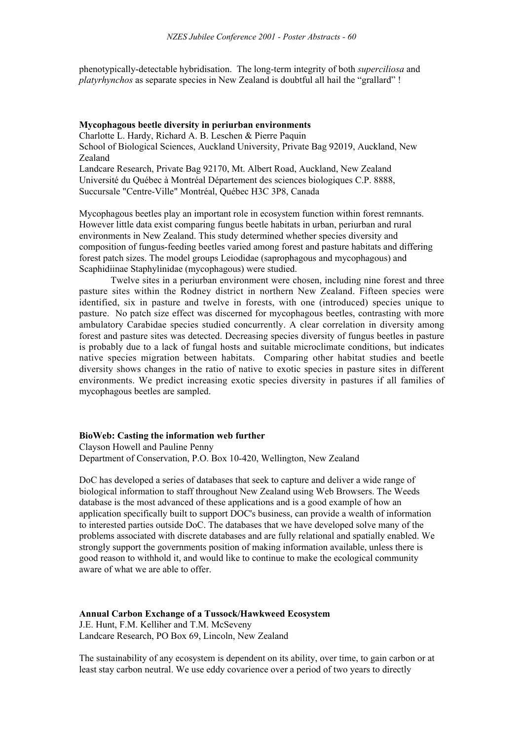phenotypically-detectable hybridisation. The long-term integrity of both *superciliosa* and *platyrhynchos* as separate species in New Zealand is doubtful all hail the "grallard" !

## Mycophagous beetle diversity in periurban environments

Charlotte L. Hardy, Richard A. B. Leschen & Pierre Paquin School of Biological Sciences, Auckland University, Private Bag 92019, Auckland, New Zealand

Landcare Research, Private Bag 92170, Mt. Albert Road, Auckland, New Zealand Université du Québec à Montréal Département des sciences biologiques C.P. 8888, Succursale "Centre-Ville" Montréal, Québec H3C 3P8, Canada

Mycophagous beetles play an important role in ecosystem function within forest remnants. However little data exist comparing fungus beetle habitats in urban, periurban and rural environments in New Zealand. This study determined whether species diversity and composition of fungus-feeding beetles varied among forest and pasture habitats and differing forest patch sizes. The model groups Leiodidae (saprophagous and mycophagous) and Scaphidiinae Staphylinidae (mycophagous) were studied.

Twelve sites in a periurban environment were chosen, including nine forest and three pasture sites within the Rodney district in northern New Zealand. Fifteen species were identified, six in pasture and twelve in forests, with one (introduced) species unique to pasture. No patch size effect was discerned for mycophagous beetles, contrasting with more ambulatory Carabidae species studied concurrently. A clear correlation in diversity among forest and pasture sites was detected. Decreasing species diversity of fungus beetles in pasture is probably due to a lack of fungal hosts and suitable microclimate conditions, but indicates native species migration between habitats. Comparing other habitat studies and beetle diversity shows changes in the ratio of native to exotic species in pasture sites in different environments. We predict increasing exotic species diversity in pastures if all families of mycophagous beetles are sampled.

#### BioWeb: Casting the information web further

Clayson Howell and Pauline Penny Department of Conservation, P.O. Box 10-420, Wellington, New Zealand

DoC has developed a series of databases that seek to capture and deliver a wide range of biological information to staff throughout New Zealand using Web Browsers. The Weeds database is the most advanced of these applications and is a good example of how an application specifically built to support DOC's business, can provide a wealth of information to interested parties outside DoC. The databases that we have developed solve many of the problems associated with discrete databases and are fully relational and spatially enabled. We strongly support the governments position of making information available, unless there is good reason to withhold it, and would like to continue to make the ecological community aware of what we are able to offer.

#### Annual Carbon Exchange of a Tussock/Hawkweed Ecosystem

J.E. Hunt, F.M. Kelliher and T.M. McSeveny Landcare Research, PO Box 69, Lincoln, New Zealand

The sustainability of any ecosystem is dependent on its ability, over time, to gain carbon or at least stay carbon neutral. We use eddy covarience over a period of two years to directly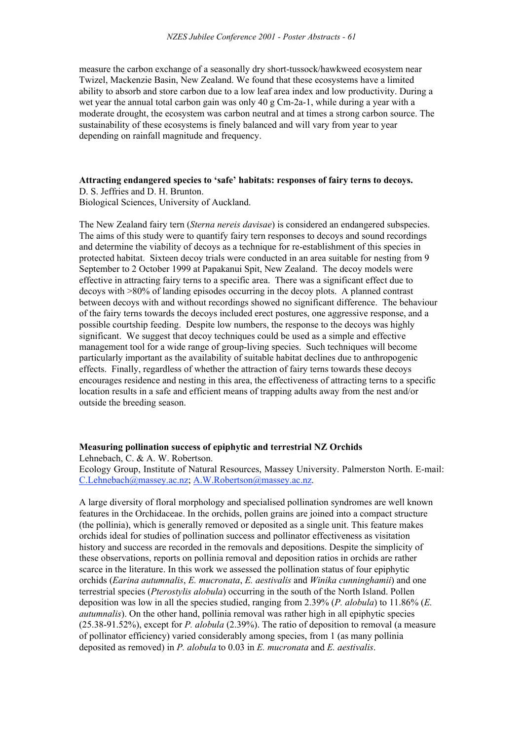measure the carbon exchange of a seasonally dry short-tussock/hawkweed ecosystem near Twizel, Mackenzie Basin, New Zealand. We found that these ecosystems have a limited ability to absorb and store carbon due to a low leaf area index and low productivity. During a wet year the annual total carbon gain was only 40 g Cm-2a-1, while during a year with a moderate drought, the ecosystem was carbon neutral and at times a strong carbon source. The sustainability of these ecosystems is finely balanced and will vary from year to year depending on rainfall magnitude and frequency.

#### Attracting endangered species to 'safe' habitats: responses of fairy terns to decoys.

D. S. Jeffries and D. H. Brunton. Biological Sciences, University of Auckland.

The New Zealand fairy tern (*Sterna nereis davisae*) is considered an endangered subspecies. The aims of this study were to quantify fairy tern responses to decoys and sound recordings and determine the viability of decoys as a technique for re-establishment of this species in protected habitat. Sixteen decoy trials were conducted in an area suitable for nesting from 9 September to 2 October 1999 at Papakanui Spit, New Zealand. The decoy models were effective in attracting fairy terns to a specific area. There was a significant effect due to decoys with >80% of landing episodes occurring in the decoy plots. A planned contrast between decoys with and without recordings showed no significant difference. The behaviour of the fairy terns towards the decoys included erect postures, one aggressive response, and a possible courtship feeding. Despite low numbers, the response to the decoys was highly significant. We suggest that decoy techniques could be used as a simple and effective management tool for a wide range of group-living species. Such techniques will become particularly important as the availability of suitable habitat declines due to anthropogenic effects. Finally, regardless of whether the attraction of fairy terns towards these decoys encourages residence and nesting in this area, the effectiveness of attracting terns to a specific location results in a safe and efficient means of trapping adults away from the nest and/or outside the breeding season.

## Measuring pollination success of epiphytic and terrestrial NZ Orchids

Lehnebach, C. & A. W. Robertson. Ecology Group, Institute of Natural Resources, Massey University. Palmerston North. E-mail: C.Lehnebach@massey.ac.nz; A.W.Robertson@massey.ac.nz.

A large diversity of floral morphology and specialised pollination syndromes are well known features in the Orchidaceae. In the orchids, pollen grains are joined into a compact structure (the pollinia), which is generally removed or deposited as a single unit. This feature makes orchids ideal for studies of pollination success and pollinator effectiveness as visitation history and success are recorded in the removals and depositions. Despite the simplicity of these observations, reports on pollinia removal and deposition ratios in orchids are rather scarce in the literature. In this work we assessed the pollination status of four epiphytic orchids (*Earina autumnalis*, *E. mucronata*, *E. aestivalis* and *Winika cunninghamii*) and one terrestrial species (*Pterostylis alobula*) occurring in the south of the North Island. Pollen deposition was low in all the species studied, ranging from 2.39% (*P. alobula*) to 11.86% (*E. autumnalis*). On the other hand, pollinia removal was rather high in all epiphytic species (25.38-91.52%), except for *P. alobula* (2.39%). The ratio of deposition to removal (a measure of pollinator efficiency) varied considerably among species, from 1 (as many pollinia deposited as removed) in *P. alobula* to 0.03 in *E. mucronata* and *E. aestivalis*.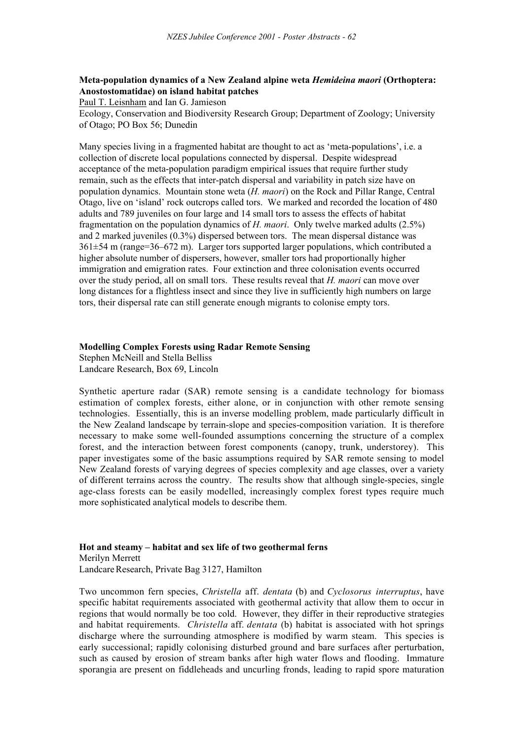## Meta-population dynamics of a New Zealand alpine weta *Hemideina maori* (Orthoptera: Anostostomatidae) on island habitat patches

Paul T. Leisnham and Ian G. Jamieson

Ecology, Conservation and Biodiversity Research Group; Department of Zoology; University of Otago; PO Box 56; Dunedin

Many species living in a fragmented habitat are thought to act as 'meta-populations', i.e. a collection of discrete local populations connected by dispersal. Despite widespread acceptance of the meta-population paradigm empirical issues that require further study remain, such as the effects that inter-patch dispersal and variability in patch size have on population dynamics. Mountain stone weta (*H. maori*) on the Rock and Pillar Range, Central Otago, live on 'island' rock outcrops called tors. We marked and recorded the location of 480 adults and 789 juveniles on four large and 14 small tors to assess the effects of habitat fragmentation on the population dynamics of *H. maori*. Only twelve marked adults (2.5%) and 2 marked juveniles (0.3%) dispersed between tors. The mean dispersal distance was 361±54 m (range=36–672 m). Larger tors supported larger populations, which contributed a higher absolute number of dispersers, however, smaller tors had proportionally higher immigration and emigration rates. Four extinction and three colonisation events occurred over the study period, all on small tors. These results reveal that *H. maori* can move over long distances for a flightless insect and since they live in sufficiently high numbers on large tors, their dispersal rate can still generate enough migrants to colonise empty tors.

#### Modelling Complex Forests using Radar Remote Sensing

Stephen McNeill and Stella Belliss Landcare Research, Box 69, Lincoln

Synthetic aperture radar (SAR) remote sensing is a candidate technology for biomass estimation of complex forests, either alone, or in conjunction with other remote sensing technologies. Essentially, this is an inverse modelling problem, made particularly difficult in the New Zealand landscape by terrain-slope and species-composition variation. It is therefore necessary to make some well-founded assumptions concerning the structure of a complex forest, and the interaction between forest components (canopy, trunk, understorey). This paper investigates some of the basic assumptions required by SAR remote sensing to model New Zealand forests of varying degrees of species complexity and age classes, over a variety of different terrains across the country. The results show that although single-species, single age-class forests can be easily modelled, increasingly complex forest types require much more sophisticated analytical models to describe them.

### Hot and steamy – habitat and sex life of two geothermal ferns Merilyn Merrett Landcare Research, Private Bag 3127, Hamilton

Two uncommon fern species, *Christella* aff. *dentata* (b) and *Cyclosorus interruptus*, have specific habitat requirements associated with geothermal activity that allow them to occur in regions that would normally be too cold. However, they differ in their reproductive strategies and habitat requirements. *Christella* aff. *dentata* (b) habitat is associated with hot springs discharge where the surrounding atmosphere is modified by warm steam. This species is early successional; rapidly colonising disturbed ground and bare surfaces after perturbation, such as caused by erosion of stream banks after high water flows and flooding. Immature sporangia are present on fiddleheads and uncurling fronds, leading to rapid spore maturation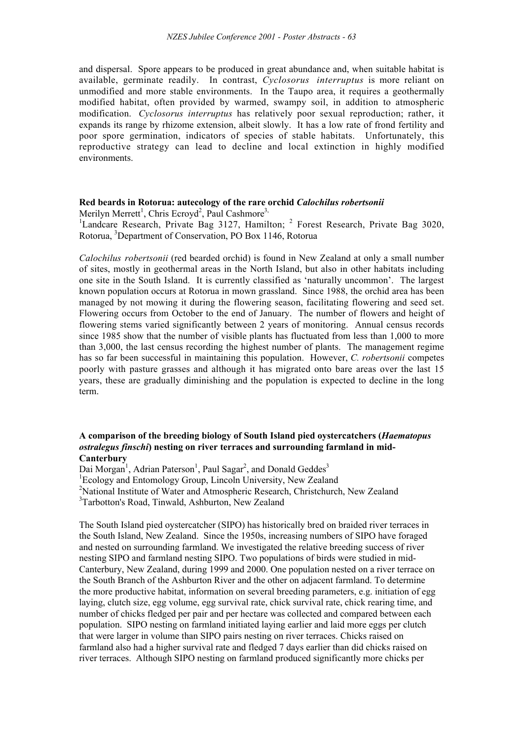and dispersal. Spore appears to be produced in great abundance and, when suitable habitat is available, germinate readily. In contrast, *Cyclosorus interruptus* is more reliant on unmodified and more stable environments. In the Taupo area, it requires a geothermally modified habitat, often provided by warmed, swampy soil, in addition to atmospheric modification. *Cyclosorus interruptus* has relatively poor sexual reproduction; rather, it expands its range by rhizome extension, albeit slowly. It has a low rate of frond fertility and poor spore germination, indicators of species of stable habitats. Unfortunately, this reproductive strategy can lead to decline and local extinction in highly modified environments.

## Red beards in Rotorua: autecology of the rare orchid *Calochilus robertsonii*

Merilyn Merrett<sup>1</sup>, Chris Ecroyd<sup>2</sup>, Paul Cashmore<sup>3,</sup>

<sup>1</sup>Landcare Research, Private Bag 3127, Hamilton; <sup>2</sup> Forest Research, Private Bag 3020, Rotorua, <sup>3</sup>Department of Conservation, PO Box 1146, Rotorua

*Calochilus robertsonii* (red bearded orchid) is found in New Zealand at only a small number of sites, mostly in geothermal areas in the North Island, but also in other habitats including one site in the South Island. It is currently classified as 'naturally uncommon'. The largest known population occurs at Rotorua in mown grassland. Since 1988, the orchid area has been managed by not mowing it during the flowering season, facilitating flowering and seed set. Flowering occurs from October to the end of January. The number of flowers and height of flowering stems varied significantly between 2 years of monitoring. Annual census records since 1985 show that the number of visible plants has fluctuated from less than 1,000 to more than 3,000, the last census recording the highest number of plants. The management regime has so far been successful in maintaining this population. However, *C. robertsonii* competes poorly with pasture grasses and although it has migrated onto bare areas over the last 15 years, these are gradually diminishing and the population is expected to decline in the long term.

#### A comparison of the breeding biology of South Island pied oystercatchers (*Haematopus ostralegus finschi*) nesting on river terraces and surrounding farmland in mid-**Canterbury**

Dai Morgan<sup>1</sup>, Adrian Paterson<sup>1</sup>, Paul Sagar<sup>2</sup>, and Donald Geddes<sup>3</sup> <sup>1</sup> Ecology and Entomology Group, Lincoln University, New Zealand <sup>2</sup>National Institute of Water and Atmospheric Research, Christchurch, New Zealand

<sup>3</sup>Tarbotton's Road, Tinwald, Ashburton, New Zealand

The South Island pied oystercatcher (SIPO) has historically bred on braided river terraces in the South Island, New Zealand. Since the 1950s, increasing numbers of SIPO have foraged and nested on surrounding farmland. We investigated the relative breeding success of river nesting SIPO and farmland nesting SIPO. Two populations of birds were studied in mid-Canterbury, New Zealand, during 1999 and 2000. One population nested on a river terrace on the South Branch of the Ashburton River and the other on adjacent farmland. To determine the more productive habitat, information on several breeding parameters, e.g. initiation of egg laying, clutch size, egg volume, egg survival rate, chick survival rate, chick rearing time, and number of chicks fledged per pair and per hectare was collected and compared between each population. SIPO nesting on farmland initiated laying earlier and laid more eggs per clutch that were larger in volume than SIPO pairs nesting on river terraces. Chicks raised on farmland also had a higher survival rate and fledged 7 days earlier than did chicks raised on river terraces. Although SIPO nesting on farmland produced significantly more chicks per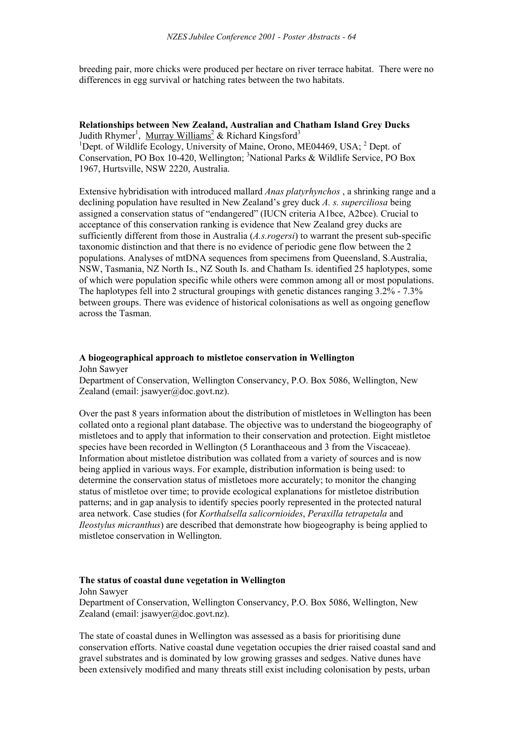breeding pair, more chicks were produced per hectare on river terrace habitat. There were no differences in egg survival or hatching rates between the two habitats.

### Relationships between New Zealand, Australian and Chatham Island Grey Ducks Judith Rhymer<sup>1</sup>, Murray Williams<sup>2</sup> & Richard Kingsford<sup>3</sup> <sup>1</sup>Dept. of Wildlife Ecology, University of Maine, Orono, ME04469, USA; <sup>2</sup> Dept. of Conservation, PO Box 10-420, Wellington; <sup>3</sup>National Parks & Wildlife Service, PO Box 1967, Hurtsville, NSW 2220, Australia.

Extensive hybridisation with introduced mallard *Anas platyrhynchos* , a shrinking range and a declining population have resulted in New Zealand's grey duck *A. s. superciliosa* being assigned a conservation status of "endangered" (IUCN criteria A1bce, A2bce). Crucial to acceptance of this conservation ranking is evidence that New Zealand grey ducks are sufficiently different from those in Australia (*A.s.rogersi*) to warrant the present sub-specific taxonomic distinction and that there is no evidence of periodic gene flow between the 2 populations. Analyses of mtDNA sequences from specimens from Queensland, S.Australia, NSW, Tasmania, NZ North Is., NZ South Is. and Chatham Is. identified 25 haplotypes, some of which were population specific while others were common among all or most populations. The haplotypes fell into 2 structural groupings with genetic distances ranging 3.2% - 7.3% between groups. There was evidence of historical colonisations as well as ongoing geneflow across the Tasman.

#### A biogeographical approach to mistletoe conservation in Wellington John Sawyer

Department of Conservation, Wellington Conservancy, P.O. Box 5086, Wellington, New Zealand (email: jsawyer@doc.govt.nz).

Over the past 8 years information about the distribution of mistletoes in Wellington has been collated onto a regional plant database. The objective was to understand the biogeography of mistletoes and to apply that information to their conservation and protection. Eight mistletoe species have been recorded in Wellington (5 Loranthaceous and 3 from the Viscaceae). Information about mistletoe distribution was collated from a variety of sources and is now being applied in various ways. For example, distribution information is being used: to determine the conservation status of mistletoes more accurately; to monitor the changing status of mistletoe over time; to provide ecological explanations for mistletoe distribution patterns; and in gap analysis to identify species poorly represented in the protected natural area network. Case studies (for *Korthalsella salicornioides*, *Peraxilla tetrapetala* and *Ileostylus micranthus*) are described that demonstrate how biogeography is being applied to mistletoe conservation in Wellington.

## The status of coastal dune vegetation in Wellington

John Sawyer

Department of Conservation, Wellington Conservancy, P.O. Box 5086, Wellington, New Zealand (email: jsawyer@doc.govt.nz).

The state of coastal dunes in Wellington was assessed as a basis for prioritising dune conservation efforts. Native coastal dune vegetation occupies the drier raised coastal sand and gravel substrates and is dominated by low growing grasses and sedges. Native dunes have been extensively modified and many threats still exist including colonisation by pests, urban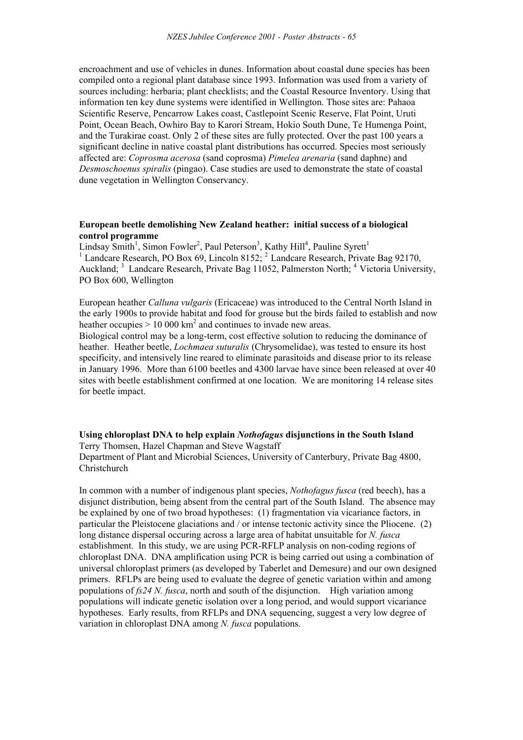encroachment and use of vehicles in dunes. Information about coastal dune species has been compiled onto a regional plant database since 1993. Information was used from a variety of sources including: herbaria; plant checklists; and the Coastal Resource Inventory. Using that information ten key dune systems were identified in Wellington. Those sites are: Pahaoa Scientific Reserve, Pencarrow Lakes coast, Castlepoint Scenic Reserve, Flat Point, Uruti Point, Ocean Beach, Owhiro Bay to Karori Stream, Hokio South Dune, Te Humenga Point, and the Turakirae coast. Only 2 of these sites are fully protected. Over the past 100 years a significant decline in native coastal plant distributions has occurred. Species most seriously affected are: *Coprosma acerosa* (sand coprosma) *Pimelea arenaria* (sand daphne) and *Desmoschoenus spiralis* (pingao). Case studies are used to demonstrate the state of coastal dune vegetation in Wellington Conservancy.

## European beetle demolishing New Zealand heather: initial success of a biological control programme

Lindsay Smith<sup>1</sup>, Simon Fowler<sup>2</sup>, Paul Peterson<sup>3</sup>, Kathy Hill<sup>4</sup>, Pauline Syrett<sup>1</sup> <sup>1</sup> Landcare Research, PO Box 69, Lincoln 8152;  $^2$  Landcare Research, Private Bag 92170, Auckland; <sup>3</sup> Landcare Research, Private Bag 11052, Palmerston North; <sup>4</sup> Victoria University, PO Box 600, Wellington

European heather *Calluna vulgaris* (Ericaceae) was introduced to the Central North Island in the early 1900s to provide habitat and food for grouse but the birds failed to establish and now heather occupies  $> 10000 \text{ km}^2$  and continues to invade new areas.

Biological control may be a long-term, cost effective solution to reducing the dominance of heather. Heather beetle, *Lochmaea suturalis* (Chrysomelidae), was tested to ensure its host specificity, and intensively line reared to eliminate parasitoids and disease prior to its release in January 1996. More than 6100 beetles and 4300 larvae have since been released at over 40 sites with beetle establishment confirmed at one location. We are monitoring 14 release sites for beetle impact.

## Using chloroplast DNA to help explain *Nothofagus* disjunctions in the South Island Terry Thomsen, Hazel Chapman and Steve Wagstaff

Department of Plant and Microbial Sciences, University of Canterbury, Private Bag 4800, Christchurch

In common with a number of indigenous plant species, *Nothofagus fusca* (red beech), has a disjunct distribution, being absent from the central part of the South Island. The absence may be explained by one of two broad hypotheses: (1) fragmentation via vicariance factors, in particular the Pleistocene glaciations and / or intense tectonic activity since the Pliocene. (2) long distance dispersal occuring across a large area of habitat unsuitable for *N. fusca* establishment. In this study, we are using PCR-RFLP analysis on non-coding regions of chloroplast DNA. DNA amplification using PCR is being carried out using a combination of universal chloroplast primers (as developed by Taberlet and Demesure) and our own designed primers. RFLPs are being used to evaluate the degree of genetic variation within and among populations of *fs24 N. fusca*, north and south of the disjunction. High variation among populations will indicate genetic isolation over a long period, and would support vicariance hypotheses. Early results, from RFLPs and DNA sequencing, suggest a very low degree of variation in chloroplast DNA among *N. fusca* populations.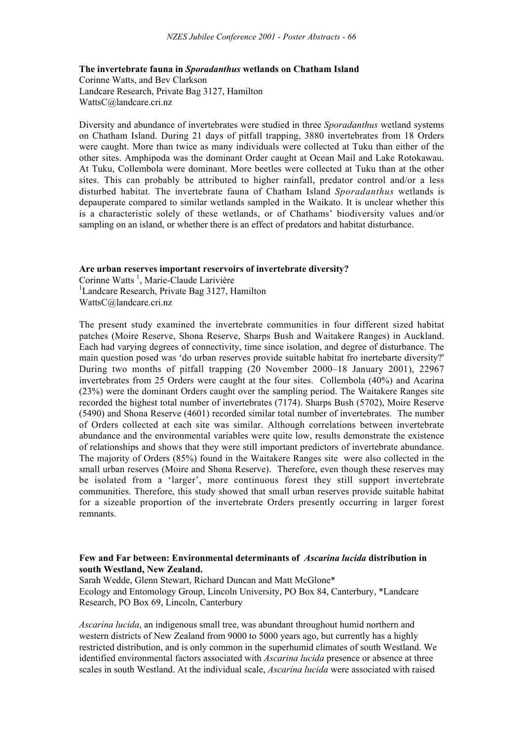The invertebrate fauna in *Sporadanthus* wetlands on Chatham Island

Corinne Watts, and Bev Clarkson Landcare Research, Private Bag 3127, Hamilton WattsC@landcare.cri.nz

Diversity and abundance of invertebrates were studied in three *Sporadanthus* wetland systems on Chatham Island. During 21 days of pitfall trapping, 3880 invertebrates from 18 Orders were caught. More than twice as many individuals were collected at Tuku than either of the other sites. Amphipoda was the dominant Order caught at Ocean Mail and Lake Rotokawau. At Tuku, Collembola were dominant. More beetles were collected at Tuku than at the other sites. This can probably be attributed to higher rainfall, predator control and/or a less disturbed habitat. The invertebrate fauna of Chatham Island *Sporadanthus* wetlands is depauperate compared to similar wetlands sampled in the Waikato. It is unclear whether this is a characteristic solely of these wetlands, or of Chathams' biodiversity values and/or sampling on an island, or whether there is an effect of predators and habitat disturbance.

#### Are urban reserves important reservoirs of invertebrate diversity?

Corinne Watts<sup>1</sup>, Marie-Claude Larivière <sup>1</sup>Landcare Research, Private Bag 3127, Hamilton WattsC@landcare.cri.nz

The present study examined the invertebrate communities in four different sized habitat patches (Moire Reserve, Shona Reserve, Sharps Bush and Waitakere Ranges) in Auckland. Each had varying degrees of connectivity, time since isolation, and degree of disturbance. The main question posed was 'do urban reserves provide suitable habitat fro inertebarte diversity?' During two months of pitfall trapping (20 November 2000–18 January 2001), 22967 invertebrates from 25 Orders were caught at the four sites. Collembola (40%) and Acarina (23%) were the dominant Orders caught over the sampling period. The Waitakere Ranges site recorded the highest total number of invertebrates (7174). Sharps Bush (5702), Moire Reserve (5490) and Shona Reserve (4601) recorded similar total number of invertebrates. The number of Orders collected at each site was similar. Although correlations between invertebrate abundance and the environmental variables were quite low, results demonstrate the existence of relationships and shows that they were still important predictors of invertebrate abundance. The majority of Orders (85%) found in the Waitakere Ranges site were also collected in the small urban reserves (Moire and Shona Reserve). Therefore, even though these reserves may be isolated from a 'larger', more continuous forest they still support invertebrate communities. Therefore, this study showed that small urban reserves provide suitable habitat for a sizeable proportion of the invertebrate Orders presently occurring in larger forest remnants.

### Few and Far between: Environmental determinants of *Ascarina lucida* distribution in south Westland, New Zealand.

Sarah Wedde, Glenn Stewart, Richard Duncan and Matt McGlone\* Ecology and Entomology Group, Lincoln University, PO Box 84, Canterbury, \*Landcare Research, PO Box 69, Lincoln, Canterbury

*Ascarina lucida*, an indigenous small tree, was abundant throughout humid northern and western districts of New Zealand from 9000 to 5000 years ago, but currently has a highly restricted distribution, and is only common in the superhumid climates of south Westland. We identified environmental factors associated with *Ascarina lucida* presence or absence at three scales in south Westland. At the individual scale, *Ascarina lucida* were associated with raised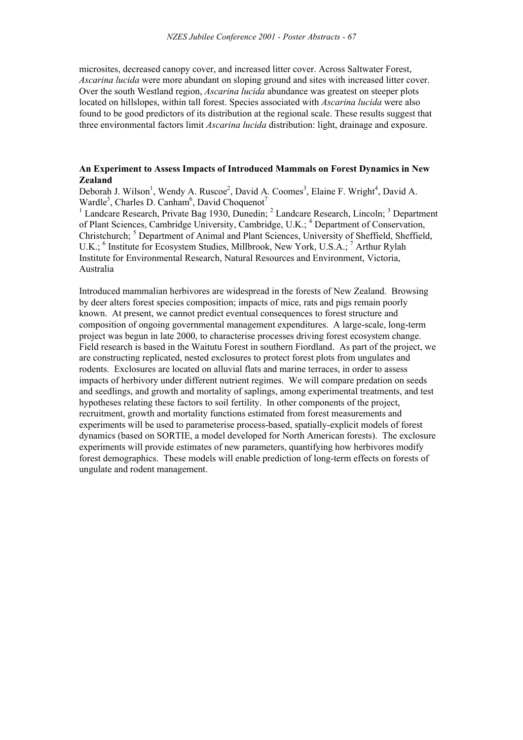microsites, decreased canopy cover, and increased litter cover. Across Saltwater Forest, *Ascarina lucida* were more abundant on sloping ground and sites with increased litter cover. Over the south Westland region, *Ascarina lucida* abundance was greatest on steeper plots located on hillslopes, within tall forest. Species associated with *Ascarina lucida* were also found to be good predictors of its distribution at the regional scale. These results suggest that three environmental factors limit *Ascarina lucida* distribution: light, drainage and exposure.

## An Experiment to Assess Impacts of Introduced Mammals on Forest Dynamics in New Zealand

Deborah J. Wilson<sup>1</sup>, Wendy A. Ruscoe<sup>2</sup>, David A. Coomes<sup>3</sup>, Elaine F. Wright<sup>4</sup>, David A. Wardle<sup>5</sup>, Charles D. Canham<sup>6</sup>, David Choquenot<sup>7</sup>

<sup>1</sup> Landcare Research, Private Bag 1930, Dunedin; <sup>2</sup> Landcare Research, Lincoln; <sup>3</sup> Department of Plant Sciences, Cambridge University, Cambridge, U.K.; <sup>4</sup> Department of Conservation, Christchurch; <sup>5</sup> Department of Animal and Plant Sciences, University of Sheffield, Sheffield, U.K.; <sup>6</sup> Institute for Ecosystem Studies, Millbrook, New York, U.S.A.; <sup>7</sup> Arthur Rylah Institute for Environmental Research, Natural Resources and Environment, Victoria, Australia

Introduced mammalian herbivores are widespread in the forests of New Zealand. Browsing by deer alters forest species composition; impacts of mice, rats and pigs remain poorly known. At present, we cannot predict eventual consequences to forest structure and composition of ongoing governmental management expenditures. A large-scale, long-term project was begun in late 2000, to characterise processes driving forest ecosystem change. Field research is based in the Waitutu Forest in southern Fiordland. As part of the project, we are constructing replicated, nested exclosures to protect forest plots from ungulates and rodents. Exclosures are located on alluvial flats and marine terraces, in order to assess impacts of herbivory under different nutrient regimes. We will compare predation on seeds and seedlings, and growth and mortality of saplings, among experimental treatments, and test hypotheses relating these factors to soil fertility. In other components of the project, recruitment, growth and mortality functions estimated from forest measurements and experiments will be used to parameterise process-based, spatially-explicit models of forest dynamics (based on SORTIE, a model developed for North American forests). The exclosure experiments will provide estimates of new parameters, quantifying how herbivores modify forest demographics. These models will enable prediction of long-term effects on forests of ungulate and rodent management.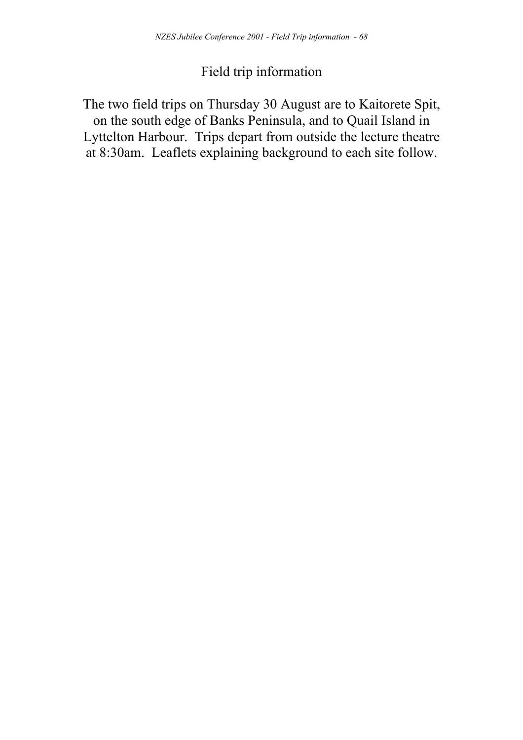# Field trip information

The two field trips on Thursday 30 August are to Kaitorete Spit, on the south edge of Banks Peninsula, and to Quail Island in Lyttelton Harbour. Trips depart from outside the lecture theatre at 8:30am. Leaflets explaining background to each site follow.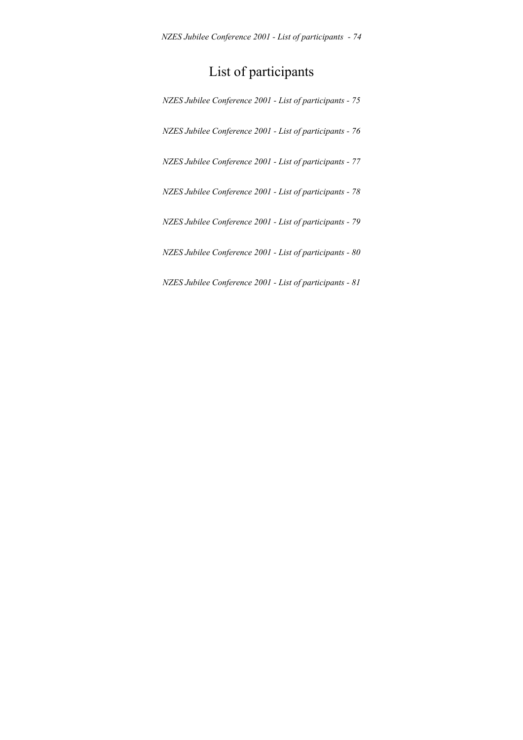# List of participants

| NZES Jubilee Conference 2001 - List of participants - 75 |
|----------------------------------------------------------|
| NZES Jubilee Conference 2001 - List of participants - 76 |
| NZES Jubilee Conference 2001 - List of participants - 77 |
| NZES Jubilee Conference 2001 - List of participants - 78 |
| NZES Jubilee Conference 2001 - List of participants - 79 |
| NZES Jubilee Conference 2001 - List of participants - 80 |
| NZES Jubilee Conference 2001 - List of participants - 81 |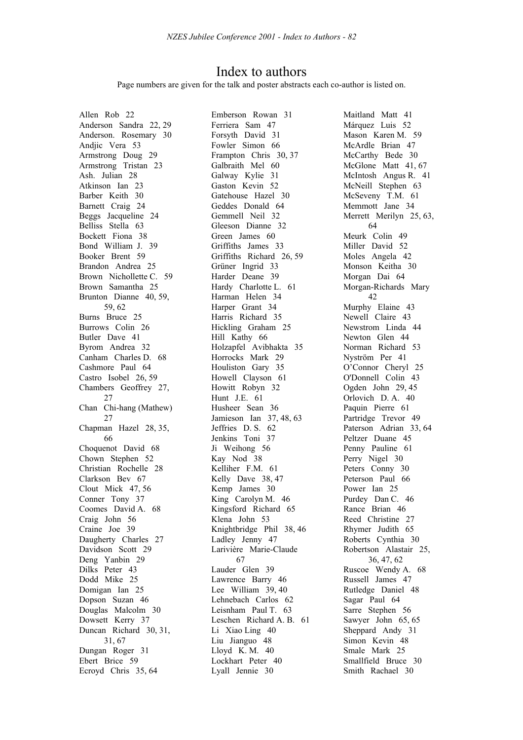## Index to authors

Page numbers are given for the talk and poster abstracts each co-author is listed on.

Emberson Rowan 31

Allen Rob 22 Anderson Sandra 22, 29 Anderson. Rosemary 30 Andjic Vera 53 Armstrong Doug 29 Armstrong Tristan 23 Ash. Julian 28 Atkinson Ian 23 Barber Keith 30 Barnett Craig 24 Beggs Jacqueline 24 Belliss Stella 63 Bockett Fiona 38 Bond William J. 39 Booker Brent 59 Brandon Andrea 25 Brown Nichollette C. 59 Brown Samantha 25 Brunton Dianne 40, 59, 59, 62 Burns Bruce 25 Burrows Colin 26 Butler Dave 41 Byrom Andrea 32 Canham Charles D. 68 Cashmore Paul 64 Castro Isobel 26, 59 Chambers Geoffrey 27, 27 Chan Chi-hang (Mathew) 27 Chapman Hazel 28, 35, 66 Choquenot David 68 Chown Stephen 52 Christian Rochelle 28 Clarkson Bev 67 Clout Mick 47, 56 Conner Tony 37 Coomes David A. 68 Craig John 56 Craine Joe 39 Daugherty Charles 27 Davidson Scott 29 Deng Yanbin 29 Dilks Peter 43 Dodd Mike 25 Domigan Ian 25 Dopson Suzan 46 Douglas Malcolm 30 Dowsett Kerry 37 Duncan Richard 30, 31, 31, 67 Dungan Roger 31 Ebert Brice 59 Ecroyd Chris 35, 64

Ferriera Sam 47 Forsyth David 31 Fowler Simon 66 Frampton Chris 30, 37 Galbraith Mel 60 Galway Kylie 31 Gaston Kevin 52 Gatehouse Hazel 30 Geddes Donald 64 Gemmell Neil 32 Gleeson Dianne 32 Green James 60 Griffiths James 33 Griffiths Richard 26, 59 Grüner Ingrid 33 Harder Deane 39 Hardy Charlotte L. 61 Harman Helen 34 Harper Grant 34 Harris Richard 35 Hickling Graham 25 Hill Kathy 66 Holzapfel Avibhakta 35 Horrocks Mark 29 Houliston Gary 35 Howell Clayson 61 Howitt Robyn 32 Hunt J.E. 61 Husheer Sean 36 Jamieson Ian 37, 48, 63 Jeffries D. S. 62 Jenkins Toni 37 Ji Weihong 56 Kay Nod 38 Kelliher F.M. 61 Kelly Dave 38, 47 Kemp James 30 King Carolyn M. 46 Kingsford Richard 65 Klena John 53 Knightbridge Phil 38, 46 Ladley Jenny 47 Larivière Marie-Claude 67 Lauder Glen 39 Lawrence Barry 46 Lee William 39, 40 Lehnebach Carlos 62 Leisnham Paul T. 63 Leschen Richard A. B. 61 Li Xiao Ling 40 Liu Jianguo 48 Lloyd K. M. 40 Lockhart Peter 40 Lyall Jennie 30

Maitland Matt 41 Márquez Luis 52 Mason Karen M. 59 McArdle Brian 47 McCarthy Bede 30 McGlone Matt 41, 67 McIntosh Angus R. 41 McNeill Stephen 63 McSeveny T.M. 61 Memmott Jane 34 Merrett Merilyn 25, 63, 64 Meurk Colin 49 Miller David 52 Moles Angela 42 Monson Keitha 30 Morgan Dai 64 Morgan-Richards Mary 42 Murphy Elaine 43 Newell Claire 43 Newstrom Linda 44 Newton Glen 44 Norman Richard 53 Nyström Per 41 O'Connor Cheryl 25 O'Donnell Colin 43 Ogden John 29, 45 Orlovich D. A. 40 Paquin Pierre 61 Partridge Trevor 49 Paterson Adrian 33, 64 Peltzer Duane 45 Penny Pauline 61 Perry Nigel 30 Peters Conny 30 Peterson Paul 66 Power Ian 25 Purdey Dan C. 46 Rance Brian 46 Reed Christine 27 Rhymer Judith 65 Roberts Cynthia 30 Robertson Alastair 25, 36, 47, 62 Ruscoe Wendy A. 68 Russell James 47 Rutledge Daniel 48 Sagar Paul 64 Sarre Stephen 56 Sawyer John 65, 65 Sheppard Andy 31 Simon Kevin 48 Smale Mark 25 Smallfield Bruce 30 Smith Rachael 30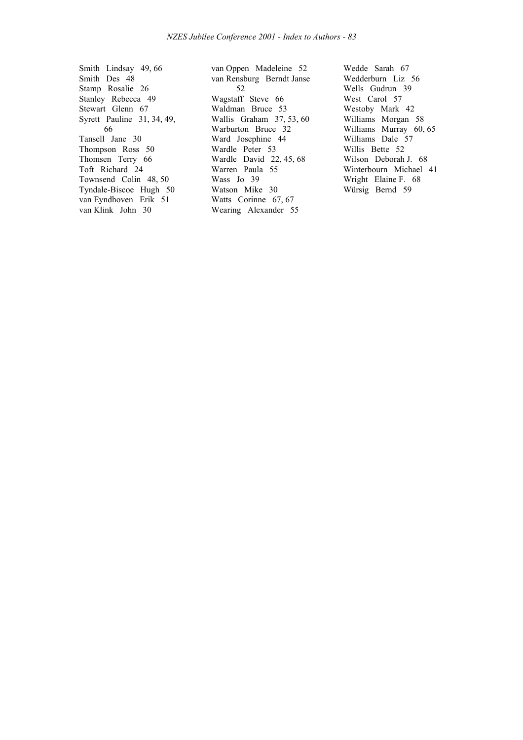Smith Lindsay 49, 66 Smith Des 48 Stamp Rosalie 26 Stanley Rebecca 49 Stewart Glenn 67 Syrett Pauline 31, 34, 49, 66 Tansell Jane 30 Thompson Ross 50 Thomsen Terry 66 Toft Richard 24 Townsend Colin 48, 50 Tyndale-Biscoe Hugh 50 van Eyndhoven Erik 51 van Klink John 30

van Oppen Madeleine 52 van Rensburg Berndt Janse 52 Wagstaff Steve 66 Waldman Bruce 53 Wallis Graham 37, 53, 60 Warburton Bruce 32 Ward Josephine 44 Wardle Peter 53 Wardle David 22, 45, 68 Warren Paula 55 Wass Jo 39 Watson Mike 30 Watts Corinne 67, 67 Wearing Alexander 55

Wedde Sarah 67 Wedderburn Liz 56 Wells Gudrun 39 West Carol 57 Westoby Mark 42 Williams Morgan 58 Williams Murray 60, 65 Williams Dale 57 Willis Bette 52 Wilson Deborah J. 68 Winterbourn Michael 41 Wright Elaine F. 68 Würsig Bernd 59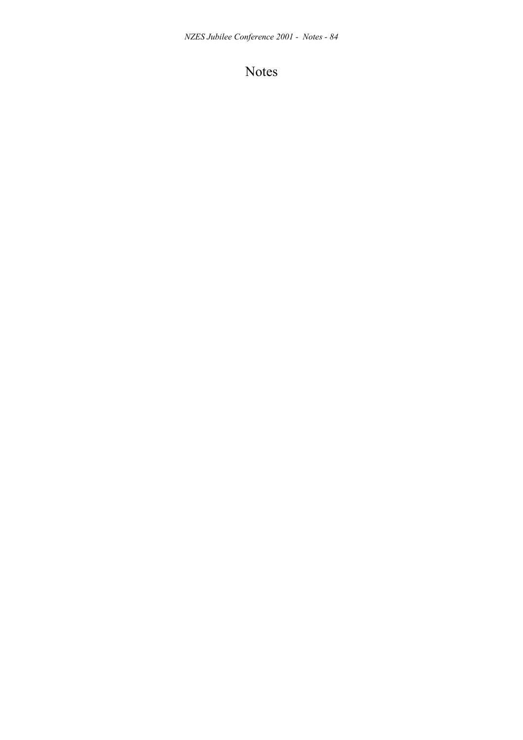# Notes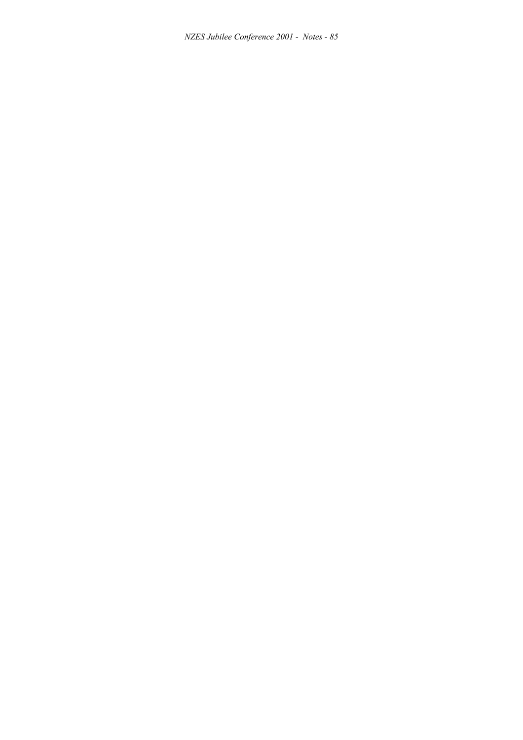*NZES Jubilee Conference 2001 - Notes - 85*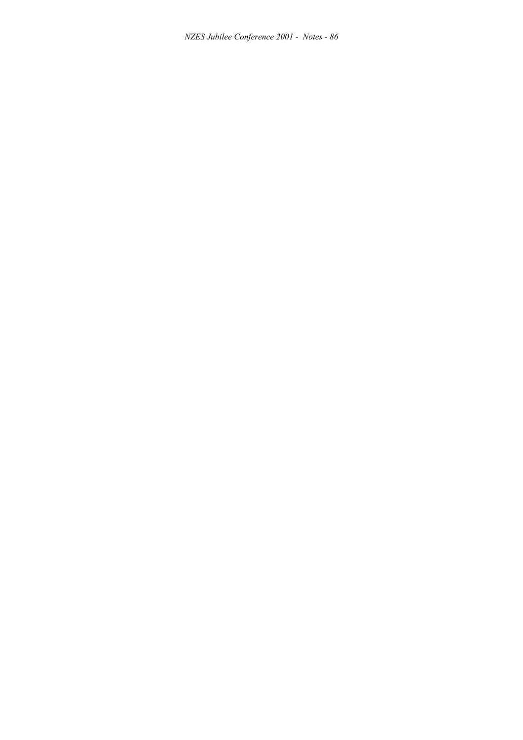*NZES Jubilee Conference 2001 - Notes - 86*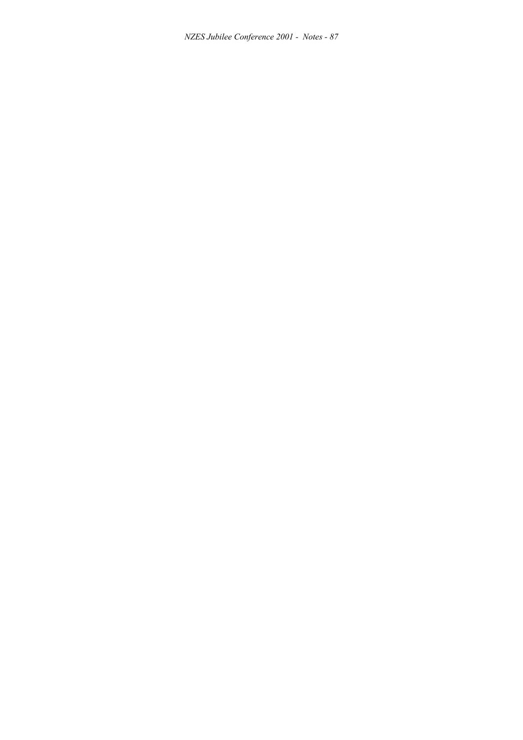*NZES Jubilee Conference 2001 - Notes - 87*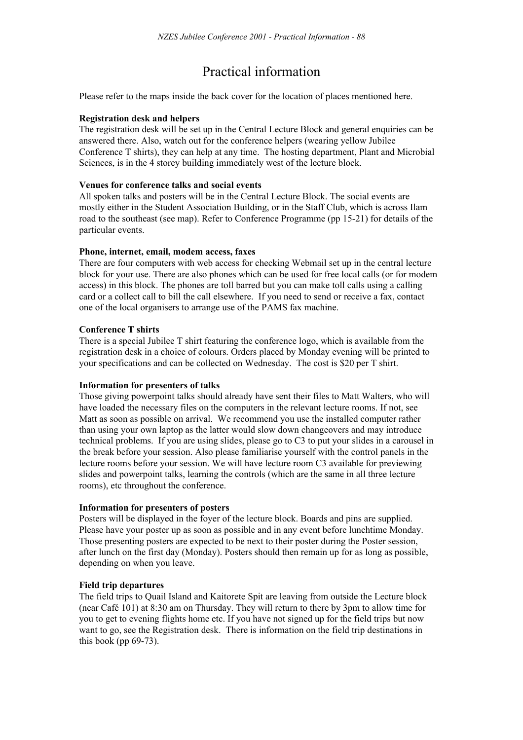# Practical information

Please refer to the maps inside the back cover for the location of places mentioned here.

## Registration desk and helpers

The registration desk will be set up in the Central Lecture Block and general enquiries can be answered there. Also, watch out for the conference helpers (wearing yellow Jubilee Conference T shirts), they can help at any time. The hosting department, Plant and Microbial Sciences, is in the 4 storey building immediately west of the lecture block.

## Venues for conference talks and social events

All spoken talks and posters will be in the Central Lecture Block. The social events are mostly either in the Student Association Building, or in the Staff Club, which is across Ilam road to the southeast (see map). Refer to Conference Programme (pp 15-21) for details of the particular events.

## Phone, internet, email, modem access, faxes

There are four computers with web access for checking Webmail set up in the central lecture block for your use. There are also phones which can be used for free local calls (or for modem access) in this block. The phones are toll barred but you can make toll calls using a calling card or a collect call to bill the call elsewhere. If you need to send or receive a fax, contact one of the local organisers to arrange use of the PAMS fax machine.

## Conference T shirts

There is a special Jubilee T shirt featuring the conference logo, which is available from the registration desk in a choice of colours. Orders placed by Monday evening will be printed to your specifications and can be collected on Wednesday. The cost is \$20 per T shirt.

#### Information for presenters of talks

Those giving powerpoint talks should already have sent their files to Matt Walters, who will have loaded the necessary files on the computers in the relevant lecture rooms. If not, see Matt as soon as possible on arrival. We recommend you use the installed computer rather than using your own laptop as the latter would slow down changeovers and may introduce technical problems. If you are using slides, please go to C3 to put your slides in a carousel in the break before your session. Also please familiarise yourself with the control panels in the lecture rooms before your session. We will have lecture room C3 available for previewing slides and powerpoint talks, learning the controls (which are the same in all three lecture rooms), etc throughout the conference.

#### Information for presenters of posters

Posters will be displayed in the foyer of the lecture block. Boards and pins are supplied. Please have your poster up as soon as possible and in any event before lunchtime Monday. Those presenting posters are expected to be next to their poster during the Poster session, after lunch on the first day (Monday). Posters should then remain up for as long as possible, depending on when you leave.

#### Field trip departures

The field trips to Quail Island and Kaitorete Spit are leaving from outside the Lecture block (near Café 101) at 8:30 am on Thursday. They will return to there by 3pm to allow time for you to get to evening flights home etc. If you have not signed up for the field trips but now want to go, see the Registration desk. There is information on the field trip destinations in this book (pp  $69-73$ ).